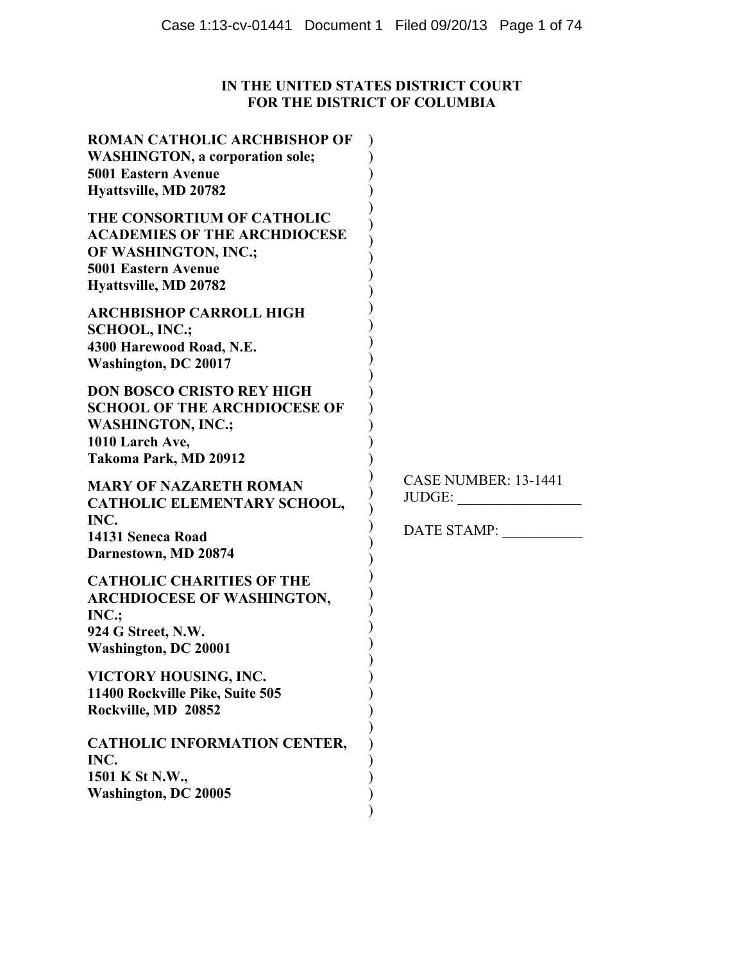# **IN THE UNITED STATES DISTRICT COURT FOR THE DISTRICT OF COLUMBIA**

| ROMAN CATHOLIC ARCHBISHOP OF<br><b>WASHINGTON, a corporation sole;</b><br><b>5001 Eastern Avenue</b><br>Hyattsville, MD 20782                    |                                                      |
|--------------------------------------------------------------------------------------------------------------------------------------------------|------------------------------------------------------|
| THE CONSORTIUM OF CATHOLIC<br><b>ACADEMIES OF THE ARCHDIOCESE</b><br>OF WASHINGTON, INC.;<br><b>5001 Eastern Avenue</b><br>Hyattsville, MD 20782 |                                                      |
| <b>ARCHBISHOP CARROLL HIGH</b><br><b>SCHOOL, INC.;</b><br>4300 Harewood Road, N.E.<br><b>Washington, DC 20017</b>                                |                                                      |
| <b>DON BOSCO CRISTO REY HIGH</b><br><b>SCHOOL OF THE ARCHDIOCESE OF</b><br><b>WASHINGTON, INC.;</b><br>1010 Larch Ave,<br>Takoma Park, MD 20912  |                                                      |
| <b>MARY OF NAZARETH ROMAN</b><br>CATHOLIC ELEMENTARY SCHOOL,<br>INC.<br>14131 Seneca Road<br>Darnestown, MD 20874                                | <b>CASE NUMBER: 13-1441</b><br>JUDGE:<br>DATE STAMP: |
| <b>CATHOLIC CHARITIES OF THE</b><br><b>ARCHDIOCESE OF WASHINGTON,</b><br>INC.:<br>924 G Street, N.W.<br><b>Washington, DC 20001</b>              |                                                      |
| VICTORY HOUSING, INC.<br>11400 Rockville Pike, Suite 505<br>Rockville, MD 20852                                                                  |                                                      |
| <b>CATHOLIC INFORMATION CENTER,</b><br>INC.<br>1501 K St N.W.,<br><b>Washington, DC 20005</b>                                                    |                                                      |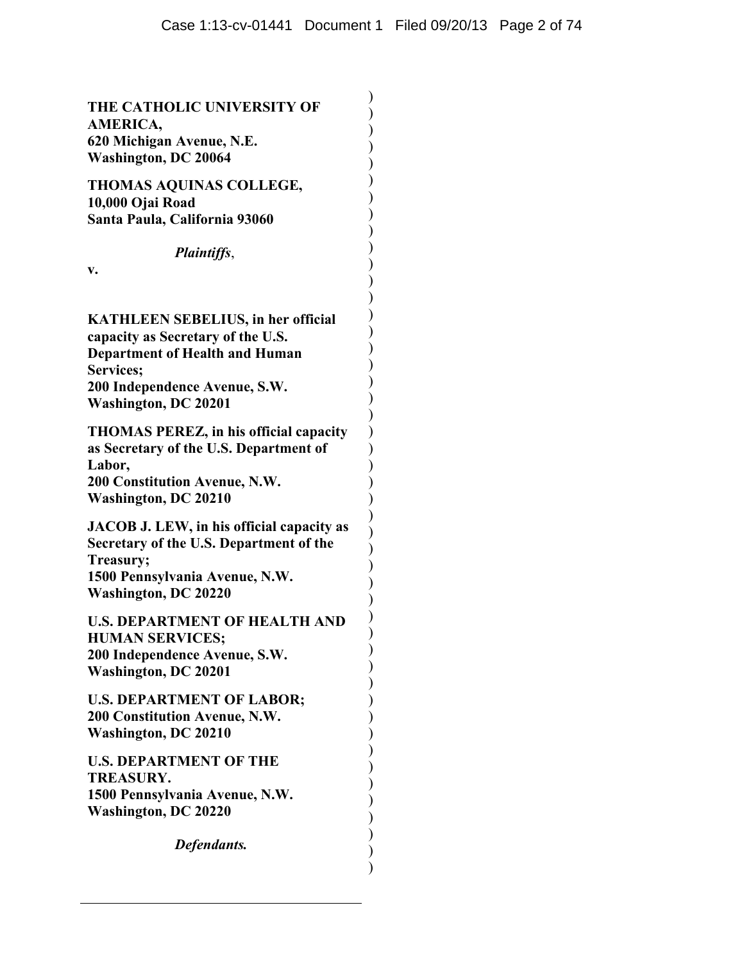) ) ) ) ) ) ) ) ) ) ) ) ) ) ) ) ) ) ) ) ) ) ) ) ) ) ) ) ) ) ) ) ) ) ) ) ) ) ) ) ) ) ) ) ) ) )

**THE CATHOLIC UNIVERSITY OF AMERICA, 620 Michigan Avenue, N.E. Washington, DC 20064** 

**THOMAS AQUINAS COLLEGE, 10,000 Ojai Road Santa Paula, California 93060** 

## *Plaintiffs*,

**v.** 

**KATHLEEN SEBELIUS, in her official capacity as Secretary of the U.S. Department of Health and Human Services; 200 Independence Avenue, S.W. Washington, DC 20201** 

**THOMAS PEREZ, in his official capacity as Secretary of the U.S. Department of Labor, 200 Constitution Avenue, N.W. Washington, DC 20210** 

**JACOB J. LEW, in his official capacity as Secretary of the U.S. Department of the Treasury; 1500 Pennsylvania Avenue, N.W. Washington, DC 20220** 

**U.S. DEPARTMENT OF HEALTH AND HUMAN SERVICES; 200 Independence Avenue, S.W. Washington, DC 20201** 

**U.S. DEPARTMENT OF LABOR; 200 Constitution Avenue, N.W. Washington, DC 20210** 

**U.S. DEPARTMENT OF THE TREASURY. 1500 Pennsylvania Avenue, N.W. Washington, DC 20220** 

*Defendants.*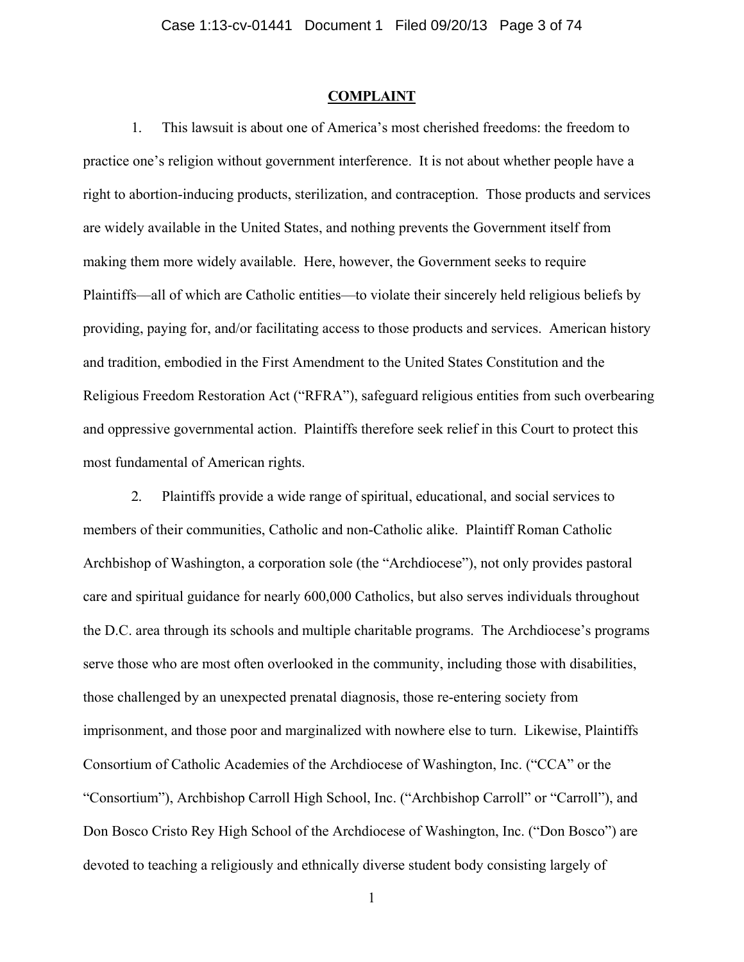## **COMPLAINT**

1. This lawsuit is about one of America's most cherished freedoms: the freedom to practice one's religion without government interference. It is not about whether people have a right to abortion-inducing products, sterilization, and contraception. Those products and services are widely available in the United States, and nothing prevents the Government itself from making them more widely available. Here, however, the Government seeks to require Plaintiffs—all of which are Catholic entities—to violate their sincerely held religious beliefs by providing, paying for, and/or facilitating access to those products and services. American history and tradition, embodied in the First Amendment to the United States Constitution and the Religious Freedom Restoration Act ("RFRA"), safeguard religious entities from such overbearing and oppressive governmental action. Plaintiffs therefore seek relief in this Court to protect this most fundamental of American rights.

2. Plaintiffs provide a wide range of spiritual, educational, and social services to members of their communities, Catholic and non-Catholic alike. Plaintiff Roman Catholic Archbishop of Washington, a corporation sole (the "Archdiocese"), not only provides pastoral care and spiritual guidance for nearly 600,000 Catholics, but also serves individuals throughout the D.C. area through its schools and multiple charitable programs. The Archdiocese's programs serve those who are most often overlooked in the community, including those with disabilities, those challenged by an unexpected prenatal diagnosis, those re-entering society from imprisonment, and those poor and marginalized with nowhere else to turn. Likewise, Plaintiffs Consortium of Catholic Academies of the Archdiocese of Washington, Inc. ("CCA" or the "Consortium"), Archbishop Carroll High School, Inc. ("Archbishop Carroll" or "Carroll"), and Don Bosco Cristo Rey High School of the Archdiocese of Washington, Inc. ("Don Bosco") are devoted to teaching a religiously and ethnically diverse student body consisting largely of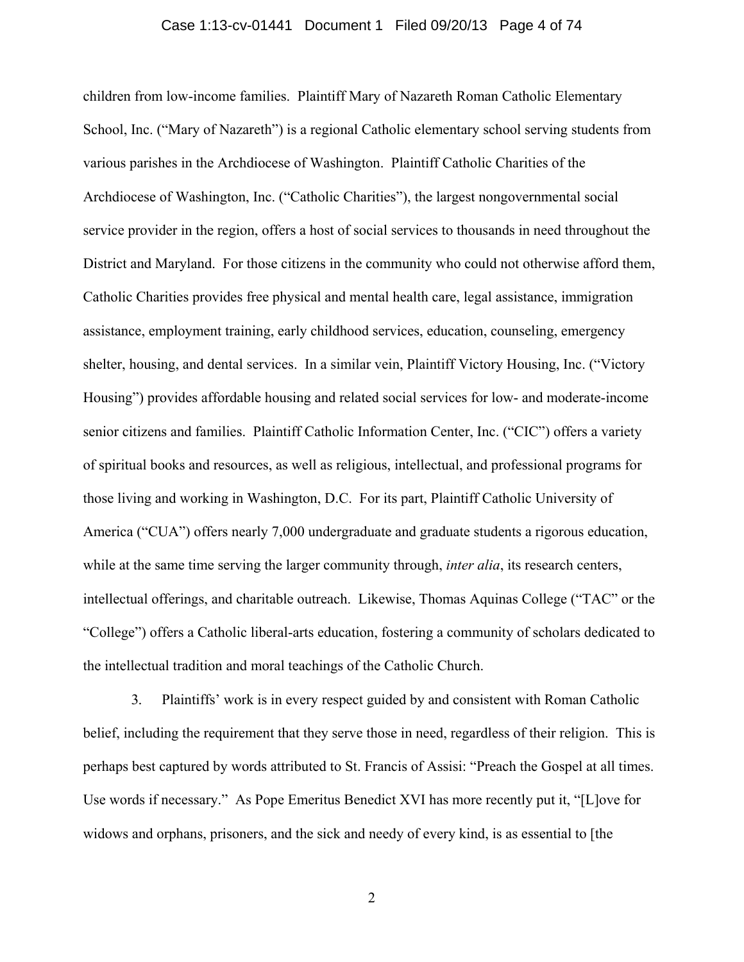### Case 1:13-cv-01441 Document 1 Filed 09/20/13 Page 4 of 74

children from low-income families. Plaintiff Mary of Nazareth Roman Catholic Elementary School, Inc. ("Mary of Nazareth") is a regional Catholic elementary school serving students from various parishes in the Archdiocese of Washington. Plaintiff Catholic Charities of the Archdiocese of Washington, Inc. ("Catholic Charities"), the largest nongovernmental social service provider in the region, offers a host of social services to thousands in need throughout the District and Maryland. For those citizens in the community who could not otherwise afford them, Catholic Charities provides free physical and mental health care, legal assistance, immigration assistance, employment training, early childhood services, education, counseling, emergency shelter, housing, and dental services. In a similar vein, Plaintiff Victory Housing, Inc. ("Victory Housing") provides affordable housing and related social services for low- and moderate-income senior citizens and families. Plaintiff Catholic Information Center, Inc. ("CIC") offers a variety of spiritual books and resources, as well as religious, intellectual, and professional programs for those living and working in Washington, D.C. For its part, Plaintiff Catholic University of America ("CUA") offers nearly 7,000 undergraduate and graduate students a rigorous education, while at the same time serving the larger community through, *inter alia*, its research centers, intellectual offerings, and charitable outreach. Likewise, Thomas Aquinas College ("TAC" or the "College") offers a Catholic liberal-arts education, fostering a community of scholars dedicated to the intellectual tradition and moral teachings of the Catholic Church.

3. Plaintiffs' work is in every respect guided by and consistent with Roman Catholic belief, including the requirement that they serve those in need, regardless of their religion. This is perhaps best captured by words attributed to St. Francis of Assisi: "Preach the Gospel at all times. Use words if necessary." As Pope Emeritus Benedict XVI has more recently put it, "[L]ove for widows and orphans, prisoners, and the sick and needy of every kind, is as essential to [the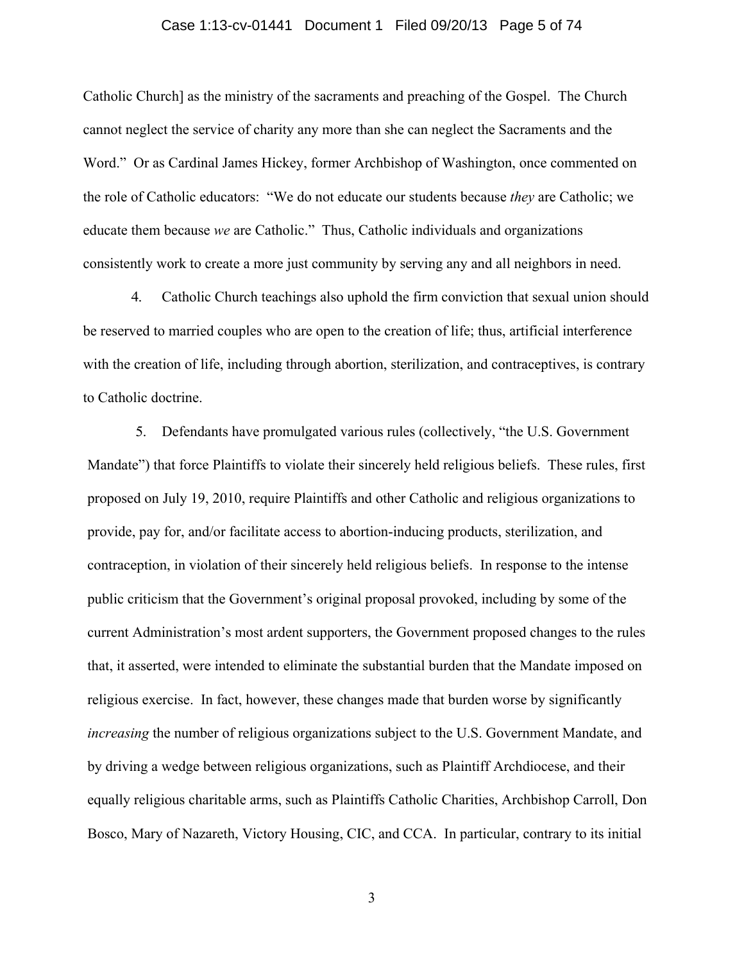## Case 1:13-cv-01441 Document 1 Filed 09/20/13 Page 5 of 74

Catholic Church] as the ministry of the sacraments and preaching of the Gospel. The Church cannot neglect the service of charity any more than she can neglect the Sacraments and the Word." Or as Cardinal James Hickey, former Archbishop of Washington, once commented on the role of Catholic educators: "We do not educate our students because *they* are Catholic; we educate them because *we* are Catholic." Thus, Catholic individuals and organizations consistently work to create a more just community by serving any and all neighbors in need.

4. Catholic Church teachings also uphold the firm conviction that sexual union should be reserved to married couples who are open to the creation of life; thus, artificial interference with the creation of life, including through abortion, sterilization, and contraceptives, is contrary to Catholic doctrine.

5. Defendants have promulgated various rules (collectively, "the U.S. Government Mandate") that force Plaintiffs to violate their sincerely held religious beliefs. These rules, first proposed on July 19, 2010, require Plaintiffs and other Catholic and religious organizations to provide, pay for, and/or facilitate access to abortion-inducing products, sterilization, and contraception, in violation of their sincerely held religious beliefs. In response to the intense public criticism that the Government's original proposal provoked, including by some of the current Administration's most ardent supporters, the Government proposed changes to the rules that, it asserted, were intended to eliminate the substantial burden that the Mandate imposed on religious exercise. In fact, however, these changes made that burden worse by significantly *increasing* the number of religious organizations subject to the U.S. Government Mandate, and by driving a wedge between religious organizations, such as Plaintiff Archdiocese, and their equally religious charitable arms, such as Plaintiffs Catholic Charities, Archbishop Carroll, Don Bosco, Mary of Nazareth, Victory Housing, CIC, and CCA. In particular, contrary to its initial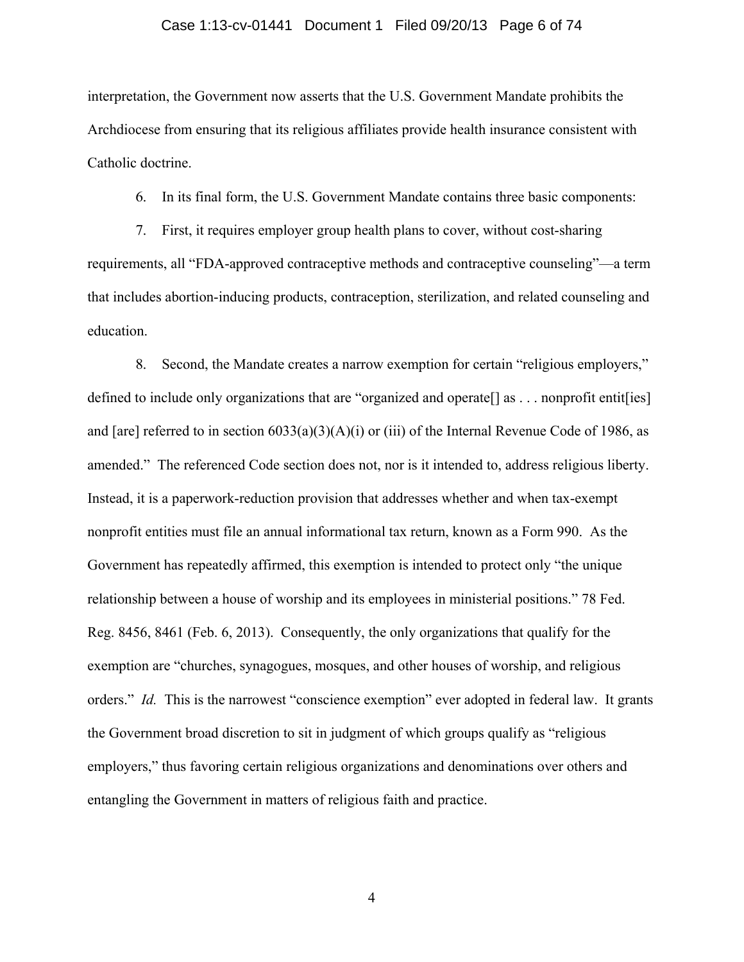### Case 1:13-cv-01441 Document 1 Filed 09/20/13 Page 6 of 74

interpretation, the Government now asserts that the U.S. Government Mandate prohibits the Archdiocese from ensuring that its religious affiliates provide health insurance consistent with Catholic doctrine.

6. In its final form, the U.S. Government Mandate contains three basic components:

7. First, it requires employer group health plans to cover, without cost-sharing requirements, all "FDA-approved contraceptive methods and contraceptive counseling"—a term that includes abortion-inducing products, contraception, sterilization, and related counseling and education.

8. Second, the Mandate creates a narrow exemption for certain "religious employers," defined to include only organizations that are "organized and operate[] as . . . nonprofit entit[ies] and [are] referred to in section  $6033(a)(3)(A)(i)$  or (iii) of the Internal Revenue Code of 1986, as amended." The referenced Code section does not, nor is it intended to, address religious liberty. Instead, it is a paperwork-reduction provision that addresses whether and when tax-exempt nonprofit entities must file an annual informational tax return, known as a Form 990. As the Government has repeatedly affirmed, this exemption is intended to protect only "the unique relationship between a house of worship and its employees in ministerial positions." 78 Fed. Reg. 8456, 8461 (Feb. 6, 2013). Consequently, the only organizations that qualify for the exemption are "churches, synagogues, mosques, and other houses of worship, and religious orders." *Id.* This is the narrowest "conscience exemption" ever adopted in federal law. It grants the Government broad discretion to sit in judgment of which groups qualify as "religious employers," thus favoring certain religious organizations and denominations over others and entangling the Government in matters of religious faith and practice.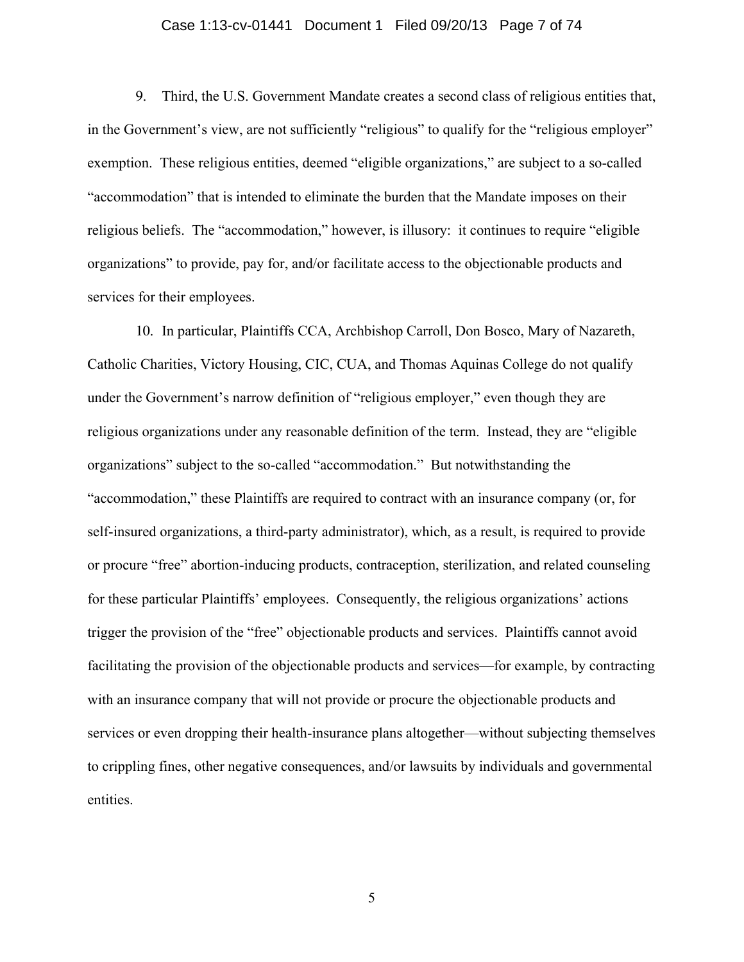## Case 1:13-cv-01441 Document 1 Filed 09/20/13 Page 7 of 74

9. Third, the U.S. Government Mandate creates a second class of religious entities that, in the Government's view, are not sufficiently "religious" to qualify for the "religious employer" exemption. These religious entities, deemed "eligible organizations," are subject to a so-called "accommodation" that is intended to eliminate the burden that the Mandate imposes on their religious beliefs. The "accommodation," however, is illusory: it continues to require "eligible organizations" to provide, pay for, and/or facilitate access to the objectionable products and services for their employees.

10. In particular, Plaintiffs CCA, Archbishop Carroll, Don Bosco, Mary of Nazareth, Catholic Charities, Victory Housing, CIC, CUA, and Thomas Aquinas College do not qualify under the Government's narrow definition of "religious employer," even though they are religious organizations under any reasonable definition of the term. Instead, they are "eligible organizations" subject to the so-called "accommodation." But notwithstanding the "accommodation," these Plaintiffs are required to contract with an insurance company (or, for self-insured organizations, a third-party administrator), which, as a result, is required to provide or procure "free" abortion-inducing products, contraception, sterilization, and related counseling for these particular Plaintiffs' employees. Consequently, the religious organizations' actions trigger the provision of the "free" objectionable products and services. Plaintiffs cannot avoid facilitating the provision of the objectionable products and services—for example, by contracting with an insurance company that will not provide or procure the objectionable products and services or even dropping their health-insurance plans altogether—without subjecting themselves to crippling fines, other negative consequences, and/or lawsuits by individuals and governmental entities.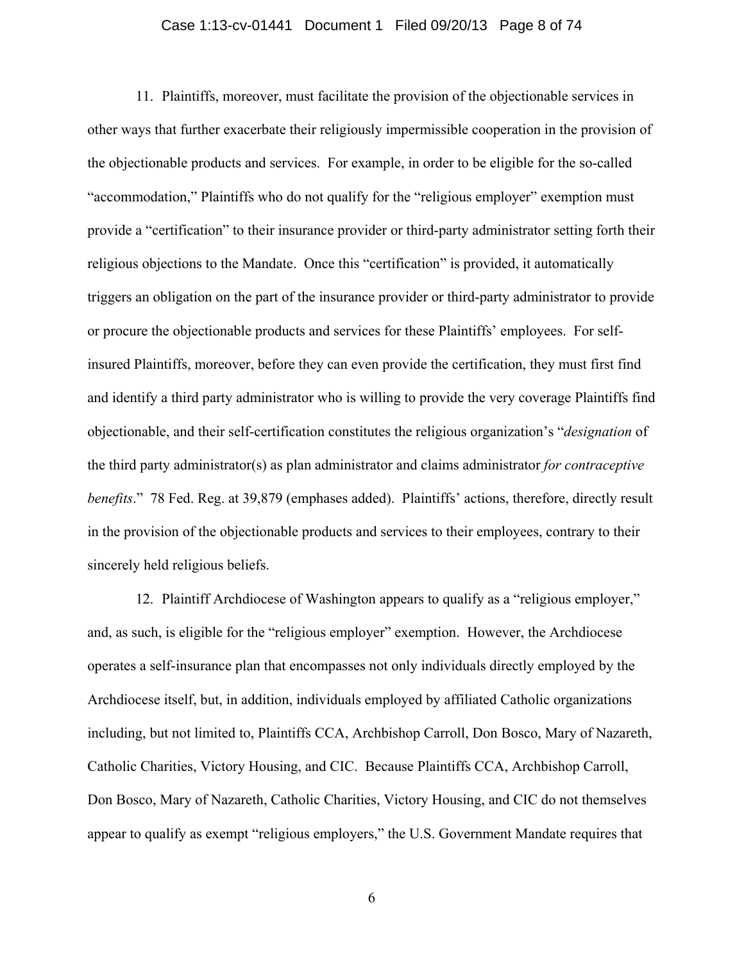## Case 1:13-cv-01441 Document 1 Filed 09/20/13 Page 8 of 74

11. Plaintiffs, moreover, must facilitate the provision of the objectionable services in other ways that further exacerbate their religiously impermissible cooperation in the provision of the objectionable products and services. For example, in order to be eligible for the so-called "accommodation," Plaintiffs who do not qualify for the "religious employer" exemption must provide a "certification" to their insurance provider or third-party administrator setting forth their religious objections to the Mandate. Once this "certification" is provided, it automatically triggers an obligation on the part of the insurance provider or third-party administrator to provide or procure the objectionable products and services for these Plaintiffs' employees. For selfinsured Plaintiffs, moreover, before they can even provide the certification, they must first find and identify a third party administrator who is willing to provide the very coverage Plaintiffs find objectionable, and their self-certification constitutes the religious organization's "*designation* of the third party administrator(s) as plan administrator and claims administrator *for contraceptive benefits*." 78 Fed. Reg. at 39,879 (emphases added). Plaintiffs' actions, therefore, directly result in the provision of the objectionable products and services to their employees, contrary to their sincerely held religious beliefs.

12. Plaintiff Archdiocese of Washington appears to qualify as a "religious employer," and, as such, is eligible for the "religious employer" exemption. However, the Archdiocese operates a self-insurance plan that encompasses not only individuals directly employed by the Archdiocese itself, but, in addition, individuals employed by affiliated Catholic organizations including, but not limited to, Plaintiffs CCA, Archbishop Carroll, Don Bosco, Mary of Nazareth, Catholic Charities, Victory Housing, and CIC. Because Plaintiffs CCA, Archbishop Carroll, Don Bosco, Mary of Nazareth, Catholic Charities, Victory Housing, and CIC do not themselves appear to qualify as exempt "religious employers," the U.S. Government Mandate requires that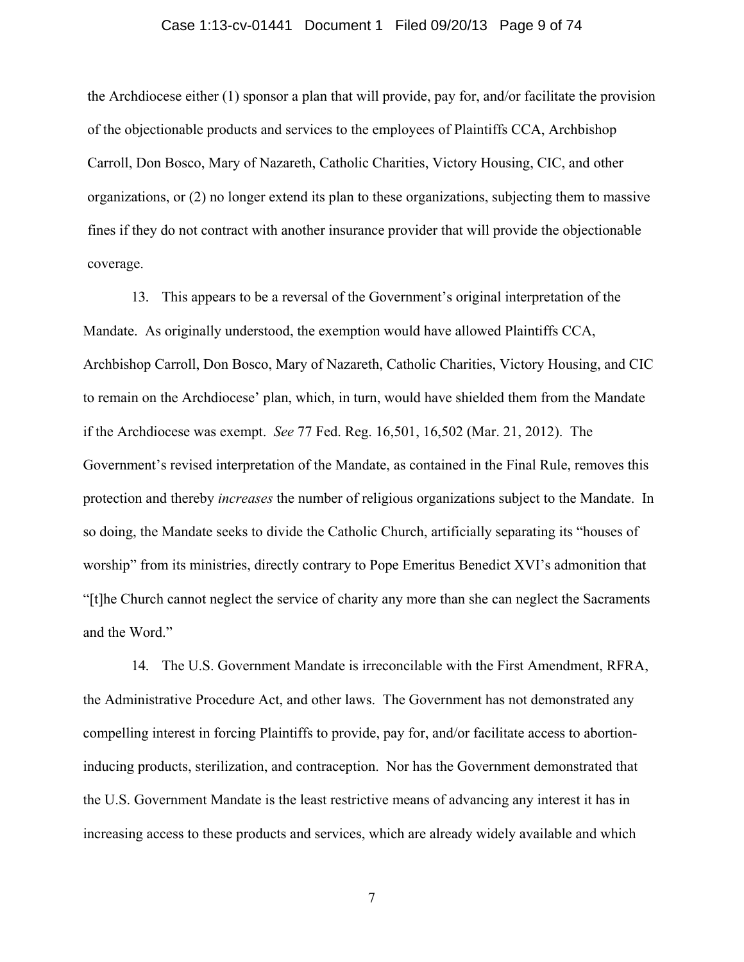### Case 1:13-cv-01441 Document 1 Filed 09/20/13 Page 9 of 74

the Archdiocese either (1) sponsor a plan that will provide, pay for, and/or facilitate the provision of the objectionable products and services to the employees of Plaintiffs CCA, Archbishop Carroll, Don Bosco, Mary of Nazareth, Catholic Charities, Victory Housing, CIC, and other organizations, or (2) no longer extend its plan to these organizations, subjecting them to massive fines if they do not contract with another insurance provider that will provide the objectionable coverage.

13. This appears to be a reversal of the Government's original interpretation of the Mandate. As originally understood, the exemption would have allowed Plaintiffs CCA, Archbishop Carroll, Don Bosco, Mary of Nazareth, Catholic Charities, Victory Housing, and CIC to remain on the Archdiocese' plan, which, in turn, would have shielded them from the Mandate if the Archdiocese was exempt. *See* 77 Fed. Reg. 16,501, 16,502 (Mar. 21, 2012). The Government's revised interpretation of the Mandate, as contained in the Final Rule, removes this protection and thereby *increases* the number of religious organizations subject to the Mandate. In so doing, the Mandate seeks to divide the Catholic Church, artificially separating its "houses of worship" from its ministries, directly contrary to Pope Emeritus Benedict XVI's admonition that "[t]he Church cannot neglect the service of charity any more than she can neglect the Sacraments and the Word."

14. The U.S. Government Mandate is irreconcilable with the First Amendment, RFRA, the Administrative Procedure Act, and other laws. The Government has not demonstrated any compelling interest in forcing Plaintiffs to provide, pay for, and/or facilitate access to abortioninducing products, sterilization, and contraception. Nor has the Government demonstrated that the U.S. Government Mandate is the least restrictive means of advancing any interest it has in increasing access to these products and services, which are already widely available and which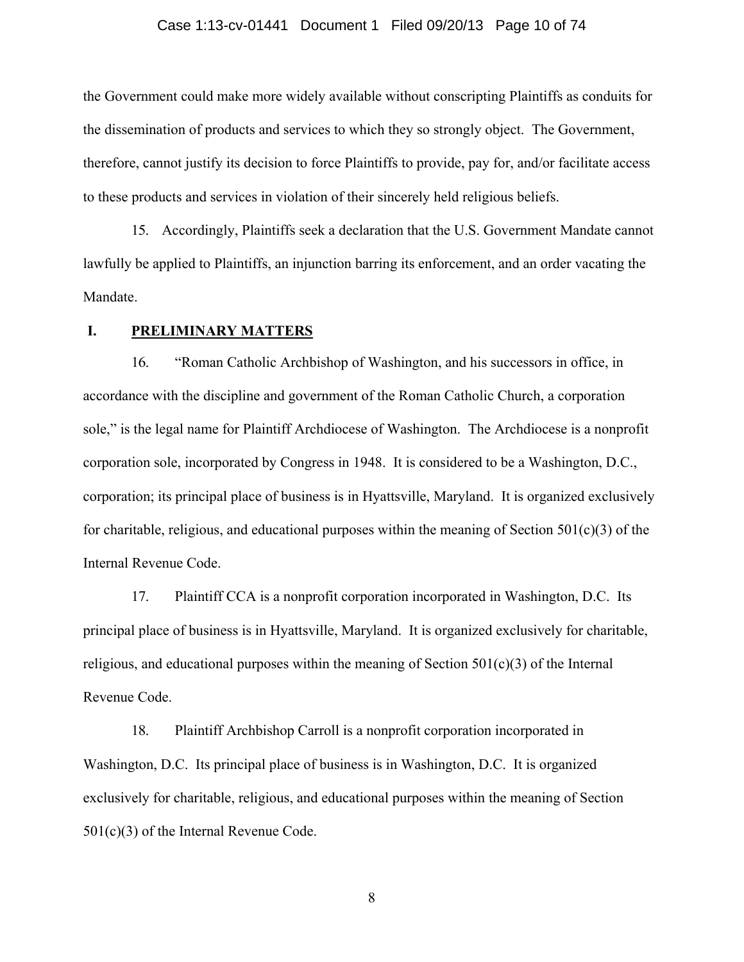#### Case 1:13-cv-01441 Document 1 Filed 09/20/13 Page 10 of 74

the Government could make more widely available without conscripting Plaintiffs as conduits for the dissemination of products and services to which they so strongly object. The Government, therefore, cannot justify its decision to force Plaintiffs to provide, pay for, and/or facilitate access to these products and services in violation of their sincerely held religious beliefs.

15. Accordingly, Plaintiffs seek a declaration that the U.S. Government Mandate cannot lawfully be applied to Plaintiffs, an injunction barring its enforcement, and an order vacating the Mandate.

## **I. PRELIMINARY MATTERS**

16. "Roman Catholic Archbishop of Washington, and his successors in office, in accordance with the discipline and government of the Roman Catholic Church, a corporation sole," is the legal name for Plaintiff Archdiocese of Washington. The Archdiocese is a nonprofit corporation sole, incorporated by Congress in 1948. It is considered to be a Washington, D.C., corporation; its principal place of business is in Hyattsville, Maryland. It is organized exclusively for charitable, religious, and educational purposes within the meaning of Section  $501(c)(3)$  of the Internal Revenue Code.

17. Plaintiff CCA is a nonprofit corporation incorporated in Washington, D.C. Its principal place of business is in Hyattsville, Maryland. It is organized exclusively for charitable, religious, and educational purposes within the meaning of Section  $501(c)(3)$  of the Internal Revenue Code.

18. Plaintiff Archbishop Carroll is a nonprofit corporation incorporated in Washington, D.C. Its principal place of business is in Washington, D.C. It is organized exclusively for charitable, religious, and educational purposes within the meaning of Section 501(c)(3) of the Internal Revenue Code.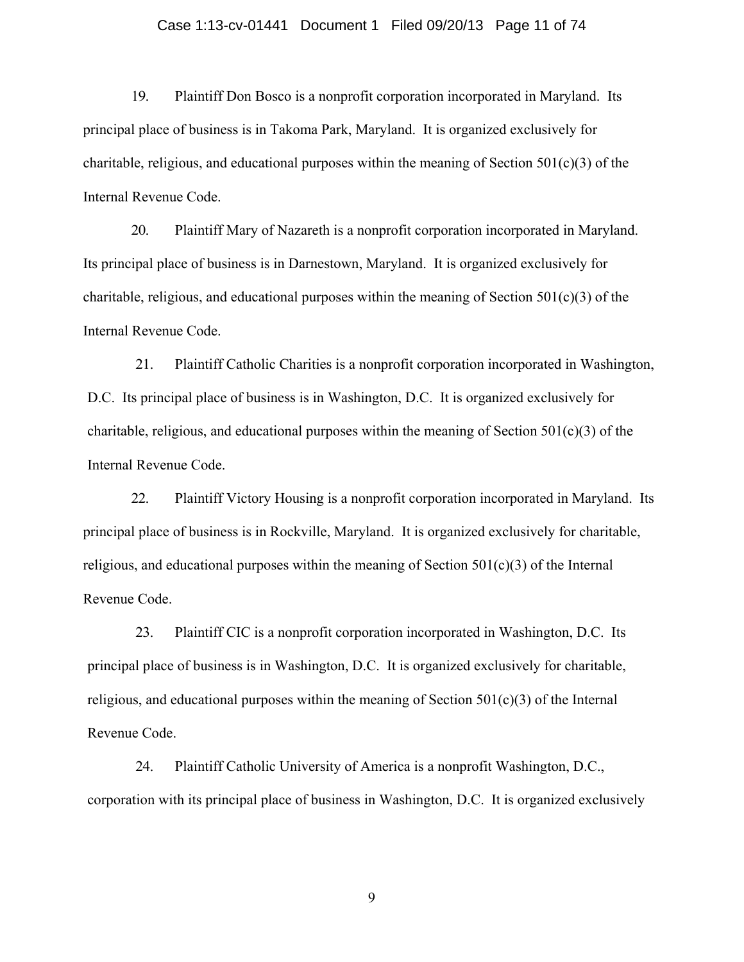## Case 1:13-cv-01441 Document 1 Filed 09/20/13 Page 11 of 74

19. Plaintiff Don Bosco is a nonprofit corporation incorporated in Maryland. Its principal place of business is in Takoma Park, Maryland. It is organized exclusively for charitable, religious, and educational purposes within the meaning of Section  $501(c)(3)$  of the Internal Revenue Code.

20. Plaintiff Mary of Nazareth is a nonprofit corporation incorporated in Maryland. Its principal place of business is in Darnestown, Maryland. It is organized exclusively for charitable, religious, and educational purposes within the meaning of Section  $501(c)(3)$  of the Internal Revenue Code.

21. Plaintiff Catholic Charities is a nonprofit corporation incorporated in Washington, D.C. Its principal place of business is in Washington, D.C. It is organized exclusively for charitable, religious, and educational purposes within the meaning of Section  $501(c)(3)$  of the Internal Revenue Code.

22. Plaintiff Victory Housing is a nonprofit corporation incorporated in Maryland. Its principal place of business is in Rockville, Maryland. It is organized exclusively for charitable, religious, and educational purposes within the meaning of Section 501(c)(3) of the Internal Revenue Code.

23. Plaintiff CIC is a nonprofit corporation incorporated in Washington, D.C. Its principal place of business is in Washington, D.C. It is organized exclusively for charitable, religious, and educational purposes within the meaning of Section  $501(c)(3)$  of the Internal Revenue Code.

24. Plaintiff Catholic University of America is a nonprofit Washington, D.C., corporation with its principal place of business in Washington, D.C. It is organized exclusively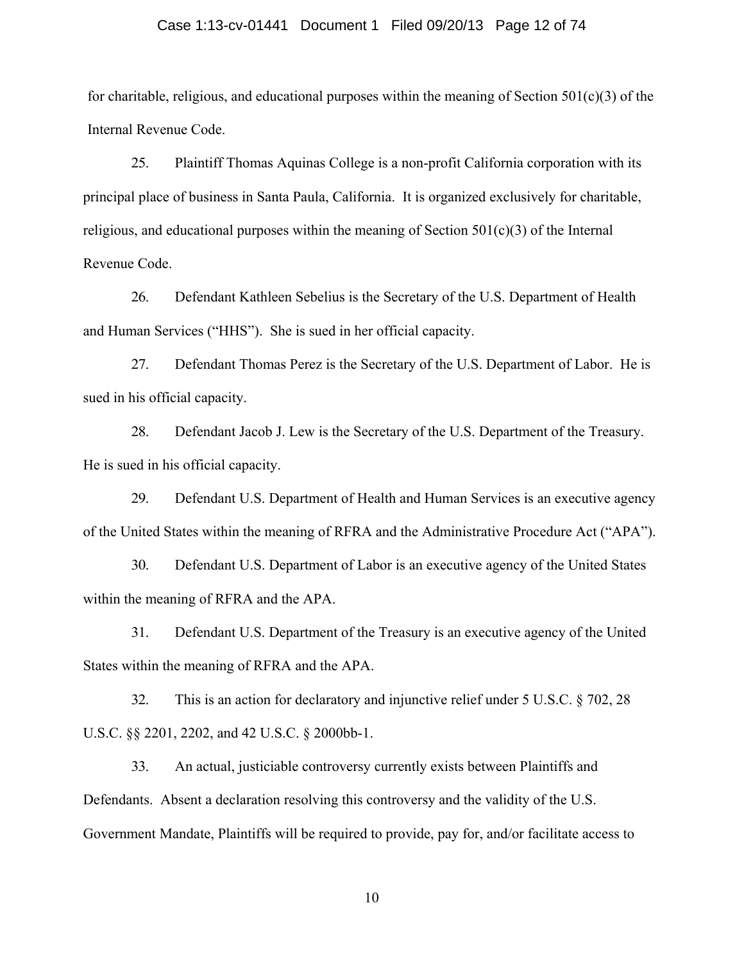## Case 1:13-cv-01441 Document 1 Filed 09/20/13 Page 12 of 74

for charitable, religious, and educational purposes within the meaning of Section  $501(c)(3)$  of the Internal Revenue Code.

25. Plaintiff Thomas Aquinas College is a non-profit California corporation with its principal place of business in Santa Paula, California. It is organized exclusively for charitable, religious, and educational purposes within the meaning of Section  $501(c)(3)$  of the Internal Revenue Code.

26. Defendant Kathleen Sebelius is the Secretary of the U.S. Department of Health and Human Services ("HHS"). She is sued in her official capacity.

27. Defendant Thomas Perez is the Secretary of the U.S. Department of Labor. He is sued in his official capacity.

28. Defendant Jacob J. Lew is the Secretary of the U.S. Department of the Treasury. He is sued in his official capacity.

29. Defendant U.S. Department of Health and Human Services is an executive agency of the United States within the meaning of RFRA and the Administrative Procedure Act ("APA").

30. Defendant U.S. Department of Labor is an executive agency of the United States within the meaning of RFRA and the APA.

31. Defendant U.S. Department of the Treasury is an executive agency of the United States within the meaning of RFRA and the APA.

32. This is an action for declaratory and injunctive relief under 5 U.S.C. § 702, 28 U.S.C. §§ 2201, 2202, and 42 U.S.C. § 2000bb-1.

33. An actual, justiciable controversy currently exists between Plaintiffs and Defendants. Absent a declaration resolving this controversy and the validity of the U.S. Government Mandate, Plaintiffs will be required to provide, pay for, and/or facilitate access to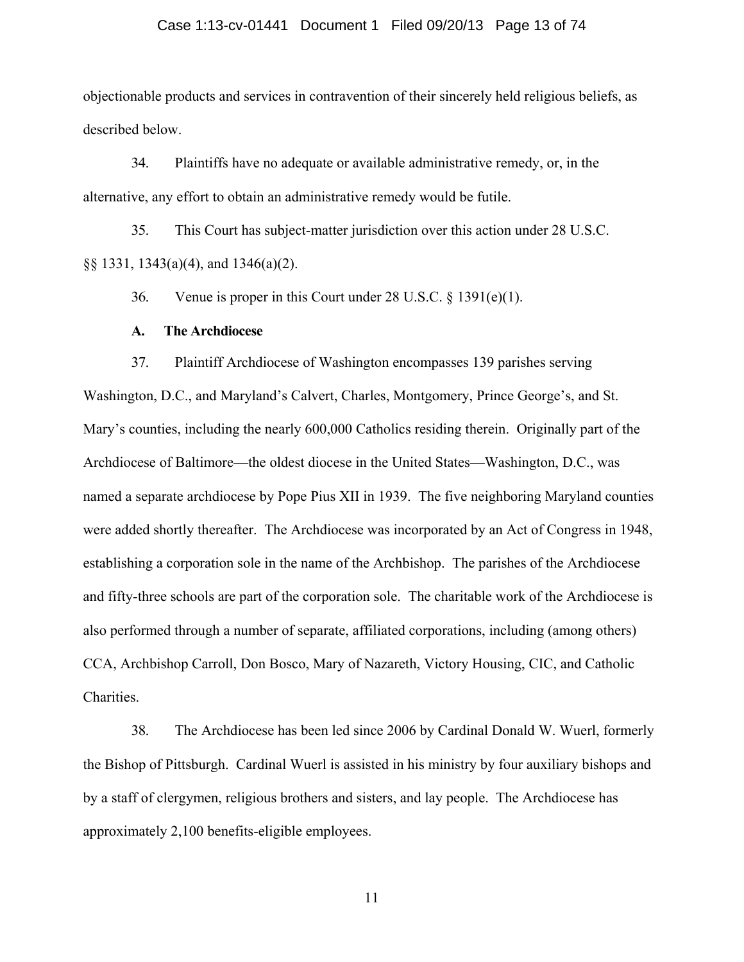## Case 1:13-cv-01441 Document 1 Filed 09/20/13 Page 13 of 74

objectionable products and services in contravention of their sincerely held religious beliefs, as described below.

34. Plaintiffs have no adequate or available administrative remedy, or, in the alternative, any effort to obtain an administrative remedy would be futile.

35. This Court has subject-matter jurisdiction over this action under 28 U.S.C. §§ 1331, 1343(a)(4), and 1346(a)(2).

36. Venue is proper in this Court under 28 U.S.C. § 1391(e)(1).

### **A. The Archdiocese**

37. Plaintiff Archdiocese of Washington encompasses 139 parishes serving

Washington, D.C., and Maryland's Calvert, Charles, Montgomery, Prince George's, and St. Mary's counties, including the nearly 600,000 Catholics residing therein. Originally part of the Archdiocese of Baltimore—the oldest diocese in the United States—Washington, D.C., was named a separate archdiocese by Pope Pius XII in 1939. The five neighboring Maryland counties were added shortly thereafter. The Archdiocese was incorporated by an Act of Congress in 1948, establishing a corporation sole in the name of the Archbishop. The parishes of the Archdiocese and fifty-three schools are part of the corporation sole. The charitable work of the Archdiocese is also performed through a number of separate, affiliated corporations, including (among others) CCA, Archbishop Carroll, Don Bosco, Mary of Nazareth, Victory Housing, CIC, and Catholic Charities.

38. The Archdiocese has been led since 2006 by Cardinal Donald W. Wuerl, formerly the Bishop of Pittsburgh. Cardinal Wuerl is assisted in his ministry by four auxiliary bishops and by a staff of clergymen, religious brothers and sisters, and lay people. The Archdiocese has approximately 2,100 benefits-eligible employees.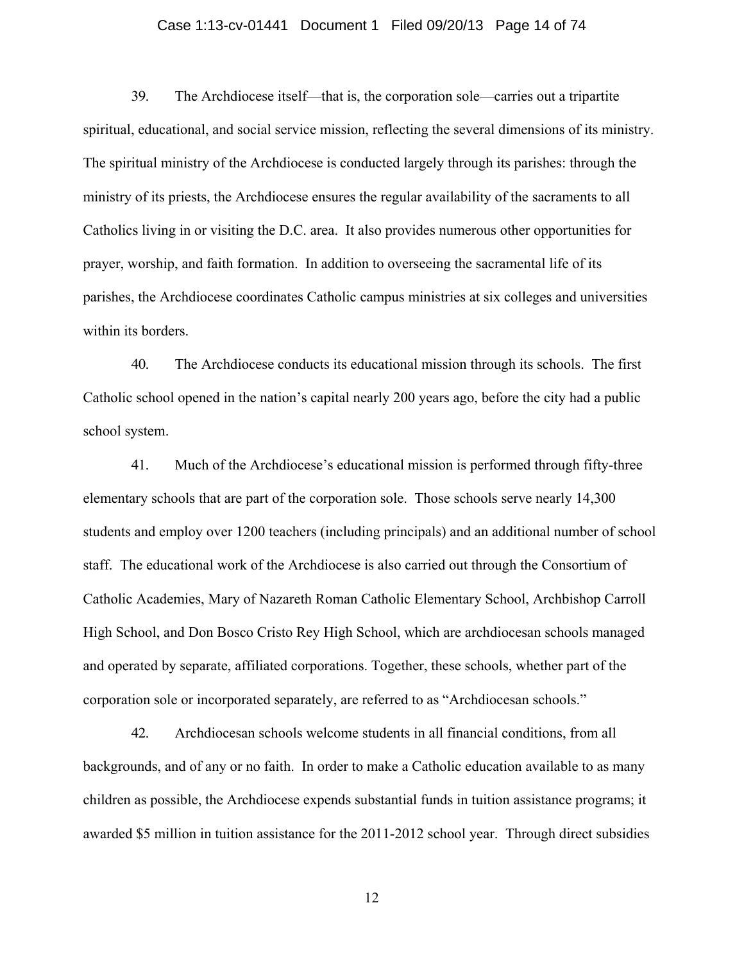## Case 1:13-cv-01441 Document 1 Filed 09/20/13 Page 14 of 74

39. The Archdiocese itself—that is, the corporation sole—carries out a tripartite spiritual, educational, and social service mission, reflecting the several dimensions of its ministry. The spiritual ministry of the Archdiocese is conducted largely through its parishes: through the ministry of its priests, the Archdiocese ensures the regular availability of the sacraments to all Catholics living in or visiting the D.C. area. It also provides numerous other opportunities for prayer, worship, and faith formation. In addition to overseeing the sacramental life of its parishes, the Archdiocese coordinates Catholic campus ministries at six colleges and universities within its borders.

40. The Archdiocese conducts its educational mission through its schools. The first Catholic school opened in the nation's capital nearly 200 years ago, before the city had a public school system.

41. Much of the Archdiocese's educational mission is performed through fifty-three elementary schools that are part of the corporation sole. Those schools serve nearly 14,300 students and employ over 1200 teachers (including principals) and an additional number of school staff. The educational work of the Archdiocese is also carried out through the Consortium of Catholic Academies, Mary of Nazareth Roman Catholic Elementary School, Archbishop Carroll High School, and Don Bosco Cristo Rey High School, which are archdiocesan schools managed and operated by separate, affiliated corporations. Together, these schools, whether part of the corporation sole or incorporated separately, are referred to as "Archdiocesan schools."

42. Archdiocesan schools welcome students in all financial conditions, from all backgrounds, and of any or no faith. In order to make a Catholic education available to as many children as possible, the Archdiocese expends substantial funds in tuition assistance programs; it awarded \$5 million in tuition assistance for the 2011-2012 school year. Through direct subsidies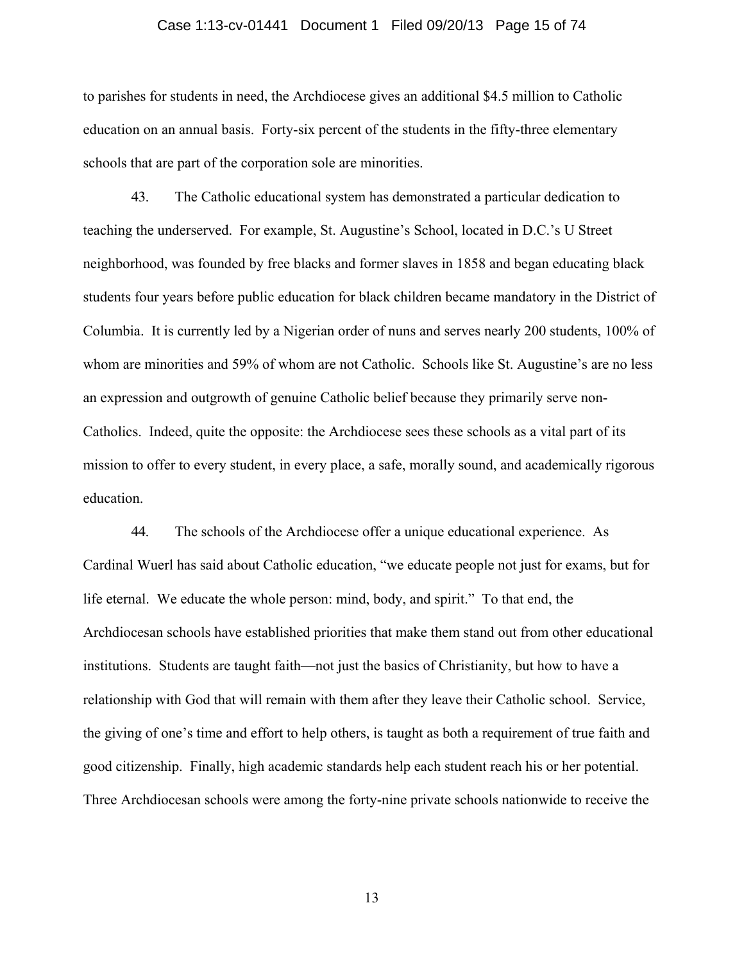#### Case 1:13-cv-01441 Document 1 Filed 09/20/13 Page 15 of 74

to parishes for students in need, the Archdiocese gives an additional \$4.5 million to Catholic education on an annual basis. Forty-six percent of the students in the fifty-three elementary schools that are part of the corporation sole are minorities.

43. The Catholic educational system has demonstrated a particular dedication to teaching the underserved. For example, St. Augustine's School, located in D.C.'s U Street neighborhood, was founded by free blacks and former slaves in 1858 and began educating black students four years before public education for black children became mandatory in the District of Columbia. It is currently led by a Nigerian order of nuns and serves nearly 200 students, 100% of whom are minorities and 59% of whom are not Catholic. Schools like St. Augustine's are no less an expression and outgrowth of genuine Catholic belief because they primarily serve non-Catholics. Indeed, quite the opposite: the Archdiocese sees these schools as a vital part of its mission to offer to every student, in every place, a safe, morally sound, and academically rigorous education.

44. The schools of the Archdiocese offer a unique educational experience. As Cardinal Wuerl has said about Catholic education, "we educate people not just for exams, but for life eternal. We educate the whole person: mind, body, and spirit." To that end, the Archdiocesan schools have established priorities that make them stand out from other educational institutions. Students are taught faith—not just the basics of Christianity, but how to have a relationship with God that will remain with them after they leave their Catholic school. Service, the giving of one's time and effort to help others, is taught as both a requirement of true faith and good citizenship. Finally, high academic standards help each student reach his or her potential. Three Archdiocesan schools were among the forty-nine private schools nationwide to receive the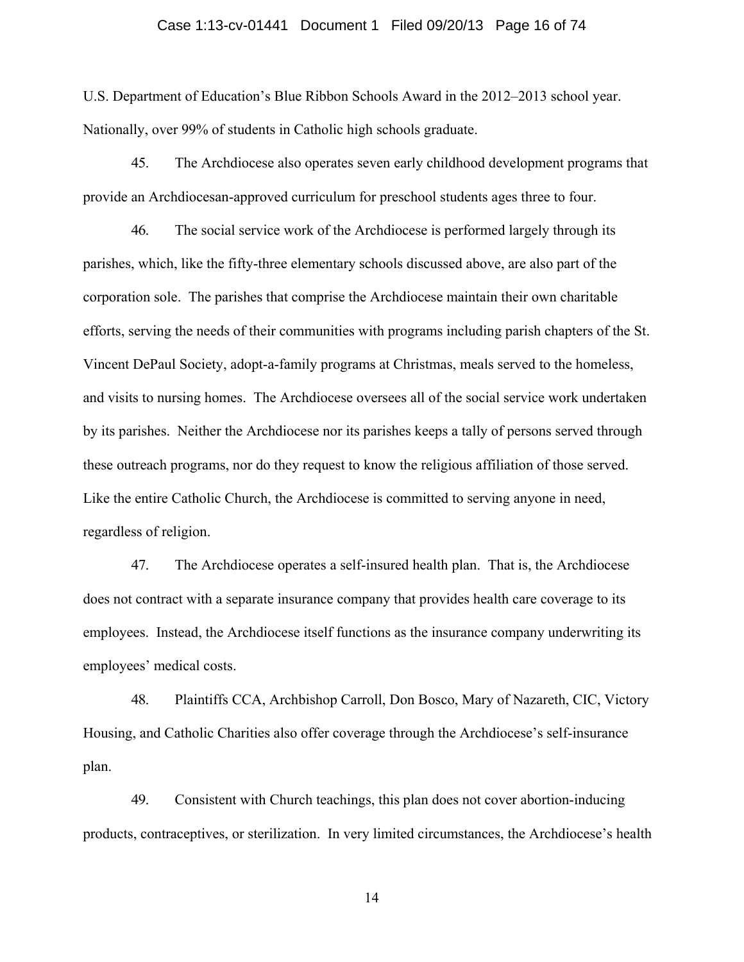### Case 1:13-cv-01441 Document 1 Filed 09/20/13 Page 16 of 74

U.S. Department of Education's Blue Ribbon Schools Award in the 2012–2013 school year. Nationally, over 99% of students in Catholic high schools graduate.

45. The Archdiocese also operates seven early childhood development programs that provide an Archdiocesan-approved curriculum for preschool students ages three to four.

46. The social service work of the Archdiocese is performed largely through its parishes, which, like the fifty-three elementary schools discussed above, are also part of the corporation sole. The parishes that comprise the Archdiocese maintain their own charitable efforts, serving the needs of their communities with programs including parish chapters of the St. Vincent DePaul Society, adopt-a-family programs at Christmas, meals served to the homeless, and visits to nursing homes. The Archdiocese oversees all of the social service work undertaken by its parishes. Neither the Archdiocese nor its parishes keeps a tally of persons served through these outreach programs, nor do they request to know the religious affiliation of those served. Like the entire Catholic Church, the Archdiocese is committed to serving anyone in need, regardless of religion.

47. The Archdiocese operates a self-insured health plan.That is, the Archdiocese does not contract with a separate insurance company that provides health care coverage to its employees. Instead, the Archdiocese itself functions as the insurance company underwriting its employees' medical costs.

48. Plaintiffs CCA, Archbishop Carroll, Don Bosco, Mary of Nazareth, CIC, Victory Housing, and Catholic Charities also offer coverage through the Archdiocese's self-insurance plan.

49. Consistent with Church teachings, this plan does not cover abortion-inducing products, contraceptives, or sterilization. In very limited circumstances, the Archdiocese's health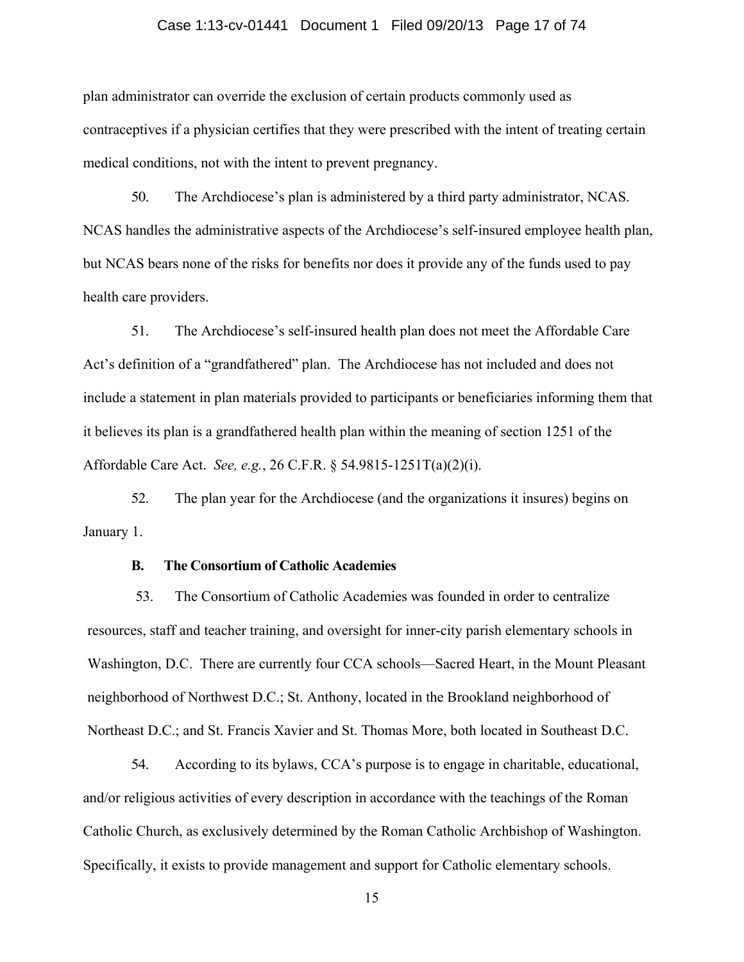#### Case 1:13-cv-01441 Document 1 Filed 09/20/13 Page 17 of 74

plan administrator can override the exclusion of certain products commonly used as contraceptives if a physician certifies that they were prescribed with the intent of treating certain medical conditions, not with the intent to prevent pregnancy.

50. The Archdiocese's plan is administered by a third party administrator, NCAS. NCAS handles the administrative aspects of the Archdiocese's self-insured employee health plan, but NCAS bears none of the risks for benefits nor does it provide any of the funds used to pay health care providers.

51. The Archdiocese's self-insured health plan does not meet the Affordable Care Act's definition of a "grandfathered" plan. The Archdiocese has not included and does not include a statement in plan materials provided to participants or beneficiaries informing them that it believes its plan is a grandfathered health plan within the meaning of section 1251 of the Affordable Care Act. *See, e.g.*, 26 C.F.R. § 54.9815-1251T(a)(2)(i).

52. The plan year for the Archdiocese (and the organizations it insures) begins on January 1.

#### **B. The Consortium of Catholic Academies**

53. The Consortium of Catholic Academies was founded in order to centralize resources, staff and teacher training, and oversight for inner-city parish elementary schools in Washington, D.C. There are currently four CCA schools—Sacred Heart, in the Mount Pleasant neighborhood of Northwest D.C.; St. Anthony, located in the Brookland neighborhood of Northeast D.C.; and St. Francis Xavier and St. Thomas More, both located in Southeast D.C.

54. According to its bylaws, CCA's purpose is to engage in charitable, educational, and/or religious activities of every description in accordance with the teachings of the Roman Catholic Church, as exclusively determined by the Roman Catholic Archbishop of Washington. Specifically, it exists to provide management and support for Catholic elementary schools.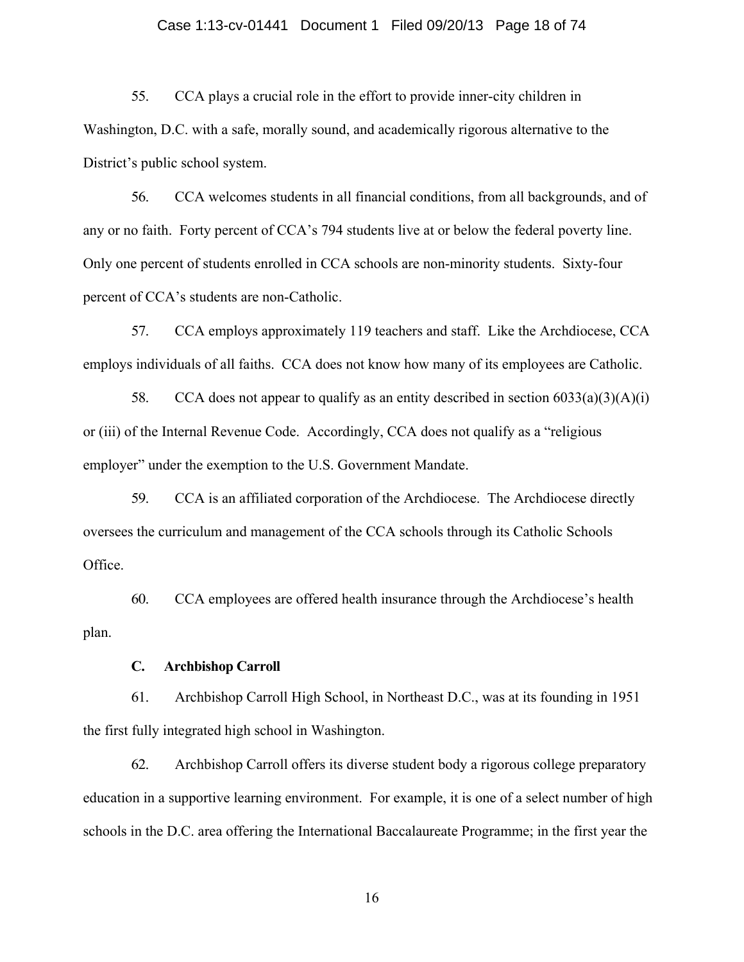## Case 1:13-cv-01441 Document 1 Filed 09/20/13 Page 18 of 74

55. CCA plays a crucial role in the effort to provide inner-city children in Washington, D.C. with a safe, morally sound, and academically rigorous alternative to the District's public school system.

56. CCA welcomes students in all financial conditions, from all backgrounds, and of any or no faith. Forty percent of CCA's 794 students live at or below the federal poverty line. Only one percent of students enrolled in CCA schools are non-minority students. Sixty-four percent of CCA's students are non-Catholic.

57. CCA employs approximately 119 teachers and staff. Like the Archdiocese, CCA employs individuals of all faiths. CCA does not know how many of its employees are Catholic.

58. CCA does not appear to qualify as an entity described in section  $6033(a)(3)(A)(i)$ or (iii) of the Internal Revenue Code. Accordingly, CCA does not qualify as a "religious employer" under the exemption to the U.S. Government Mandate.

59. CCA is an affiliated corporation of the Archdiocese. The Archdiocese directly oversees the curriculum and management of the CCA schools through its Catholic Schools Office.

60. CCA employees are offered health insurance through the Archdiocese's health plan.

## **C. Archbishop Carroll**

61. Archbishop Carroll High School, in Northeast D.C., was at its founding in 1951 the first fully integrated high school in Washington.

62. Archbishop Carroll offers its diverse student body a rigorous college preparatory education in a supportive learning environment. For example, it is one of a select number of high schools in the D.C. area offering the International Baccalaureate Programme; in the first year the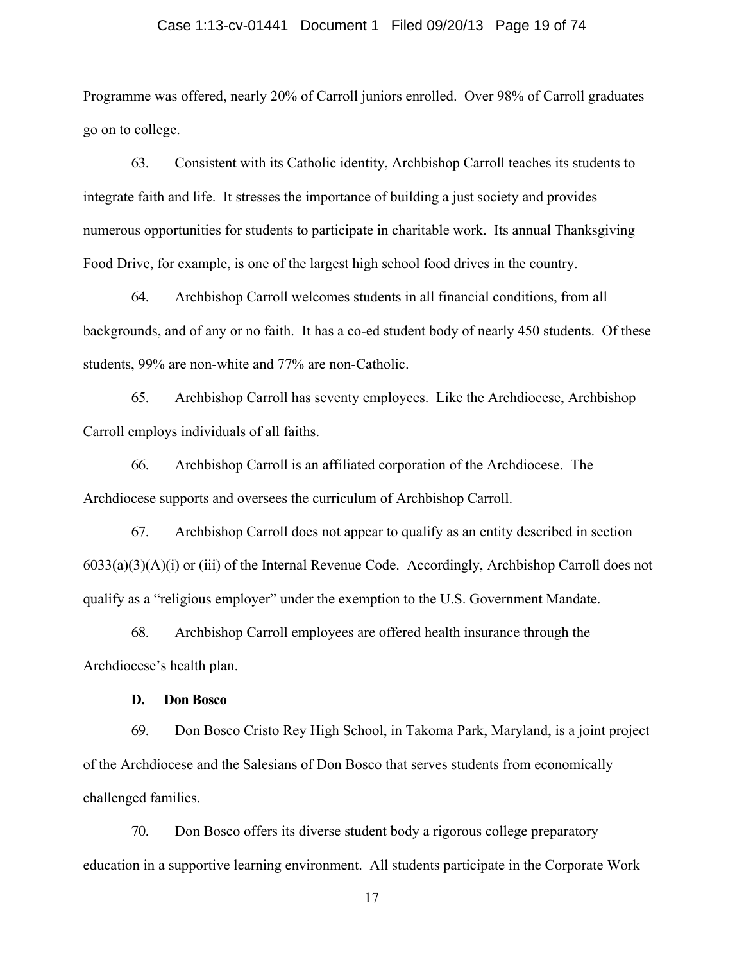#### Case 1:13-cv-01441 Document 1 Filed 09/20/13 Page 19 of 74

Programme was offered, nearly 20% of Carroll juniors enrolled. Over 98% of Carroll graduates go on to college.

63. Consistent with its Catholic identity, Archbishop Carroll teaches its students to integrate faith and life. It stresses the importance of building a just society and provides numerous opportunities for students to participate in charitable work. Its annual Thanksgiving Food Drive, for example, is one of the largest high school food drives in the country.

64. Archbishop Carroll welcomes students in all financial conditions, from all backgrounds, and of any or no faith. It has a co-ed student body of nearly 450 students. Of these students, 99% are non-white and 77% are non-Catholic.

65. Archbishop Carroll has seventy employees. Like the Archdiocese, Archbishop Carroll employs individuals of all faiths.

66. Archbishop Carroll is an affiliated corporation of the Archdiocese. The Archdiocese supports and oversees the curriculum of Archbishop Carroll.

67. Archbishop Carroll does not appear to qualify as an entity described in section 6033(a)(3)(A)(i) or (iii) of the Internal Revenue Code. Accordingly, Archbishop Carroll does not qualify as a "religious employer" under the exemption to the U.S. Government Mandate.

68. Archbishop Carroll employees are offered health insurance through the Archdiocese's health plan.

#### **D. Don Bosco**

69. Don Bosco Cristo Rey High School, in Takoma Park, Maryland, is a joint project of the Archdiocese and the Salesians of Don Bosco that serves students from economically challenged families.

70. Don Bosco offers its diverse student body a rigorous college preparatory education in a supportive learning environment. All students participate in the Corporate Work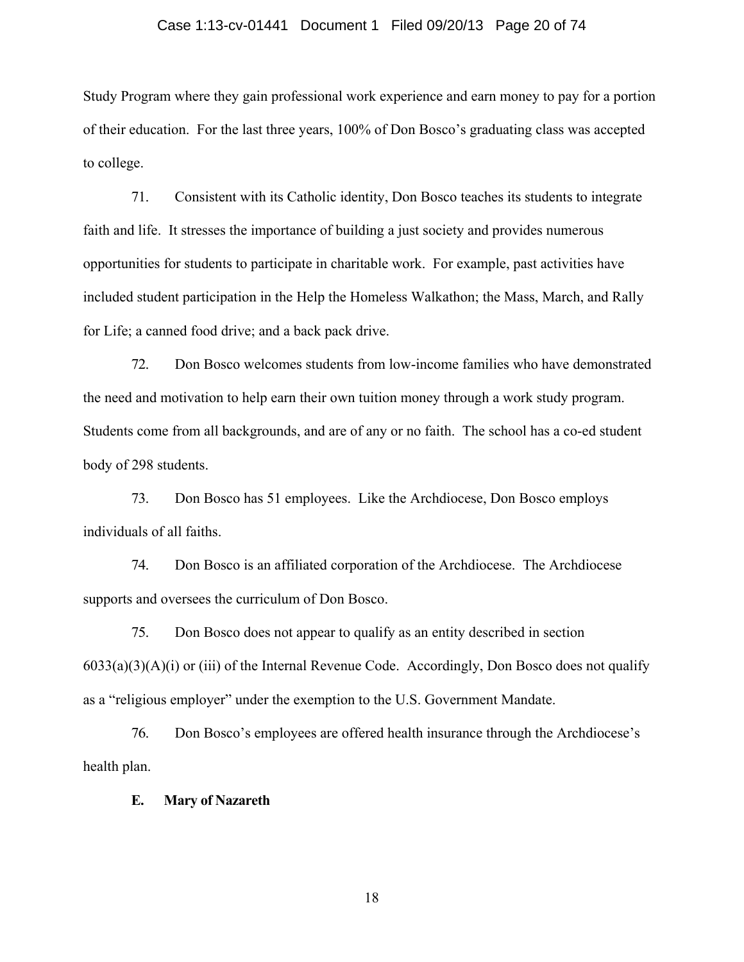## Case 1:13-cv-01441 Document 1 Filed 09/20/13 Page 20 of 74

Study Program where they gain professional work experience and earn money to pay for a portion of their education. For the last three years, 100% of Don Bosco's graduating class was accepted to college.

71. Consistent with its Catholic identity, Don Bosco teaches its students to integrate faith and life. It stresses the importance of building a just society and provides numerous opportunities for students to participate in charitable work. For example, past activities have included student participation in the Help the Homeless Walkathon; the Mass, March, and Rally for Life; a canned food drive; and a back pack drive.

72. Don Bosco welcomes students from low-income families who have demonstrated the need and motivation to help earn their own tuition money through a work study program. Students come from all backgrounds, and are of any or no faith. The school has a co-ed student body of 298 students.

73. Don Bosco has 51 employees. Like the Archdiocese, Don Bosco employs individuals of all faiths.

74. Don Bosco is an affiliated corporation of the Archdiocese. The Archdiocese supports and oversees the curriculum of Don Bosco.

75. Don Bosco does not appear to qualify as an entity described in section  $6033(a)(3)(A)(i)$  or (iii) of the Internal Revenue Code. Accordingly, Don Bosco does not qualify as a "religious employer" under the exemption to the U.S. Government Mandate.

76. Don Bosco's employees are offered health insurance through the Archdiocese's health plan.

**E. Mary of Nazareth**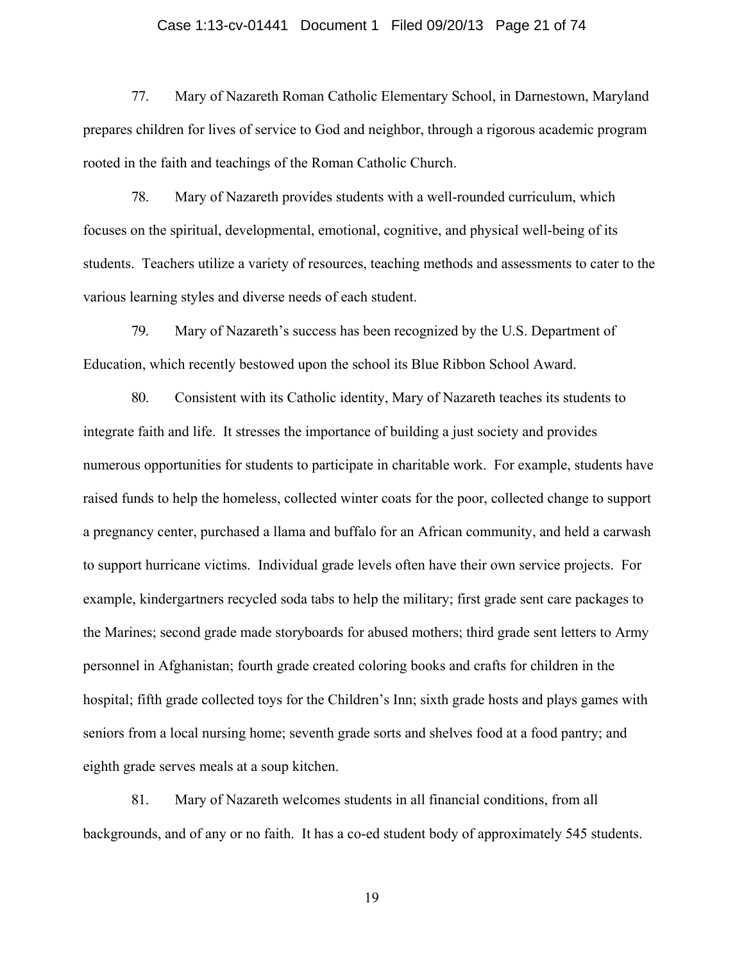### Case 1:13-cv-01441 Document 1 Filed 09/20/13 Page 21 of 74

77. Mary of Nazareth Roman Catholic Elementary School, in Darnestown, Maryland prepares children for lives of service to God and neighbor, through a rigorous academic program rooted in the faith and teachings of the Roman Catholic Church.

78. Mary of Nazareth provides students with a well-rounded curriculum, which focuses on the spiritual, developmental, emotional, cognitive, and physical well-being of its students. Teachers utilize a variety of resources, teaching methods and assessments to cater to the various learning styles and diverse needs of each student.

79. Mary of Nazareth's success has been recognized by the U.S. Department of Education, which recently bestowed upon the school its Blue Ribbon School Award.

80. Consistent with its Catholic identity, Mary of Nazareth teaches its students to integrate faith and life. It stresses the importance of building a just society and provides numerous opportunities for students to participate in charitable work. For example, students have raised funds to help the homeless, collected winter coats for the poor, collected change to support a pregnancy center, purchased a llama and buffalo for an African community, and held a carwash to support hurricane victims. Individual grade levels often have their own service projects. For example, kindergartners recycled soda tabs to help the military; first grade sent care packages to the Marines; second grade made storyboards for abused mothers; third grade sent letters to Army personnel in Afghanistan; fourth grade created coloring books and crafts for children in the hospital; fifth grade collected toys for the Children's Inn; sixth grade hosts and plays games with seniors from a local nursing home; seventh grade sorts and shelves food at a food pantry; and eighth grade serves meals at a soup kitchen.

81. Mary of Nazareth welcomes students in all financial conditions, from all backgrounds, and of any or no faith. It has a co-ed student body of approximately 545 students.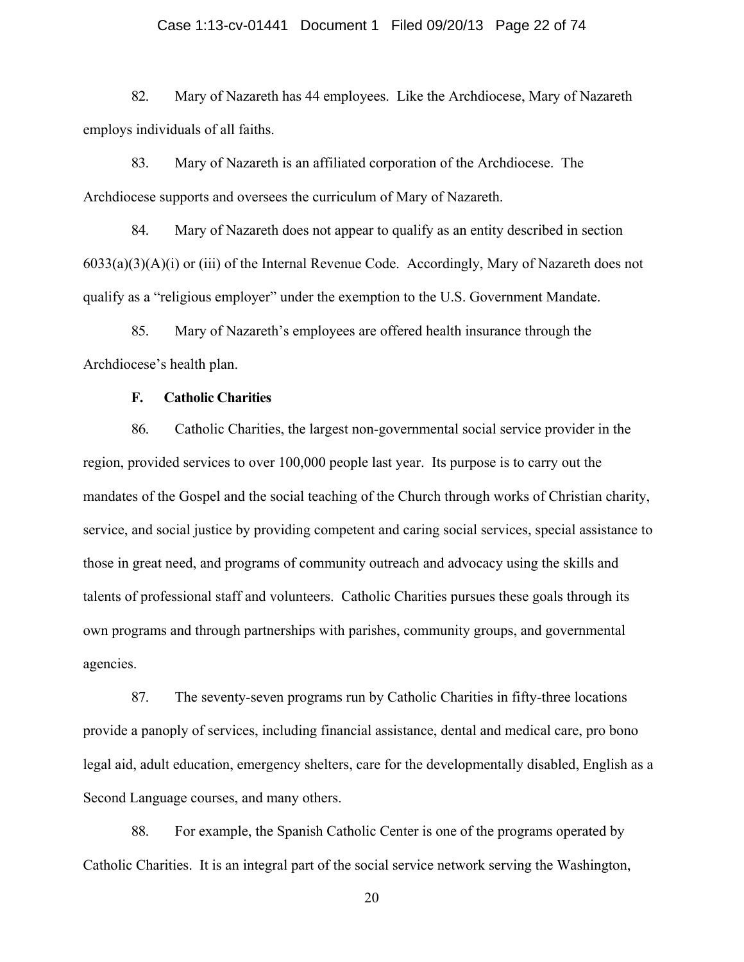## Case 1:13-cv-01441 Document 1 Filed 09/20/13 Page 22 of 74

82. Mary of Nazareth has 44 employees. Like the Archdiocese, Mary of Nazareth employs individuals of all faiths.

83. Mary of Nazareth is an affiliated corporation of the Archdiocese. The Archdiocese supports and oversees the curriculum of Mary of Nazareth.

84. Mary of Nazareth does not appear to qualify as an entity described in section 6033(a)(3)(A)(i) or (iii) of the Internal Revenue Code. Accordingly, Mary of Nazareth does not qualify as a "religious employer" under the exemption to the U.S. Government Mandate.

85. Mary of Nazareth's employees are offered health insurance through the Archdiocese's health plan.

## **F. Catholic Charities**

86. Catholic Charities, the largest non-governmental social service provider in the region, provided services to over 100,000 people last year. Its purpose is to carry out the mandates of the Gospel and the social teaching of the Church through works of Christian charity, service, and social justice by providing competent and caring social services, special assistance to those in great need, and programs of community outreach and advocacy using the skills and talents of professional staff and volunteers. Catholic Charities pursues these goals through its own programs and through partnerships with parishes, community groups, and governmental agencies.

87. The seventy-seven programs run by Catholic Charities in fifty-three locations provide a panoply of services, including financial assistance, dental and medical care, pro bono legal aid, adult education, emergency shelters, care for the developmentally disabled, English as a Second Language courses, and many others.

88. For example, the Spanish Catholic Center is one of the programs operated by Catholic Charities. It is an integral part of the social service network serving the Washington,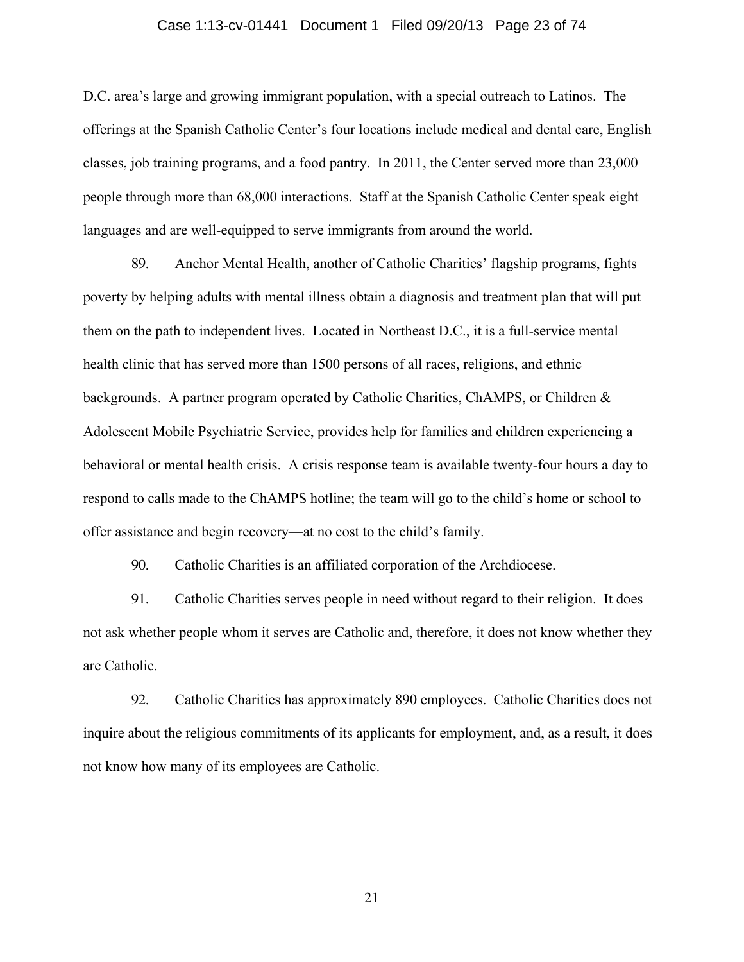### Case 1:13-cv-01441 Document 1 Filed 09/20/13 Page 23 of 74

D.C. area's large and growing immigrant population, with a special outreach to Latinos. The offerings at the Spanish Catholic Center's four locations include medical and dental care, English classes, job training programs, and a food pantry. In 2011, the Center served more than 23,000 people through more than 68,000 interactions. Staff at the Spanish Catholic Center speak eight languages and are well-equipped to serve immigrants from around the world.

89. Anchor Mental Health, another of Catholic Charities' flagship programs, fights poverty by helping adults with mental illness obtain a diagnosis and treatment plan that will put them on the path to independent lives. Located in Northeast D.C., it is a full-service mental health clinic that has served more than 1500 persons of all races, religions, and ethnic backgrounds. A partner program operated by Catholic Charities, ChAMPS, or Children & Adolescent Mobile Psychiatric Service, provides help for families and children experiencing a behavioral or mental health crisis. A crisis response team is available twenty-four hours a day to respond to calls made to the ChAMPS hotline; the team will go to the child's home or school to offer assistance and begin recovery—at no cost to the child's family.

90. Catholic Charities is an affiliated corporation of the Archdiocese.

91. Catholic Charities serves people in need without regard to their religion. It does not ask whether people whom it serves are Catholic and, therefore, it does not know whether they are Catholic.

92. Catholic Charities has approximately 890 employees. Catholic Charities does not inquire about the religious commitments of its applicants for employment, and, as a result, it does not know how many of its employees are Catholic.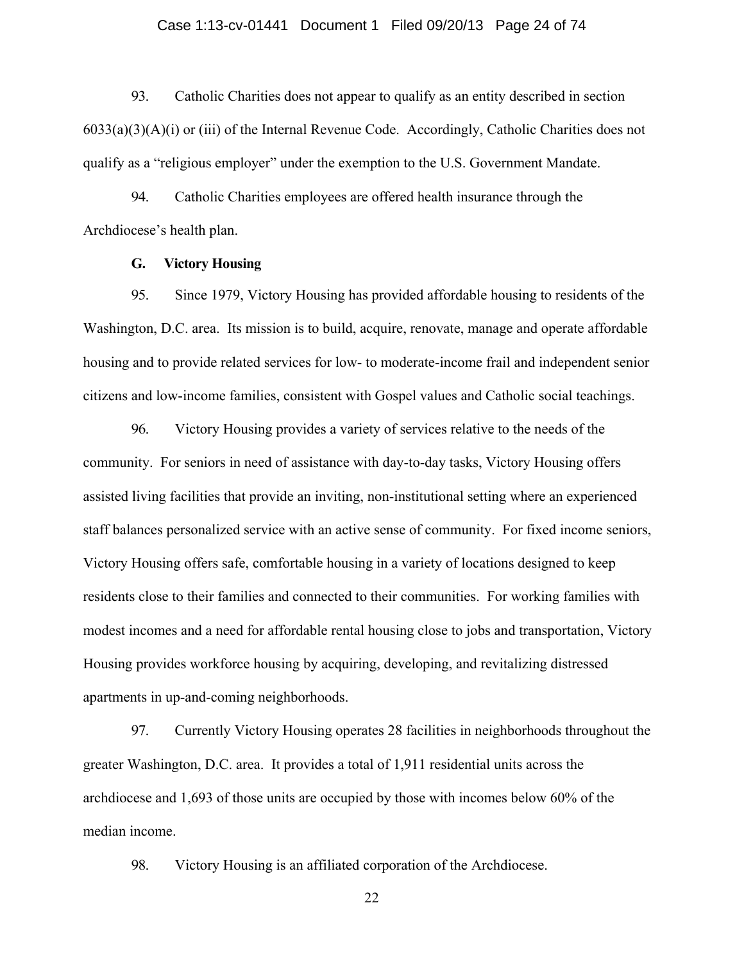### Case 1:13-cv-01441 Document 1 Filed 09/20/13 Page 24 of 74

93. Catholic Charities does not appear to qualify as an entity described in section 6033(a)(3)(A)(i) or (iii) of the Internal Revenue Code. Accordingly, Catholic Charities does not qualify as a "religious employer" under the exemption to the U.S. Government Mandate.

94. Catholic Charities employees are offered health insurance through the Archdiocese's health plan.

## **G. Victory Housing**

95. Since 1979, Victory Housing has provided affordable housing to residents of the Washington, D.C. area. Its mission is to build, acquire, renovate, manage and operate affordable housing and to provide related services for low- to moderate-income frail and independent senior citizens and low-income families, consistent with Gospel values and Catholic social teachings.

96. Victory Housing provides a variety of services relative to the needs of the community. For seniors in need of assistance with day-to-day tasks, Victory Housing offers assisted living facilities that provide an inviting, non-institutional setting where an experienced staff balances personalized service with an active sense of community. For fixed income seniors, Victory Housing offers safe, comfortable housing in a variety of locations designed to keep residents close to their families and connected to their communities. For working families with modest incomes and a need for affordable rental housing close to jobs and transportation, Victory Housing provides workforce housing by acquiring, developing, and revitalizing distressed apartments in up-and-coming neighborhoods.

97. Currently Victory Housing operates 28 facilities in neighborhoods throughout the greater Washington, D.C. area. It provides a total of 1,911 residential units across the archdiocese and 1,693 of those units are occupied by those with incomes below 60% of the median income.

98. Victory Housing is an affiliated corporation of the Archdiocese.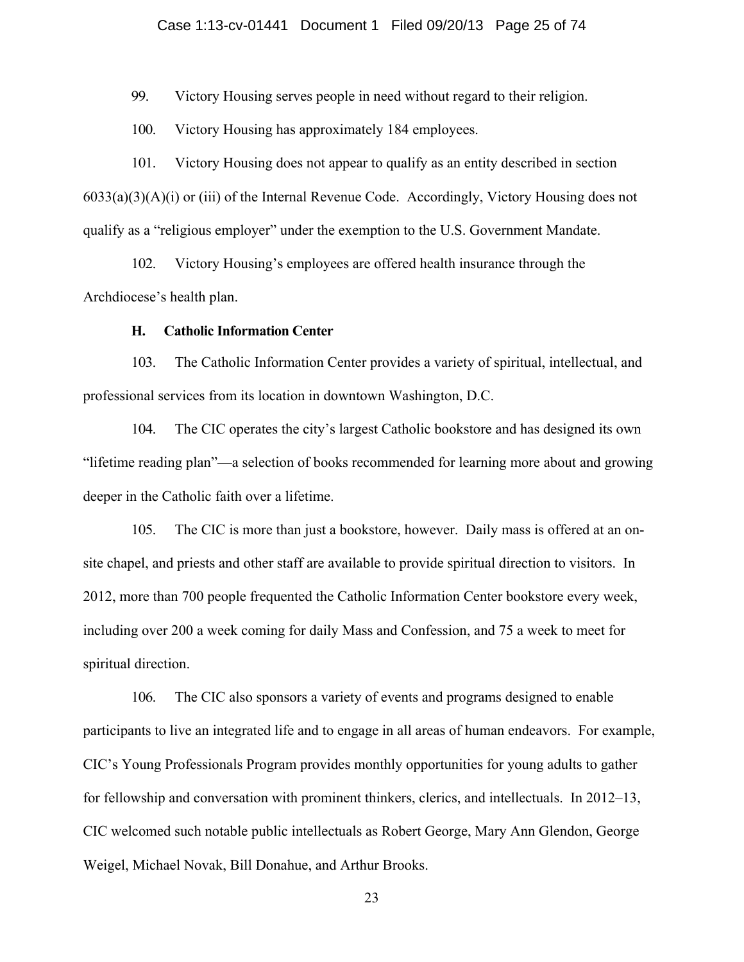## Case 1:13-cv-01441 Document 1 Filed 09/20/13 Page 25 of 74

99. Victory Housing serves people in need without regard to their religion.

100. Victory Housing has approximately 184 employees.

101. Victory Housing does not appear to qualify as an entity described in section 6033(a)(3)(A)(i) or (iii) of the Internal Revenue Code. Accordingly, Victory Housing does not qualify as a "religious employer" under the exemption to the U.S. Government Mandate.

102. Victory Housing's employees are offered health insurance through the Archdiocese's health plan.

#### **H. Catholic Information Center**

103. The Catholic Information Center provides a variety of spiritual, intellectual, and professional services from its location in downtown Washington, D.C.

104. The CIC operates the city's largest Catholic bookstore and has designed its own "lifetime reading plan"—a selection of books recommended for learning more about and growing deeper in the Catholic faith over a lifetime.

105. The CIC is more than just a bookstore, however. Daily mass is offered at an onsite chapel, and priests and other staff are available to provide spiritual direction to visitors. In 2012, more than 700 people frequented the Catholic Information Center bookstore every week, including over 200 a week coming for daily Mass and Confession, and 75 a week to meet for spiritual direction.

106. The CIC also sponsors a variety of events and programs designed to enable participants to live an integrated life and to engage in all areas of human endeavors. For example, CIC's Young Professionals Program provides monthly opportunities for young adults to gather for fellowship and conversation with prominent thinkers, clerics, and intellectuals. In 2012–13, CIC welcomed such notable public intellectuals as Robert George, Mary Ann Glendon, George Weigel, Michael Novak, Bill Donahue, and Arthur Brooks.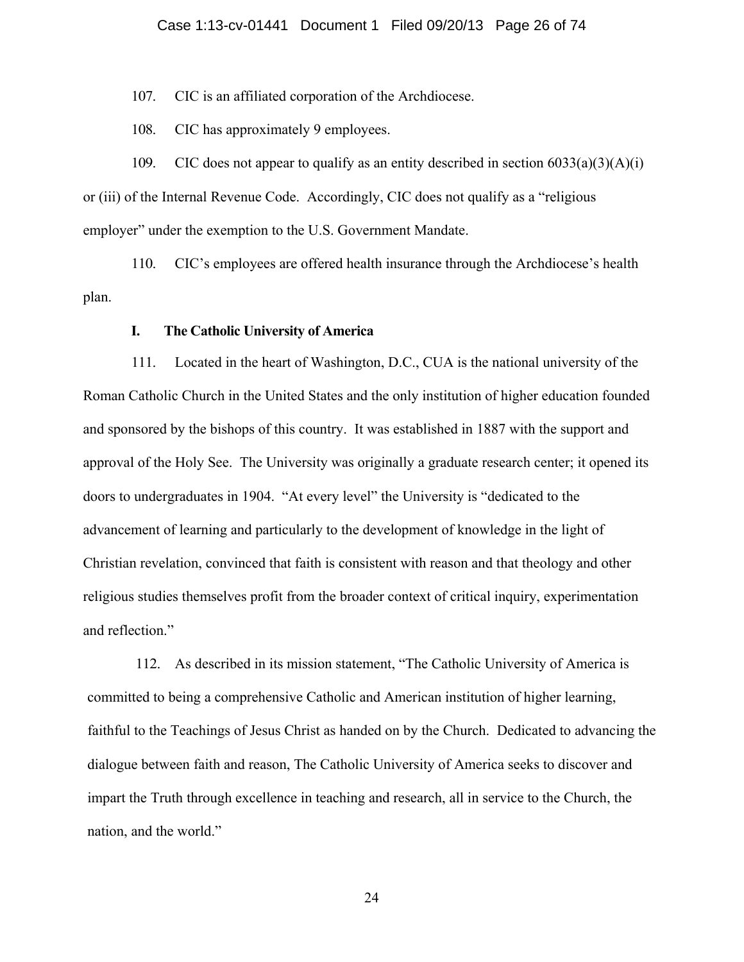107. CIC is an affiliated corporation of the Archdiocese.

108. CIC has approximately 9 employees.

109. CIC does not appear to qualify as an entity described in section  $6033(a)(3)(A)(i)$ or (iii) of the Internal Revenue Code. Accordingly, CIC does not qualify as a "religious employer" under the exemption to the U.S. Government Mandate.

110. CIC's employees are offered health insurance through the Archdiocese's health plan.

## **I. The Catholic University of America**

111. Located in the heart of Washington, D.C., CUA is the national university of the Roman Catholic Church in the United States and the only institution of higher education founded and sponsored by the bishops of this country. It was established in 1887 with the support and approval of the Holy See. The University was originally a graduate research center; it opened its doors to undergraduates in 1904. "At every level" the University is "dedicated to the advancement of learning and particularly to the development of knowledge in the light of Christian revelation, convinced that faith is consistent with reason and that theology and other religious studies themselves profit from the broader context of critical inquiry, experimentation and reflection."

112. As described in its mission statement, "The Catholic University of America is committed to being a comprehensive Catholic and American institution of higher learning, faithful to the Teachings of Jesus Christ as handed on by the Church. Dedicated to advancing the dialogue between faith and reason, The Catholic University of America seeks to discover and impart the Truth through excellence in teaching and research, all in service to the Church, the nation, and the world."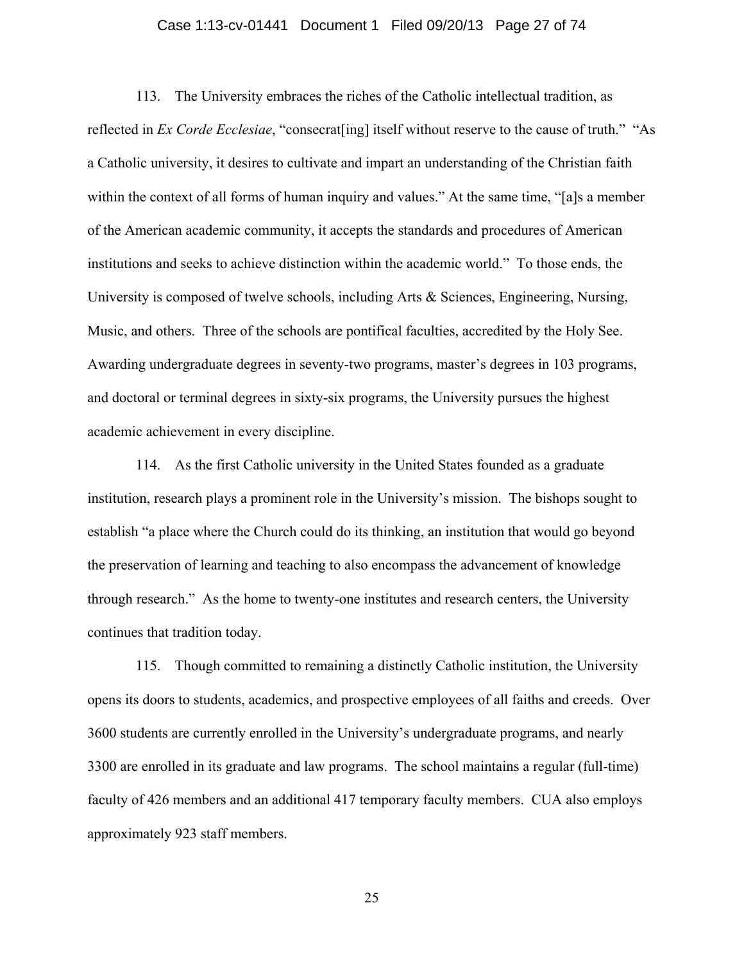## Case 1:13-cv-01441 Document 1 Filed 09/20/13 Page 27 of 74

113. The University embraces the riches of the Catholic intellectual tradition, as reflected in *Ex Corde Ecclesiae*, "consecrat[ing] itself without reserve to the cause of truth." "As a Catholic university, it desires to cultivate and impart an understanding of the Christian faith within the context of all forms of human inquiry and values." At the same time, "[a]s a member of the American academic community, it accepts the standards and procedures of American institutions and seeks to achieve distinction within the academic world." To those ends, the University is composed of twelve schools, including Arts & Sciences, Engineering, Nursing, Music, and others. Three of the schools are pontifical faculties, accredited by the Holy See. Awarding undergraduate degrees in seventy-two programs, master's degrees in 103 programs, and doctoral or terminal degrees in sixty-six programs, the University pursues the highest academic achievement in every discipline.

114. As the first Catholic university in the United States founded as a graduate institution, research plays a prominent role in the University's mission. The bishops sought to establish "a place where the Church could do its thinking, an institution that would go beyond the preservation of learning and teaching to also encompass the advancement of knowledge through research." As the home to twenty-one institutes and research centers, the University continues that tradition today.

115. Though committed to remaining a distinctly Catholic institution, the University opens its doors to students, academics, and prospective employees of all faiths and creeds. Over 3600 students are currently enrolled in the University's undergraduate programs, and nearly 3300 are enrolled in its graduate and law programs. The school maintains a regular (full-time) faculty of 426 members and an additional 417 temporary faculty members. CUA also employs approximately 923 staff members.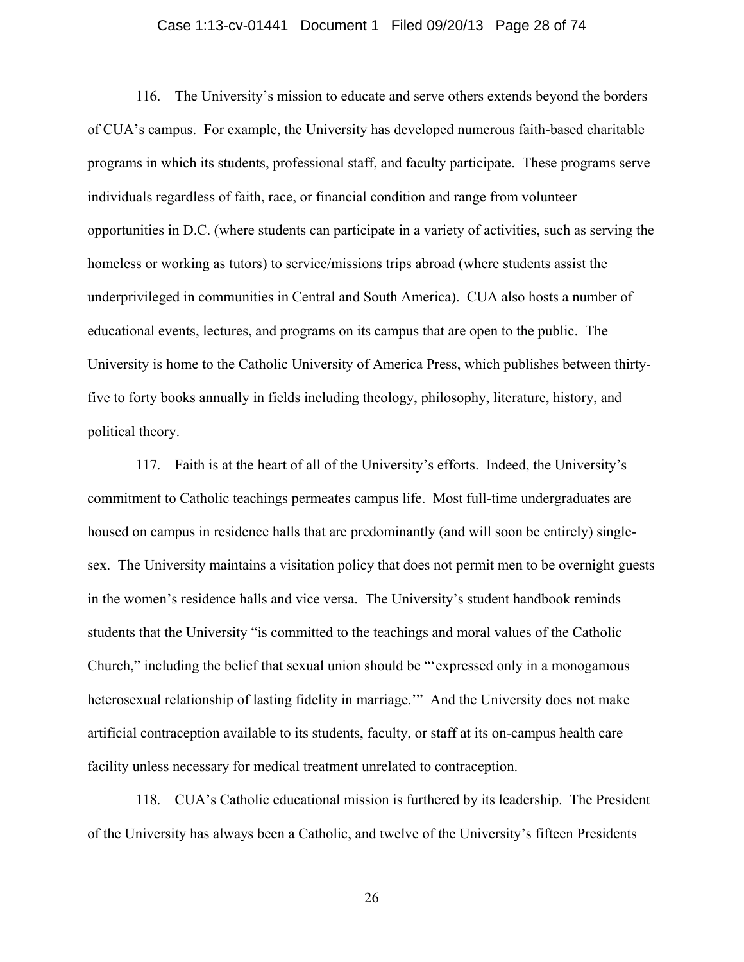## Case 1:13-cv-01441 Document 1 Filed 09/20/13 Page 28 of 74

116. The University's mission to educate and serve others extends beyond the borders of CUA's campus. For example, the University has developed numerous faith-based charitable programs in which its students, professional staff, and faculty participate. These programs serve individuals regardless of faith, race, or financial condition and range from volunteer opportunities in D.C. (where students can participate in a variety of activities, such as serving the homeless or working as tutors) to service/missions trips abroad (where students assist the underprivileged in communities in Central and South America). CUA also hosts a number of educational events, lectures, and programs on its campus that are open to the public. The University is home to the Catholic University of America Press, which publishes between thirtyfive to forty books annually in fields including theology, philosophy, literature, history, and political theory.

117. Faith is at the heart of all of the University's efforts. Indeed, the University's commitment to Catholic teachings permeates campus life. Most full-time undergraduates are housed on campus in residence halls that are predominantly (and will soon be entirely) singlesex. The University maintains a visitation policy that does not permit men to be overnight guests in the women's residence halls and vice versa. The University's student handbook reminds students that the University "is committed to the teachings and moral values of the Catholic Church," including the belief that sexual union should be "'expressed only in a monogamous heterosexual relationship of lasting fidelity in marriage." And the University does not make artificial contraception available to its students, faculty, or staff at its on-campus health care facility unless necessary for medical treatment unrelated to contraception.

118. CUA's Catholic educational mission is furthered by its leadership. The President of the University has always been a Catholic, and twelve of the University's fifteen Presidents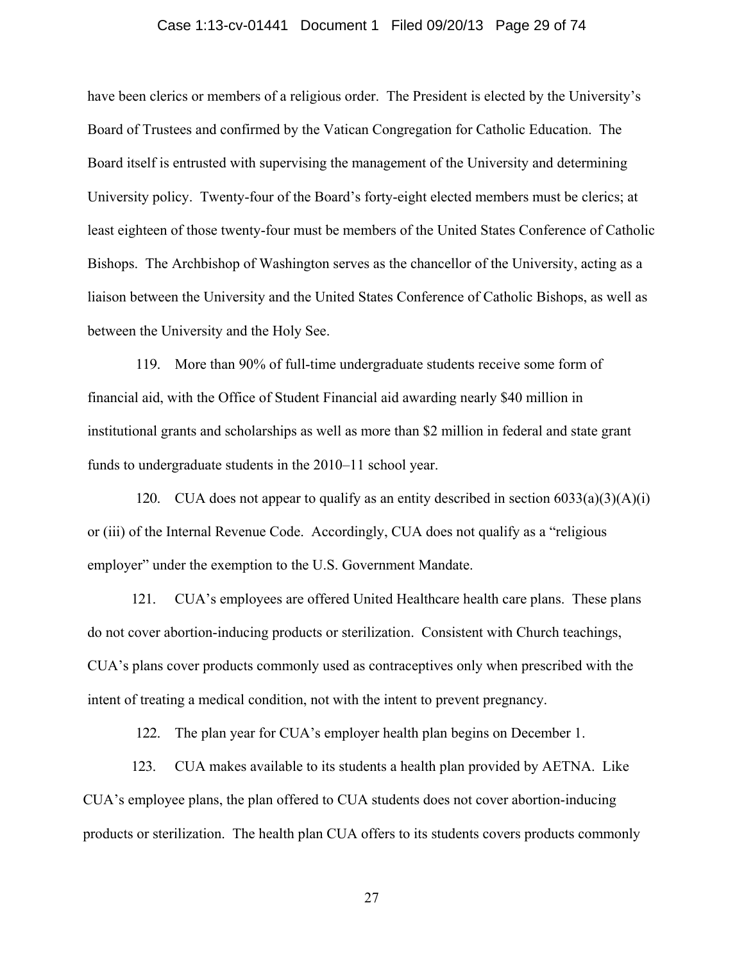## Case 1:13-cv-01441 Document 1 Filed 09/20/13 Page 29 of 74

have been clerics or members of a religious order. The President is elected by the University's Board of Trustees and confirmed by the Vatican Congregation for Catholic Education. The Board itself is entrusted with supervising the management of the University and determining University policy. Twenty-four of the Board's forty-eight elected members must be clerics; at least eighteen of those twenty-four must be members of the United States Conference of Catholic Bishops. The Archbishop of Washington serves as the chancellor of the University, acting as a liaison between the University and the United States Conference of Catholic Bishops, as well as between the University and the Holy See.

119. More than 90% of full-time undergraduate students receive some form of financial aid, with the Office of Student Financial aid awarding nearly \$40 million in institutional grants and scholarships as well as more than \$2 million in federal and state grant funds to undergraduate students in the 2010–11 school year.

120. CUA does not appear to qualify as an entity described in section  $6033(a)(3)(A)(i)$ or (iii) of the Internal Revenue Code. Accordingly, CUA does not qualify as a "religious employer" under the exemption to the U.S. Government Mandate.

121. CUA's employees are offered United Healthcare health care plans. These plans do not cover abortion-inducing products or sterilization. Consistent with Church teachings, CUA's plans cover products commonly used as contraceptives only when prescribed with the intent of treating a medical condition, not with the intent to prevent pregnancy.

122. The plan year for CUA's employer health plan begins on December 1.

123. CUA makes available to its students a health plan provided by AETNA. Like CUA's employee plans, the plan offered to CUA students does not cover abortion-inducing products or sterilization. The health plan CUA offers to its students covers products commonly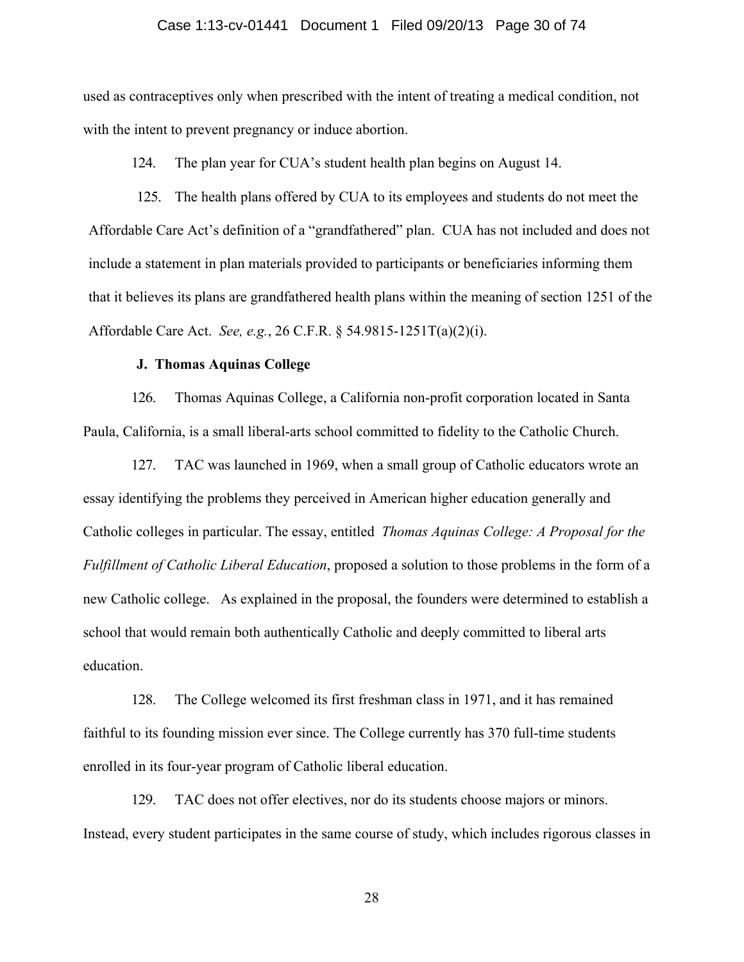#### Case 1:13-cv-01441 Document 1 Filed 09/20/13 Page 30 of 74

used as contraceptives only when prescribed with the intent of treating a medical condition, not with the intent to prevent pregnancy or induce abortion.

124. The plan year for CUA's student health plan begins on August 14.

125. The health plans offered by CUA to its employees and students do not meet the Affordable Care Act's definition of a "grandfathered" plan. CUA has not included and does not include a statement in plan materials provided to participants or beneficiaries informing them that it believes its plans are grandfathered health plans within the meaning of section 1251 of the Affordable Care Act. *See, e.g.*, 26 C.F.R. § 54.9815-1251T(a)(2)(i).

## **J. Thomas Aquinas College**

126. Thomas Aquinas College, a California non-profit corporation located in Santa Paula, California, is a small liberal-arts school committed to fidelity to the Catholic Church.

127. TAC was launched in 1969, when a small group of Catholic educators wrote an essay identifying the problems they perceived in American higher education generally and Catholic colleges in particular. The essay, entitled *Thomas Aquinas College: A Proposal for the Fulfillment of Catholic Liberal Education*, proposed a solution to those problems in the form of a new Catholic college. As explained in the proposal, the founders were determined to establish a school that would remain both authentically Catholic and deeply committed to liberal arts education.

128. The College welcomed its first freshman class in 1971, and it has remained faithful to its founding mission ever since. The College currently has 370 full-time students enrolled in its four-year program of Catholic liberal education.

129. TAC does not offer electives, nor do its students choose majors or minors. Instead, every student participates in the same course of study, which includes rigorous classes in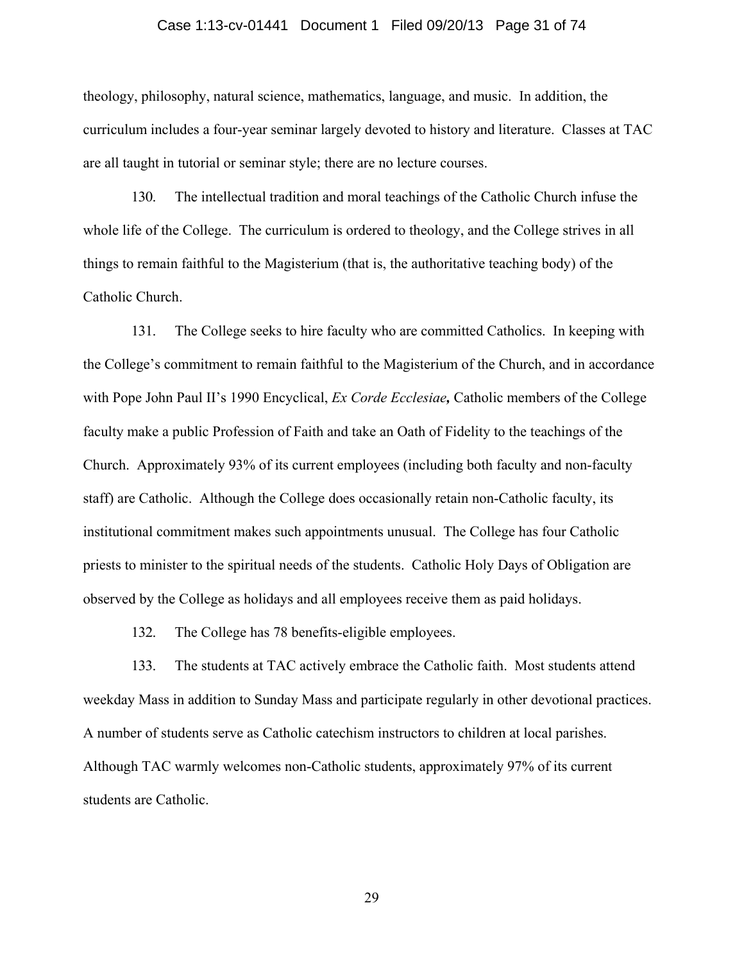## Case 1:13-cv-01441 Document 1 Filed 09/20/13 Page 31 of 74

theology, philosophy, natural science, mathematics, language, and music. In addition, the curriculum includes a four-year seminar largely devoted to history and literature. Classes at TAC are all taught in tutorial or seminar style; there are no lecture courses.

130. The intellectual tradition and moral teachings of the Catholic Church infuse the whole life of the College. The curriculum is ordered to theology, and the College strives in all things to remain faithful to the Magisterium (that is, the authoritative teaching body) of the Catholic Church.

131. The College seeks to hire faculty who are committed Catholics. In keeping with the College's commitment to remain faithful to the Magisterium of the Church, and in accordance with Pope John Paul II's 1990 Encyclical, *Ex Corde Ecclesiae,* Catholic members of the College faculty make a public Profession of Faith and take an Oath of Fidelity to the teachings of the Church. Approximately 93% of its current employees (including both faculty and non-faculty staff) are Catholic. Although the College does occasionally retain non-Catholic faculty, its institutional commitment makes such appointments unusual. The College has four Catholic priests to minister to the spiritual needs of the students. Catholic Holy Days of Obligation are observed by the College as holidays and all employees receive them as paid holidays.

132. The College has 78 benefits-eligible employees.

133. The students at TAC actively embrace the Catholic faith. Most students attend weekday Mass in addition to Sunday Mass and participate regularly in other devotional practices. A number of students serve as Catholic catechism instructors to children at local parishes. Although TAC warmly welcomes non-Catholic students, approximately 97% of its current students are Catholic.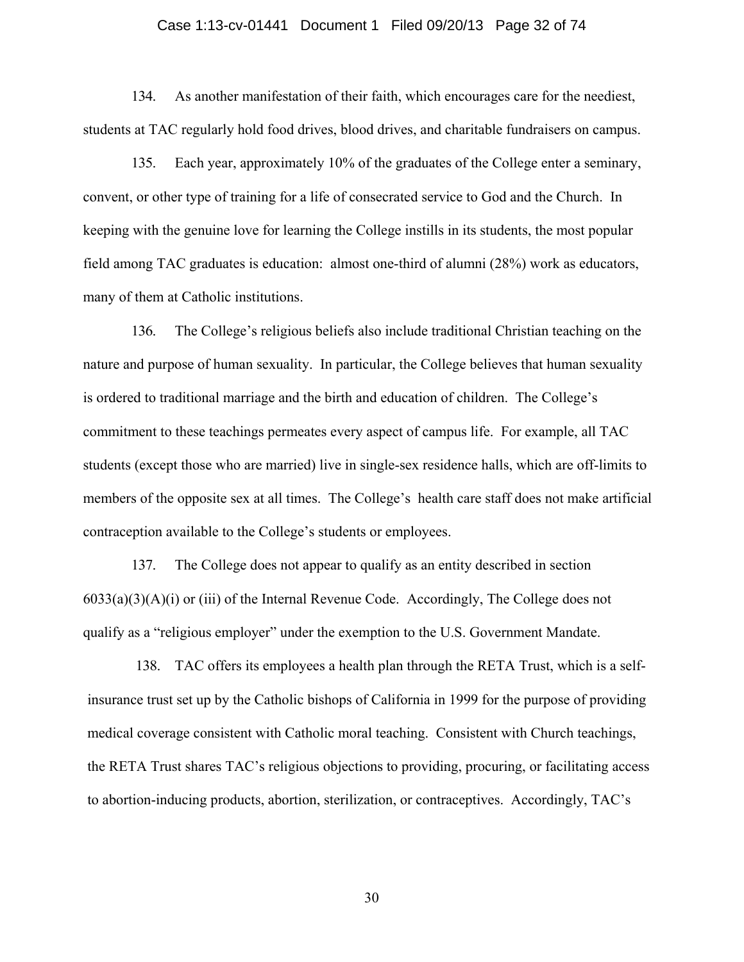### Case 1:13-cv-01441 Document 1 Filed 09/20/13 Page 32 of 74

134. As another manifestation of their faith, which encourages care for the neediest, students at TAC regularly hold food drives, blood drives, and charitable fundraisers on campus.

135. Each year, approximately 10% of the graduates of the College enter a seminary, convent, or other type of training for a life of consecrated service to God and the Church. In keeping with the genuine love for learning the College instills in its students, the most popular field among TAC graduates is education: almost one-third of alumni (28%) work as educators, many of them at Catholic institutions.

136. The College's religious beliefs also include traditional Christian teaching on the nature and purpose of human sexuality. In particular, the College believes that human sexuality is ordered to traditional marriage and the birth and education of children. The College's commitment to these teachings permeates every aspect of campus life. For example, all TAC students (except those who are married) live in single-sex residence halls, which are off-limits to members of the opposite sex at all times. The College's health care staff does not make artificial contraception available to the College's students or employees.

137. The College does not appear to qualify as an entity described in section  $6033(a)(3)(A)(i)$  or (iii) of the Internal Revenue Code. Accordingly, The College does not qualify as a "religious employer" under the exemption to the U.S. Government Mandate.

138. TAC offers its employees a health plan through the RETA Trust, which is a selfinsurance trust set up by the Catholic bishops of California in 1999 for the purpose of providing medical coverage consistent with Catholic moral teaching. Consistent with Church teachings, the RETA Trust shares TAC's religious objections to providing, procuring, or facilitating access to abortion-inducing products, abortion, sterilization, or contraceptives. Accordingly, TAC's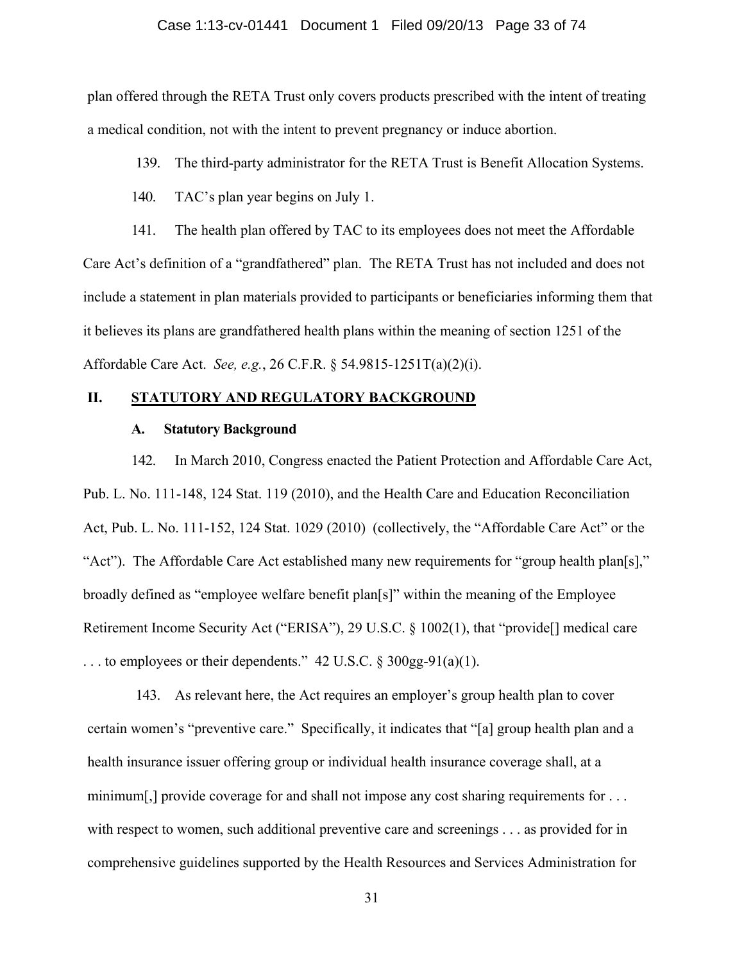#### Case 1:13-cv-01441 Document 1 Filed 09/20/13 Page 33 of 74

plan offered through the RETA Trust only covers products prescribed with the intent of treating a medical condition, not with the intent to prevent pregnancy or induce abortion.

139. The third-party administrator for the RETA Trust is Benefit Allocation Systems.

140. TAC's plan year begins on July 1.

141. The health plan offered by TAC to its employees does not meet the Affordable Care Act's definition of a "grandfathered" plan. The RETA Trust has not included and does not include a statement in plan materials provided to participants or beneficiaries informing them that it believes its plans are grandfathered health plans within the meaning of section 1251 of the Affordable Care Act. *See, e.g.*, 26 C.F.R. § 54.9815-1251T(a)(2)(i).

## **II. STATUTORY AND REGULATORY BACKGROUND**

## **A. Statutory Background**

142. In March 2010, Congress enacted the Patient Protection and Affordable Care Act, Pub. L. No. 111-148, 124 Stat. 119 (2010), and the Health Care and Education Reconciliation Act, Pub. L. No. 111-152, 124 Stat. 1029 (2010) (collectively, the "Affordable Care Act" or the "Act"). The Affordable Care Act established many new requirements for "group health plan[s]," broadly defined as "employee welfare benefit plan[s]" within the meaning of the Employee Retirement Income Security Act ("ERISA"), 29 U.S.C. § 1002(1), that "provide<sup>[]</sup> medical care ... to employees or their dependents."  $42 \text{ U.S.C.} \$   $300 \text{ gg-}91(a)(1)$ .

143. As relevant here, the Act requires an employer's group health plan to cover certain women's "preventive care." Specifically, it indicates that "[a] group health plan and a health insurance issuer offering group or individual health insurance coverage shall, at a minimum[,] provide coverage for and shall not impose any cost sharing requirements for ... with respect to women, such additional preventive care and screenings . . . as provided for in comprehensive guidelines supported by the Health Resources and Services Administration for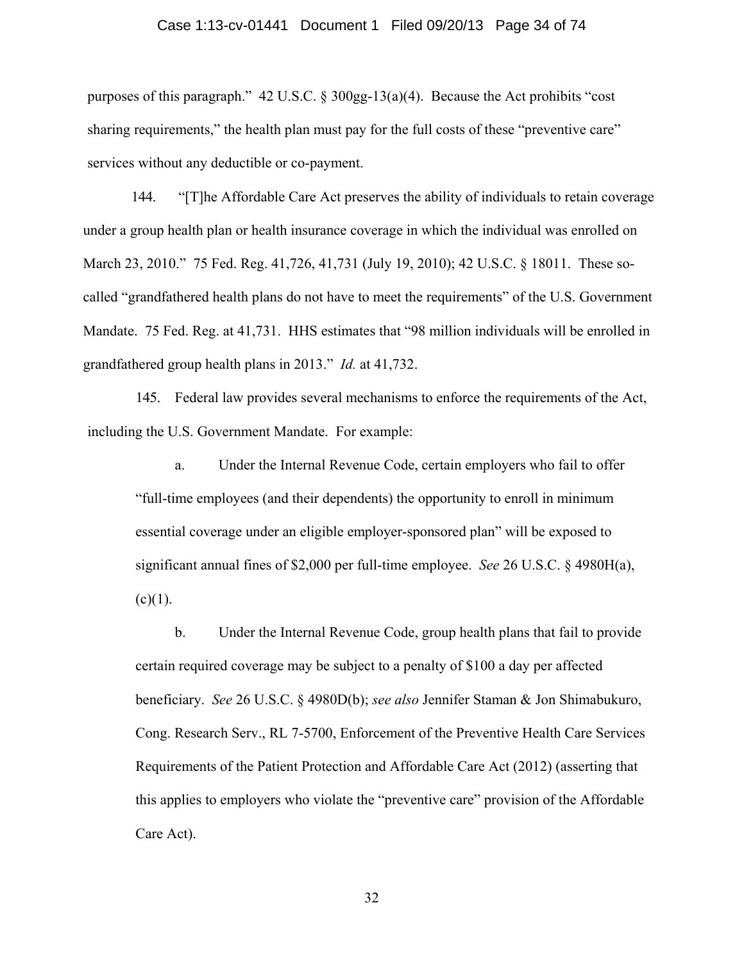### Case 1:13-cv-01441 Document 1 Filed 09/20/13 Page 34 of 74

purposes of this paragraph." 42 U.S.C. § 300gg-13(a)(4). Because the Act prohibits "cost sharing requirements," the health plan must pay for the full costs of these "preventive care" services without any deductible or co-payment.

144. "[T]he Affordable Care Act preserves the ability of individuals to retain coverage under a group health plan or health insurance coverage in which the individual was enrolled on March 23, 2010." 75 Fed. Reg. 41,726, 41,731 (July 19, 2010); 42 U.S.C. § 18011. These socalled "grandfathered health plans do not have to meet the requirements" of the U.S. Government Mandate. 75 Fed. Reg. at 41,731. HHS estimates that "98 million individuals will be enrolled in grandfathered group health plans in 2013." *Id.* at 41,732.

145. Federal law provides several mechanisms to enforce the requirements of the Act, including the U.S. Government Mandate. For example:

 a. Under the Internal Revenue Code, certain employers who fail to offer "full-time employees (and their dependents) the opportunity to enroll in minimum essential coverage under an eligible employer-sponsored plan" will be exposed to significant annual fines of \$2,000 per full-time employee. *See* 26 U.S.C. § 4980H(a),  $(c)(1)$ .

 b. Under the Internal Revenue Code, group health plans that fail to provide certain required coverage may be subject to a penalty of \$100 a day per affected beneficiary. *See* 26 U.S.C. § 4980D(b); *see also* Jennifer Staman & Jon Shimabukuro, Cong. Research Serv., RL 7-5700, Enforcement of the Preventive Health Care Services Requirements of the Patient Protection and Affordable Care Act (2012) (asserting that this applies to employers who violate the "preventive care" provision of the Affordable Care Act).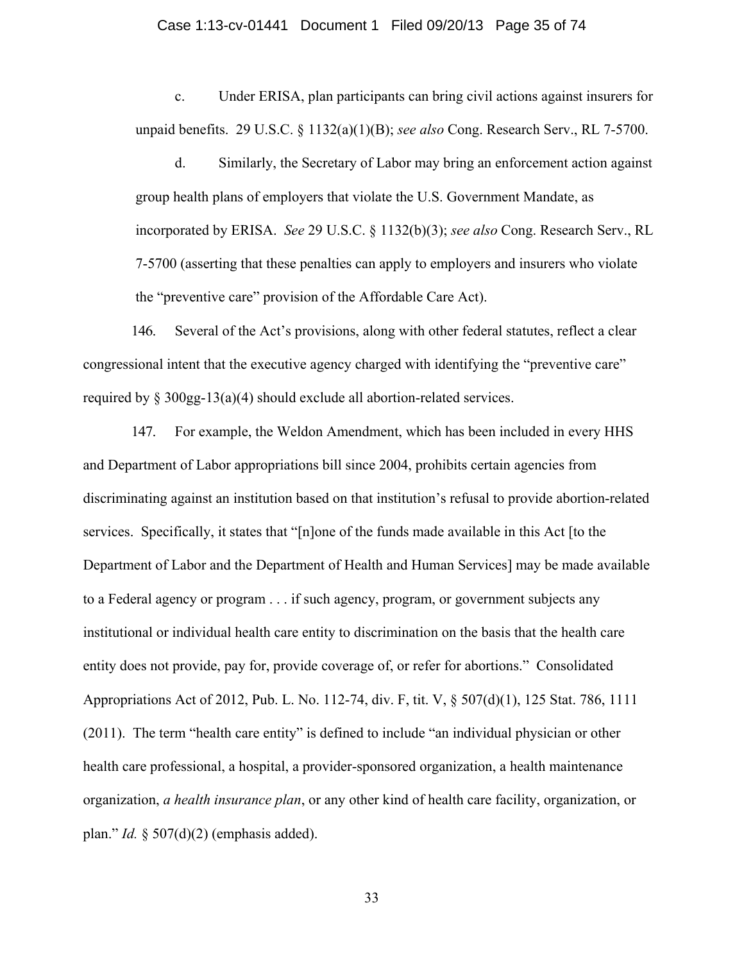#### Case 1:13-cv-01441 Document 1 Filed 09/20/13 Page 35 of 74

 c. Under ERISA, plan participants can bring civil actions against insurers for unpaid benefits. 29 U.S.C. § 1132(a)(1)(B); *see also* Cong. Research Serv., RL 7-5700.

 d. Similarly, the Secretary of Labor may bring an enforcement action against group health plans of employers that violate the U.S. Government Mandate, as incorporated by ERISA. *See* 29 U.S.C. § 1132(b)(3); *see also* Cong. Research Serv., RL 7-5700 (asserting that these penalties can apply to employers and insurers who violate the "preventive care" provision of the Affordable Care Act).

146. Several of the Act's provisions, along with other federal statutes, reflect a clear congressional intent that the executive agency charged with identifying the "preventive care" required by § 300gg-13(a)(4) should exclude all abortion-related services.

147. For example, the Weldon Amendment, which has been included in every HHS and Department of Labor appropriations bill since 2004, prohibits certain agencies from discriminating against an institution based on that institution's refusal to provide abortion-related services. Specifically, it states that "[n]one of the funds made available in this Act [to the Department of Labor and the Department of Health and Human Services] may be made available to a Federal agency or program . . . if such agency, program, or government subjects any institutional or individual health care entity to discrimination on the basis that the health care entity does not provide, pay for, provide coverage of, or refer for abortions." Consolidated Appropriations Act of 2012, Pub. L. No. 112-74, div. F, tit. V, § 507(d)(1), 125 Stat. 786, 1111 (2011). The term "health care entity" is defined to include "an individual physician or other health care professional, a hospital, a provider-sponsored organization, a health maintenance organization, *a health insurance plan*, or any other kind of health care facility, organization, or plan." *Id.* § 507(d)(2) (emphasis added).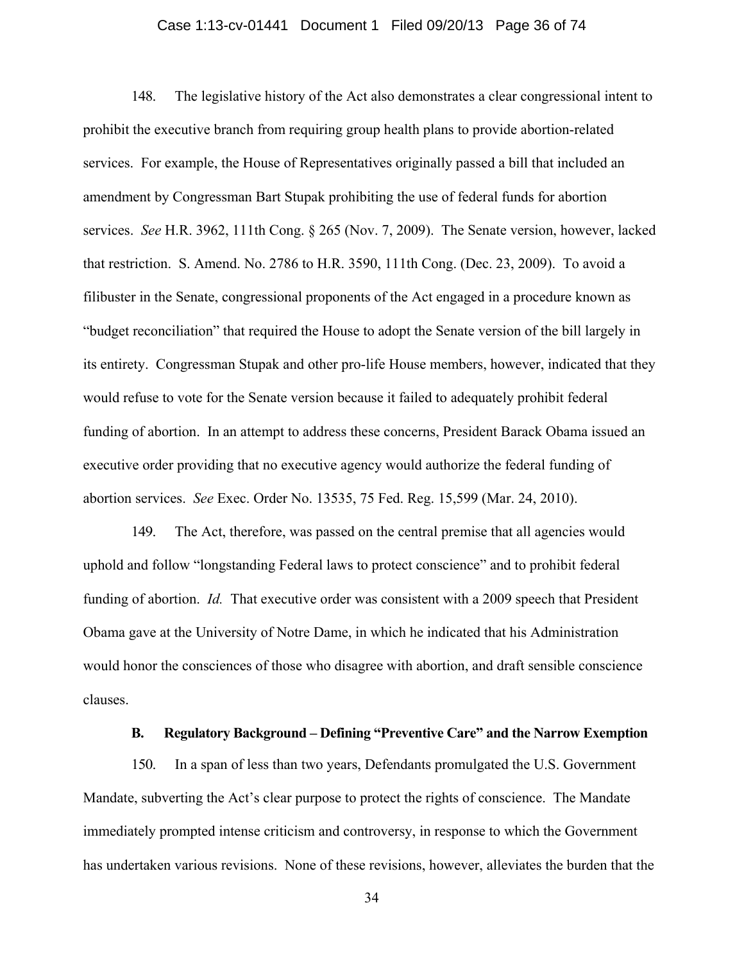## Case 1:13-cv-01441 Document 1 Filed 09/20/13 Page 36 of 74

148. The legislative history of the Act also demonstrates a clear congressional intent to prohibit the executive branch from requiring group health plans to provide abortion-related services. For example, the House of Representatives originally passed a bill that included an amendment by Congressman Bart Stupak prohibiting the use of federal funds for abortion services. *See* H.R. 3962, 111th Cong. § 265 (Nov. 7, 2009). The Senate version, however, lacked that restriction. S. Amend. No. 2786 to H.R. 3590, 111th Cong. (Dec. 23, 2009). To avoid a filibuster in the Senate, congressional proponents of the Act engaged in a procedure known as "budget reconciliation" that required the House to adopt the Senate version of the bill largely in its entirety. Congressman Stupak and other pro-life House members, however, indicated that they would refuse to vote for the Senate version because it failed to adequately prohibit federal funding of abortion. In an attempt to address these concerns, President Barack Obama issued an executive order providing that no executive agency would authorize the federal funding of abortion services. *See* Exec. Order No. 13535, 75 Fed. Reg. 15,599 (Mar. 24, 2010).

149. The Act, therefore, was passed on the central premise that all agencies would uphold and follow "longstanding Federal laws to protect conscience" and to prohibit federal funding of abortion. *Id.* That executive order was consistent with a 2009 speech that President Obama gave at the University of Notre Dame, in which he indicated that his Administration would honor the consciences of those who disagree with abortion, and draft sensible conscience clauses.

## **B. Regulatory Background – Defining "Preventive Care" and the Narrow Exemption**

150. In a span of less than two years, Defendants promulgated the U.S. Government Mandate, subverting the Act's clear purpose to protect the rights of conscience. The Mandate immediately prompted intense criticism and controversy, in response to which the Government has undertaken various revisions. None of these revisions, however, alleviates the burden that the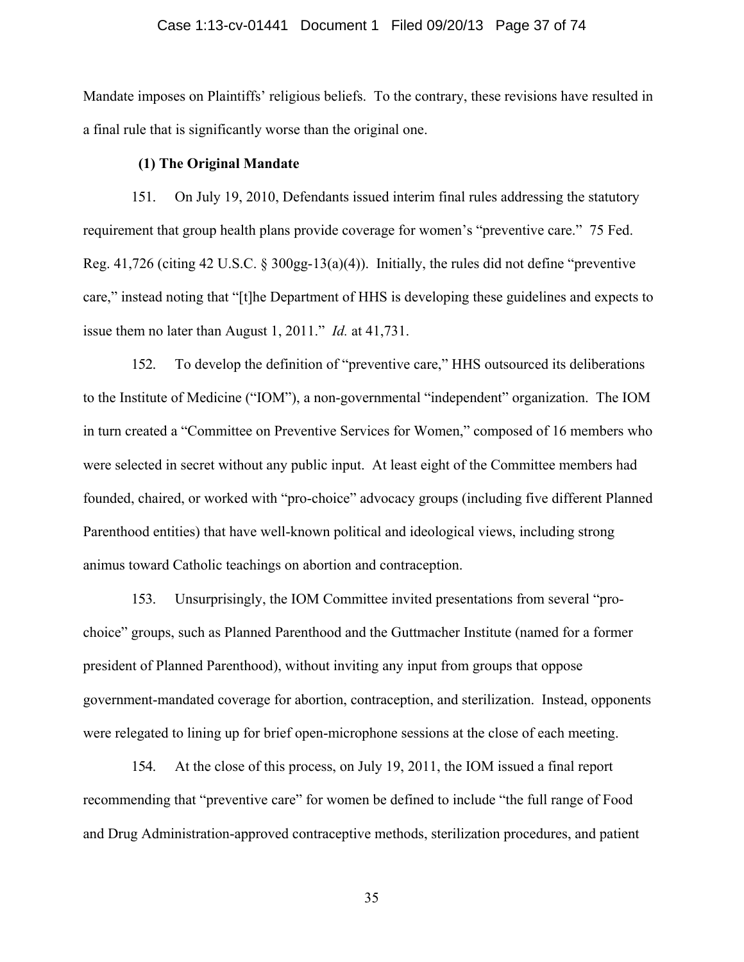#### Case 1:13-cv-01441 Document 1 Filed 09/20/13 Page 37 of 74

Mandate imposes on Plaintiffs' religious beliefs. To the contrary, these revisions have resulted in a final rule that is significantly worse than the original one.

### **(1) The Original Mandate**

151. On July 19, 2010, Defendants issued interim final rules addressing the statutory requirement that group health plans provide coverage for women's "preventive care." 75 Fed. Reg. 41,726 (citing 42 U.S.C. § 300gg-13(a)(4)). Initially, the rules did not define "preventive care," instead noting that "[t]he Department of HHS is developing these guidelines and expects to issue them no later than August 1, 2011." *Id.* at 41,731.

152. To develop the definition of "preventive care," HHS outsourced its deliberations to the Institute of Medicine ("IOM"), a non-governmental "independent" organization. The IOM in turn created a "Committee on Preventive Services for Women," composed of 16 members who were selected in secret without any public input. At least eight of the Committee members had founded, chaired, or worked with "pro-choice" advocacy groups (including five different Planned Parenthood entities) that have well-known political and ideological views, including strong animus toward Catholic teachings on abortion and contraception.

153. Unsurprisingly, the IOM Committee invited presentations from several "prochoice" groups, such as Planned Parenthood and the Guttmacher Institute (named for a former president of Planned Parenthood), without inviting any input from groups that oppose government-mandated coverage for abortion, contraception, and sterilization. Instead, opponents were relegated to lining up for brief open-microphone sessions at the close of each meeting.

154. At the close of this process, on July 19, 2011, the IOM issued a final report recommending that "preventive care" for women be defined to include "the full range of Food and Drug Administration-approved contraceptive methods, sterilization procedures, and patient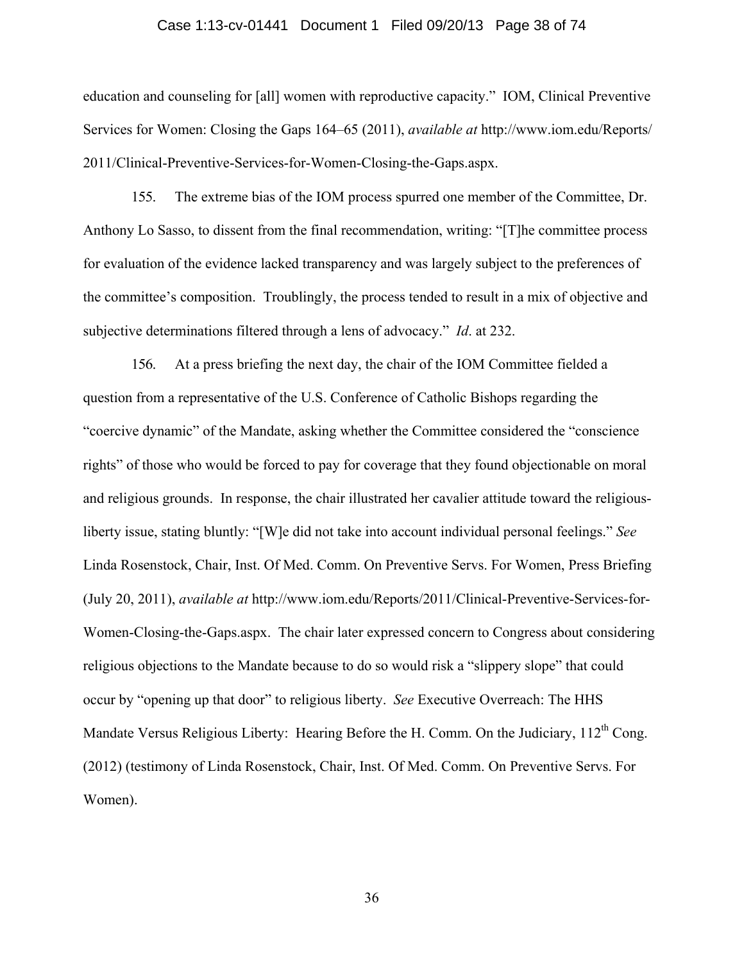#### Case 1:13-cv-01441 Document 1 Filed 09/20/13 Page 38 of 74

education and counseling for [all] women with reproductive capacity." IOM, Clinical Preventive Services for Women: Closing the Gaps 164–65 (2011), *available at* http://www.iom.edu/Reports/ 2011/Clinical-Preventive-Services-for-Women-Closing-the-Gaps.aspx.

155. The extreme bias of the IOM process spurred one member of the Committee, Dr. Anthony Lo Sasso, to dissent from the final recommendation, writing: "[T]he committee process for evaluation of the evidence lacked transparency and was largely subject to the preferences of the committee's composition. Troublingly, the process tended to result in a mix of objective and subjective determinations filtered through a lens of advocacy." *Id*. at 232.

156. At a press briefing the next day, the chair of the IOM Committee fielded a question from a representative of the U.S. Conference of Catholic Bishops regarding the "coercive dynamic" of the Mandate, asking whether the Committee considered the "conscience rights" of those who would be forced to pay for coverage that they found objectionable on moral and religious grounds. In response, the chair illustrated her cavalier attitude toward the religiousliberty issue, stating bluntly: "[W]e did not take into account individual personal feelings." *See* Linda Rosenstock, Chair, Inst. Of Med. Comm. On Preventive Servs. For Women, Press Briefing (July 20, 2011), *available at* http://www.iom.edu/Reports/2011/Clinical-Preventive-Services-for-Women-Closing-the-Gaps.aspx. The chair later expressed concern to Congress about considering religious objections to the Mandate because to do so would risk a "slippery slope" that could occur by "opening up that door" to religious liberty. *See* Executive Overreach: The HHS Mandate Versus Religious Liberty: Hearing Before the H. Comm. On the Judiciary, 112<sup>th</sup> Cong. (2012) (testimony of Linda Rosenstock, Chair, Inst. Of Med. Comm. On Preventive Servs. For Women).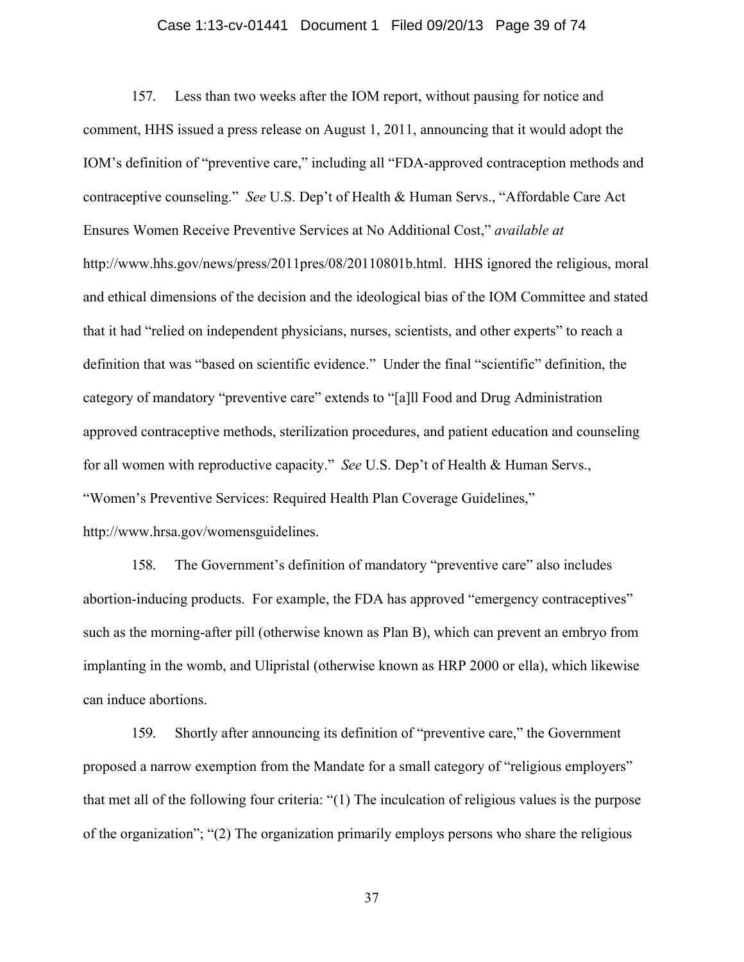#### Case 1:13-cv-01441 Document 1 Filed 09/20/13 Page 39 of 74

157. Less than two weeks after the IOM report, without pausing for notice and comment, HHS issued a press release on August 1, 2011, announcing that it would adopt the IOM's definition of "preventive care," including all "FDA-approved contraception methods and contraceptive counseling." *See* U.S. Dep't of Health & Human Servs., "Affordable Care Act Ensures Women Receive Preventive Services at No Additional Cost," *available at* http://www.hhs.gov/news/press/2011pres/08/20110801b.html. HHS ignored the religious, moral and ethical dimensions of the decision and the ideological bias of the IOM Committee and stated that it had "relied on independent physicians, nurses, scientists, and other experts" to reach a definition that was "based on scientific evidence." Under the final "scientific" definition, the category of mandatory "preventive care" extends to "[a]ll Food and Drug Administration approved contraceptive methods, sterilization procedures, and patient education and counseling for all women with reproductive capacity." *See* U.S. Dep't of Health & Human Servs., "Women's Preventive Services: Required Health Plan Coverage Guidelines," http://www.hrsa.gov/womensguidelines.

158. The Government's definition of mandatory "preventive care" also includes abortion-inducing products. For example, the FDA has approved "emergency contraceptives" such as the morning-after pill (otherwise known as Plan B), which can prevent an embryo from implanting in the womb, and Ulipristal (otherwise known as HRP 2000 or ella), which likewise can induce abortions.

159. Shortly after announcing its definition of "preventive care," the Government proposed a narrow exemption from the Mandate for a small category of "religious employers" that met all of the following four criteria: "(1) The inculcation of religious values is the purpose of the organization"; "(2) The organization primarily employs persons who share the religious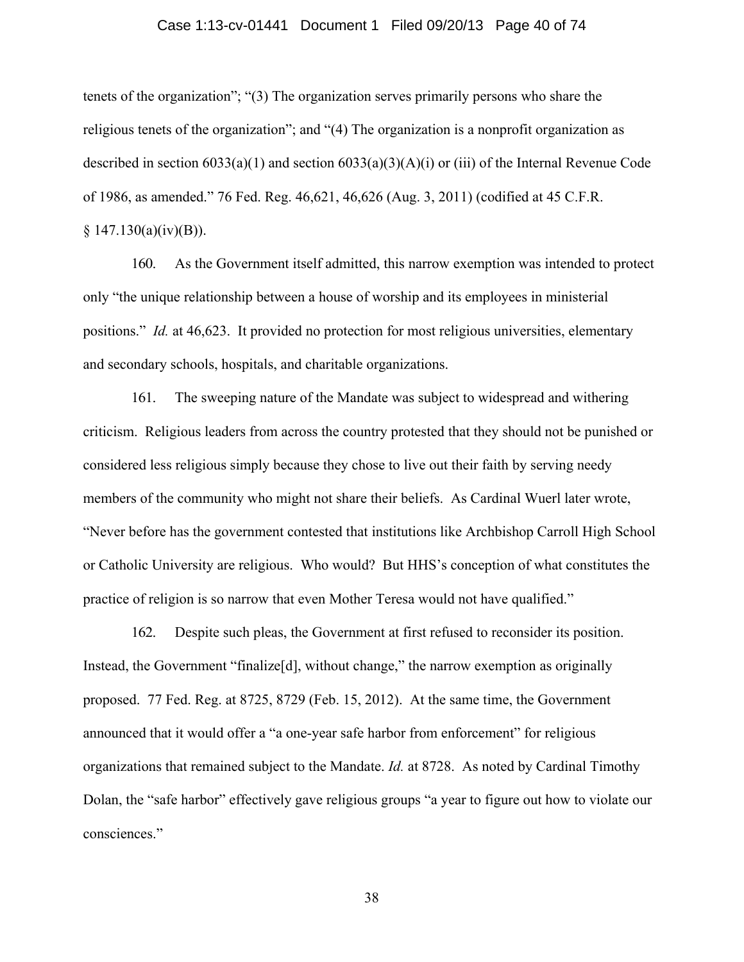#### Case 1:13-cv-01441 Document 1 Filed 09/20/13 Page 40 of 74

tenets of the organization"; "(3) The organization serves primarily persons who share the religious tenets of the organization"; and "(4) The organization is a nonprofit organization as described in section  $6033(a)(1)$  and section  $6033(a)(3)(A)(i)$  or (iii) of the Internal Revenue Code of 1986, as amended." 76 Fed. Reg. 46,621, 46,626 (Aug. 3, 2011) (codified at 45 C.F.R.  $$147.130(a)(iv)(B)).$ 

160. As the Government itself admitted, this narrow exemption was intended to protect only "the unique relationship between a house of worship and its employees in ministerial positions." *Id.* at 46,623. It provided no protection for most religious universities, elementary and secondary schools, hospitals, and charitable organizations.

161. The sweeping nature of the Mandate was subject to widespread and withering criticism. Religious leaders from across the country protested that they should not be punished or considered less religious simply because they chose to live out their faith by serving needy members of the community who might not share their beliefs. As Cardinal Wuerl later wrote, "Never before has the government contested that institutions like Archbishop Carroll High School or Catholic University are religious. Who would? But HHS's conception of what constitutes the practice of religion is so narrow that even Mother Teresa would not have qualified."

162. Despite such pleas, the Government at first refused to reconsider its position. Instead, the Government "finalize<sup>[d]</sup>, without change," the narrow exemption as originally proposed. 77 Fed. Reg. at 8725, 8729 (Feb. 15, 2012). At the same time, the Government announced that it would offer a "a one-year safe harbor from enforcement" for religious organizations that remained subject to the Mandate. *Id.* at 8728. As noted by Cardinal Timothy Dolan, the "safe harbor" effectively gave religious groups "a year to figure out how to violate our consciences."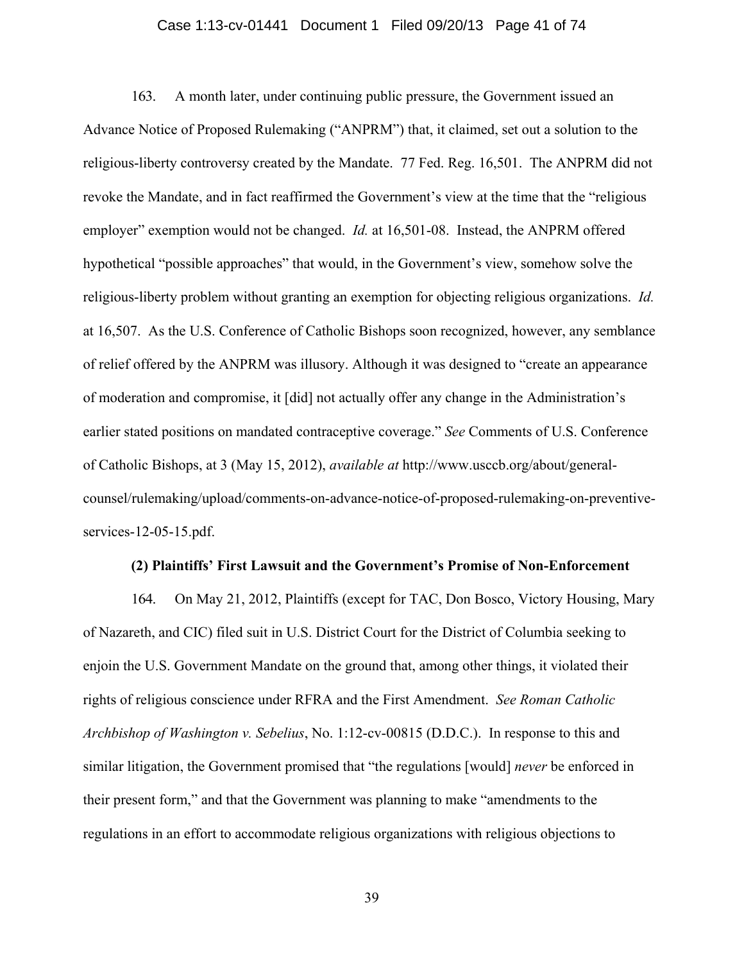### Case 1:13-cv-01441 Document 1 Filed 09/20/13 Page 41 of 74

163. A month later, under continuing public pressure, the Government issued an Advance Notice of Proposed Rulemaking ("ANPRM") that, it claimed, set out a solution to the religious-liberty controversy created by the Mandate. 77 Fed. Reg. 16,501. The ANPRM did not revoke the Mandate, and in fact reaffirmed the Government's view at the time that the "religious employer" exemption would not be changed. *Id.* at 16,501-08. Instead, the ANPRM offered hypothetical "possible approaches" that would, in the Government's view, somehow solve the religious-liberty problem without granting an exemption for objecting religious organizations. *Id.* at 16,507. As the U.S. Conference of Catholic Bishops soon recognized, however, any semblance of relief offered by the ANPRM was illusory. Although it was designed to "create an appearance of moderation and compromise, it [did] not actually offer any change in the Administration's earlier stated positions on mandated contraceptive coverage." *See* Comments of U.S. Conference of Catholic Bishops, at 3 (May 15, 2012), *available at* http://www.usccb.org/about/generalcounsel/rulemaking/upload/comments-on-advance-notice-of-proposed-rulemaking-on-preventiveservices-12-05-15.pdf.

### **(2) Plaintiffs' First Lawsuit and the Government's Promise of Non-Enforcement**

164. On May 21, 2012, Plaintiffs (except for TAC, Don Bosco, Victory Housing, Mary of Nazareth, and CIC) filed suit in U.S. District Court for the District of Columbia seeking to enjoin the U.S. Government Mandate on the ground that, among other things, it violated their rights of religious conscience under RFRA and the First Amendment. *See Roman Catholic Archbishop of Washington v. Sebelius*, No. 1:12-cv-00815 (D.D.C.). In response to this and similar litigation, the Government promised that "the regulations [would] *never* be enforced in their present form," and that the Government was planning to make "amendments to the regulations in an effort to accommodate religious organizations with religious objections to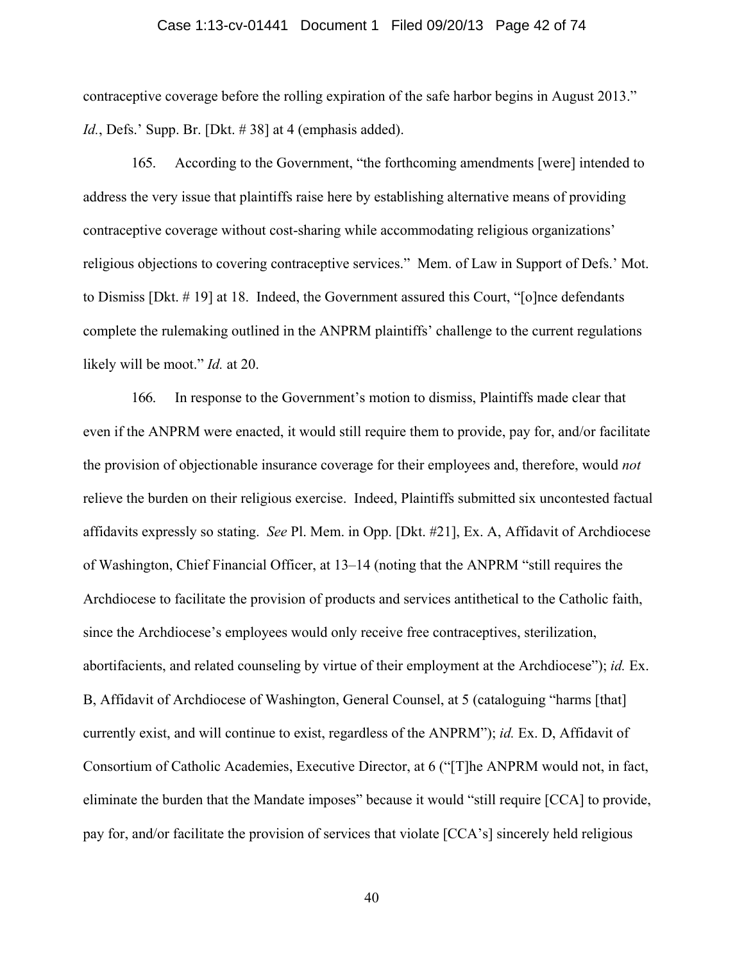#### Case 1:13-cv-01441 Document 1 Filed 09/20/13 Page 42 of 74

contraceptive coverage before the rolling expiration of the safe harbor begins in August 2013." *Id.*, Defs.' Supp. Br. [Dkt. # 38] at 4 (emphasis added).

165. According to the Government, "the forthcoming amendments [were] intended to address the very issue that plaintiffs raise here by establishing alternative means of providing contraceptive coverage without cost-sharing while accommodating religious organizations' religious objections to covering contraceptive services." Mem. of Law in Support of Defs.' Mot. to Dismiss [Dkt. # 19] at 18. Indeed, the Government assured this Court, "[o]nce defendants complete the rulemaking outlined in the ANPRM plaintiffs' challenge to the current regulations likely will be moot." *Id.* at 20.

166. In response to the Government's motion to dismiss, Plaintiffs made clear that even if the ANPRM were enacted, it would still require them to provide, pay for, and/or facilitate the provision of objectionable insurance coverage for their employees and, therefore, would *not* relieve the burden on their religious exercise. Indeed, Plaintiffs submitted six uncontested factual affidavits expressly so stating. *See* Pl. Mem. in Opp. [Dkt. #21], Ex. A, Affidavit of Archdiocese of Washington, Chief Financial Officer, at 13–14 (noting that the ANPRM "still requires the Archdiocese to facilitate the provision of products and services antithetical to the Catholic faith, since the Archdiocese's employees would only receive free contraceptives, sterilization, abortifacients, and related counseling by virtue of their employment at the Archdiocese"); *id.* Ex. B, Affidavit of Archdiocese of Washington, General Counsel, at 5 (cataloguing "harms [that] currently exist, and will continue to exist, regardless of the ANPRM"); *id.* Ex. D, Affidavit of Consortium of Catholic Academies, Executive Director, at 6 ("[T]he ANPRM would not, in fact, eliminate the burden that the Mandate imposes" because it would "still require [CCA] to provide, pay for, and/or facilitate the provision of services that violate [CCA's] sincerely held religious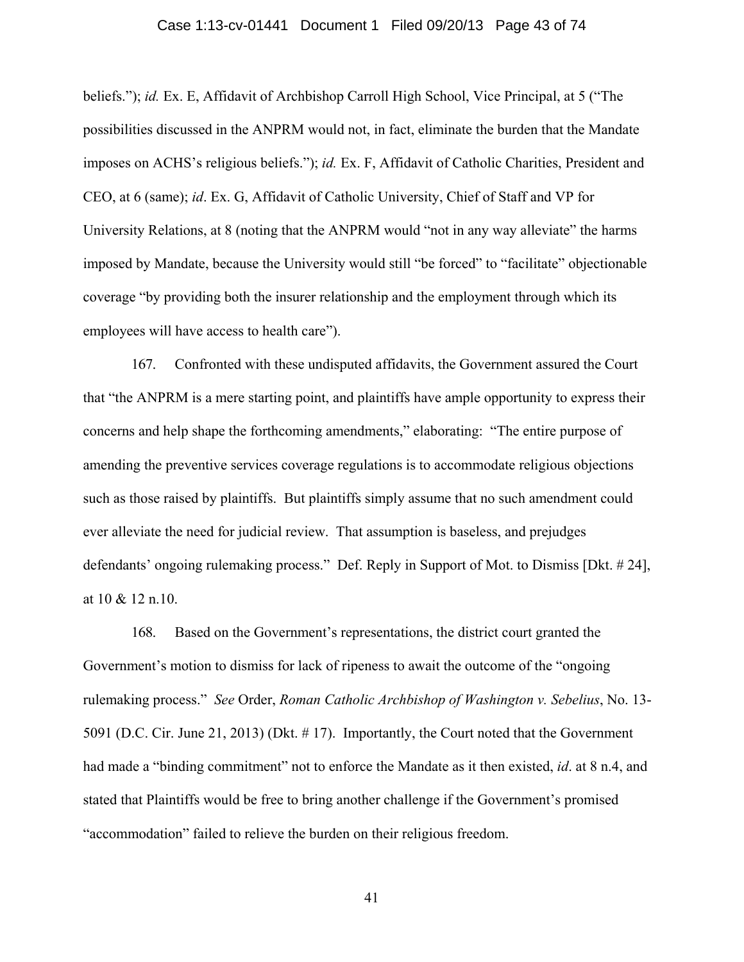#### Case 1:13-cv-01441 Document 1 Filed 09/20/13 Page 43 of 74

beliefs."); *id.* Ex. E, Affidavit of Archbishop Carroll High School, Vice Principal, at 5 ("The possibilities discussed in the ANPRM would not, in fact, eliminate the burden that the Mandate imposes on ACHS's religious beliefs."); *id.* Ex. F, Affidavit of Catholic Charities, President and CEO, at 6 (same); *id*. Ex. G, Affidavit of Catholic University, Chief of Staff and VP for University Relations, at 8 (noting that the ANPRM would "not in any way alleviate" the harms imposed by Mandate, because the University would still "be forced" to "facilitate" objectionable coverage "by providing both the insurer relationship and the employment through which its employees will have access to health care").

167. Confronted with these undisputed affidavits, the Government assured the Court that "the ANPRM is a mere starting point, and plaintiffs have ample opportunity to express their concerns and help shape the forthcoming amendments," elaborating: "The entire purpose of amending the preventive services coverage regulations is to accommodate religious objections such as those raised by plaintiffs. But plaintiffs simply assume that no such amendment could ever alleviate the need for judicial review. That assumption is baseless, and prejudges defendants' ongoing rulemaking process." Def. Reply in Support of Mot. to Dismiss [Dkt. # 24], at 10 & 12 n.10.

168. Based on the Government's representations, the district court granted the Government's motion to dismiss for lack of ripeness to await the outcome of the "ongoing rulemaking process." *See* Order, *Roman Catholic Archbishop of Washington v. Sebelius*, No. 13- 5091 (D.C. Cir. June 21, 2013) (Dkt. # 17). Importantly, the Court noted that the Government had made a "binding commitment" not to enforce the Mandate as it then existed, *id*. at 8 n.4, and stated that Plaintiffs would be free to bring another challenge if the Government's promised "accommodation" failed to relieve the burden on their religious freedom.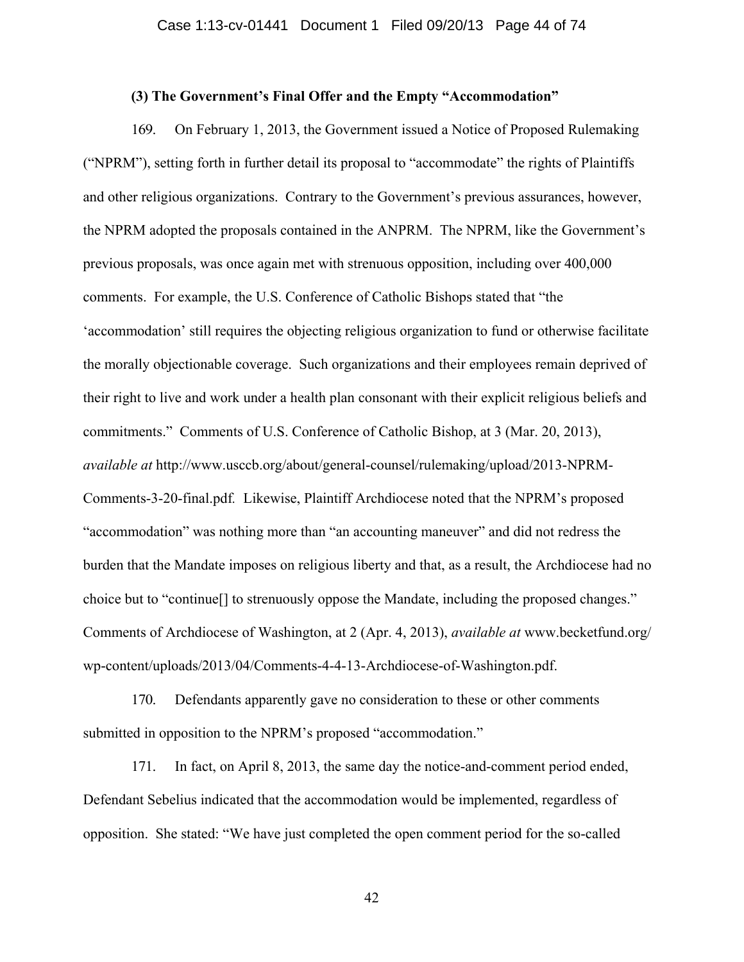### **(3) The Government's Final Offer and the Empty "Accommodation"**

169. On February 1, 2013, the Government issued a Notice of Proposed Rulemaking ("NPRM"), setting forth in further detail its proposal to "accommodate" the rights of Plaintiffs and other religious organizations. Contrary to the Government's previous assurances, however, the NPRM adopted the proposals contained in the ANPRM. The NPRM, like the Government's previous proposals, was once again met with strenuous opposition, including over 400,000 comments. For example, the U.S. Conference of Catholic Bishops stated that "the 'accommodation' still requires the objecting religious organization to fund or otherwise facilitate the morally objectionable coverage. Such organizations and their employees remain deprived of their right to live and work under a health plan consonant with their explicit religious beliefs and commitments." Comments of U.S. Conference of Catholic Bishop, at 3 (Mar. 20, 2013), *available at* http://www.usccb.org/about/general-counsel/rulemaking/upload/2013-NPRM-Comments-3-20-final.pdf*.*Likewise, Plaintiff Archdiocese noted that the NPRM's proposed "accommodation" was nothing more than "an accounting maneuver" and did not redress the burden that the Mandate imposes on religious liberty and that, as a result, the Archdiocese had no choice but to "continue[] to strenuously oppose the Mandate, including the proposed changes." Comments of Archdiocese of Washington, at 2 (Apr. 4, 2013), *available at* www.becketfund.org/ wp-content/uploads/2013/04/Comments-4-4-13-Archdiocese-of-Washington.pdf.

170. Defendants apparently gave no consideration to these or other comments submitted in opposition to the NPRM's proposed "accommodation."

171. In fact, on April 8, 2013, the same day the notice-and-comment period ended, Defendant Sebelius indicated that the accommodation would be implemented, regardless of opposition. She stated: "We have just completed the open comment period for the so-called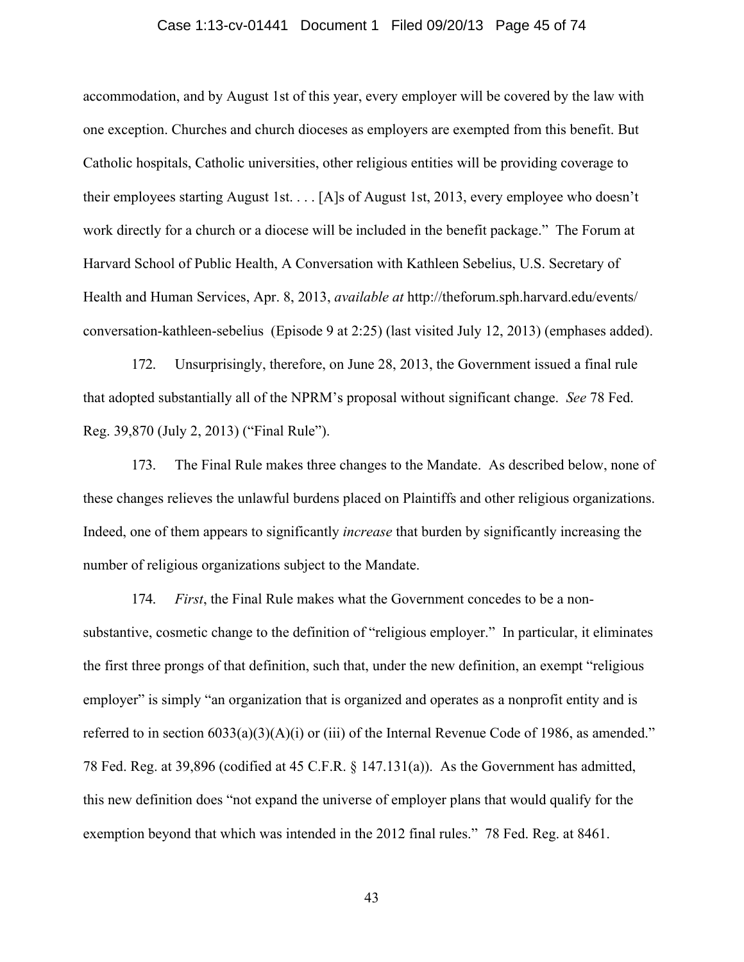#### Case 1:13-cv-01441 Document 1 Filed 09/20/13 Page 45 of 74

accommodation, and by August 1st of this year, every employer will be covered by the law with one exception. Churches and church dioceses as employers are exempted from this benefit. But Catholic hospitals, Catholic universities, other religious entities will be providing coverage to their employees starting August 1st. . . . [A]s of August 1st, 2013, every employee who doesn't work directly for a church or a diocese will be included in the benefit package." The Forum at Harvard School of Public Health, A Conversation with Kathleen Sebelius, U.S. Secretary of Health and Human Services, Apr. 8, 2013, *available at* http://theforum.sph.harvard.edu/events/ conversation-kathleen-sebelius (Episode 9 at 2:25) (last visited July 12, 2013) (emphases added).

172. Unsurprisingly, therefore, on June 28, 2013, the Government issued a final rule that adopted substantially all of the NPRM's proposal without significant change. *See* 78 Fed. Reg. 39,870 (July 2, 2013) ("Final Rule").

173. The Final Rule makes three changes to the Mandate. As described below, none of these changes relieves the unlawful burdens placed on Plaintiffs and other religious organizations. Indeed, one of them appears to significantly *increase* that burden by significantly increasing the number of religious organizations subject to the Mandate.

174. *First*, the Final Rule makes what the Government concedes to be a nonsubstantive, cosmetic change to the definition of "religious employer." In particular, it eliminates the first three prongs of that definition, such that, under the new definition, an exempt "religious employer" is simply "an organization that is organized and operates as a nonprofit entity and is referred to in section  $6033(a)(3)(A)(i)$  or (iii) of the Internal Revenue Code of 1986, as amended." 78 Fed. Reg. at 39,896 (codified at 45 C.F.R. § 147.131(a)).As the Government has admitted, this new definition does "not expand the universe of employer plans that would qualify for the exemption beyond that which was intended in the 2012 final rules." 78 Fed. Reg. at 8461.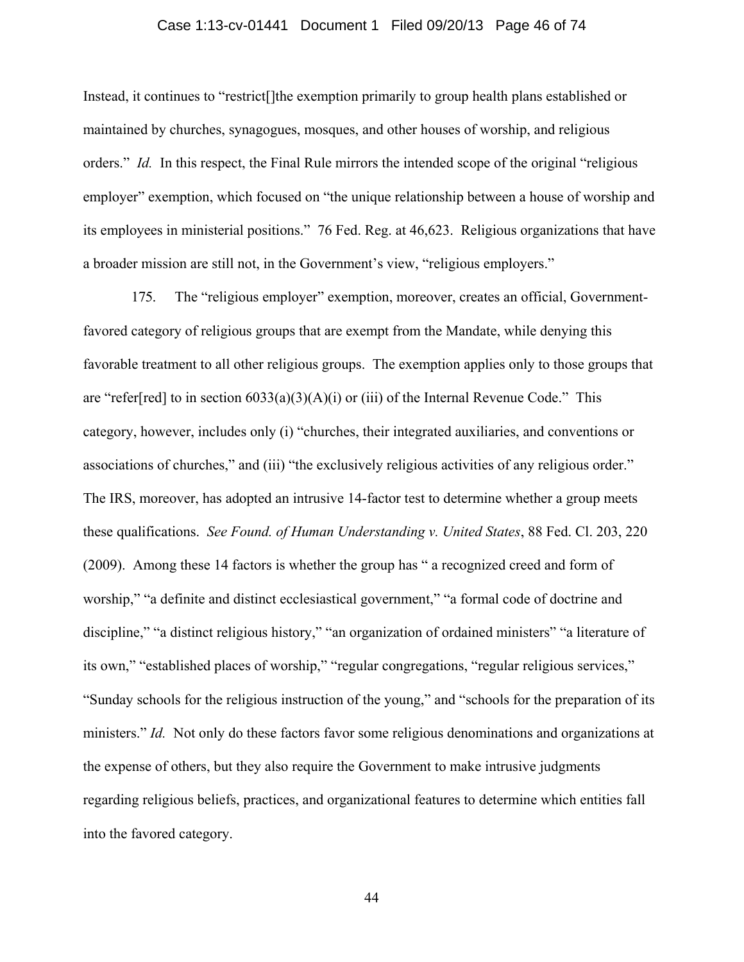### Case 1:13-cv-01441 Document 1 Filed 09/20/13 Page 46 of 74

Instead, it continues to "restrict[]the exemption primarily to group health plans established or maintained by churches, synagogues, mosques, and other houses of worship, and religious orders." *Id.* In this respect, the Final Rule mirrors the intended scope of the original "religious" employer" exemption, which focused on "the unique relationship between a house of worship and its employees in ministerial positions." 76 Fed. Reg. at 46,623. Religious organizations that have a broader mission are still not, in the Government's view, "religious employers."

175. The "religious employer" exemption, moreover, creates an official, Governmentfavored category of religious groups that are exempt from the Mandate, while denying this favorable treatment to all other religious groups. The exemption applies only to those groups that are "refer[red] to in section  $6033(a)(3)(A)(i)$  or (iii) of the Internal Revenue Code." This category, however, includes only (i) "churches, their integrated auxiliaries, and conventions or associations of churches," and (iii) "the exclusively religious activities of any religious order." The IRS, moreover, has adopted an intrusive 14-factor test to determine whether a group meets these qualifications. *See Found. of Human Understanding v. United States*, 88 Fed. Cl. 203, 220 (2009). Among these 14 factors is whether the group has " a recognized creed and form of worship," "a definite and distinct ecclesiastical government," "a formal code of doctrine and discipline," "a distinct religious history," "an organization of ordained ministers" "a literature of its own," "established places of worship," "regular congregations, "regular religious services," "Sunday schools for the religious instruction of the young," and "schools for the preparation of its ministers." *Id.* Not only do these factors favor some religious denominations and organizations at the expense of others, but they also require the Government to make intrusive judgments regarding religious beliefs, practices, and organizational features to determine which entities fall into the favored category.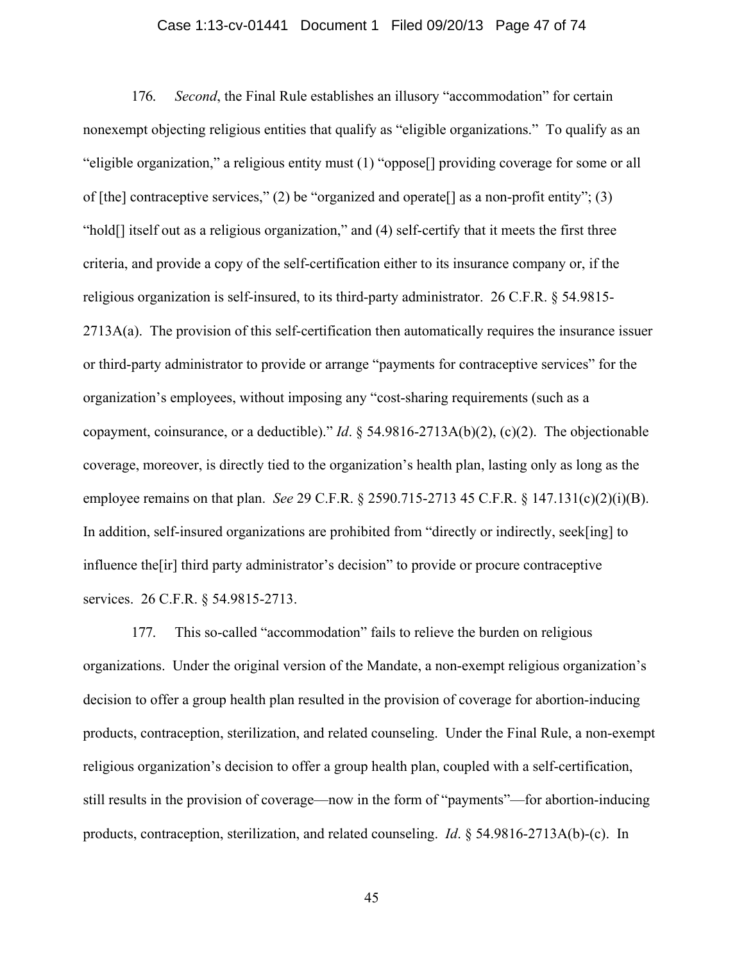### Case 1:13-cv-01441 Document 1 Filed 09/20/13 Page 47 of 74

176. *Second*, the Final Rule establishes an illusory "accommodation" for certain nonexempt objecting religious entities that qualify as "eligible organizations." To qualify as an "eligible organization," a religious entity must (1) "oppose[] providing coverage for some or all of [the] contraceptive services," (2) be "organized and operate [] as a non-profit entity"; (3) "hold[] itself out as a religious organization," and (4) self-certify that it meets the first three criteria, and provide a copy of the self-certification either to its insurance company or, if the religious organization is self-insured, to its third-party administrator. 26 C.F.R. § 54.9815- 2713A(a). The provision of this self-certification then automatically requires the insurance issuer or third-party administrator to provide or arrange "payments for contraceptive services" for the organization's employees, without imposing any "cost-sharing requirements (such as a copayment, coinsurance, or a deductible)." *Id*. § 54.9816-2713A(b)(2), (c)(2). The objectionable coverage, moreover, is directly tied to the organization's health plan, lasting only as long as the employee remains on that plan. *See* 29 C.F.R. § 2590.715-2713 45 C.F.R. § 147.131(c)(2)(i)(B). In addition, self-insured organizations are prohibited from "directly or indirectly, seek[ing] to influence the[ir] third party administrator's decision" to provide or procure contraceptive services. 26 C.F.R. § 54.9815-2713.

177. This so-called "accommodation" fails to relieve the burden on religious organizations. Under the original version of the Mandate, a non-exempt religious organization's decision to offer a group health plan resulted in the provision of coverage for abortion-inducing products, contraception, sterilization, and related counseling. Under the Final Rule, a non-exempt religious organization's decision to offer a group health plan, coupled with a self-certification, still results in the provision of coverage—now in the form of "payments"—for abortion-inducing products, contraception, sterilization, and related counseling. *Id*. § 54.9816-2713A(b)-(c). In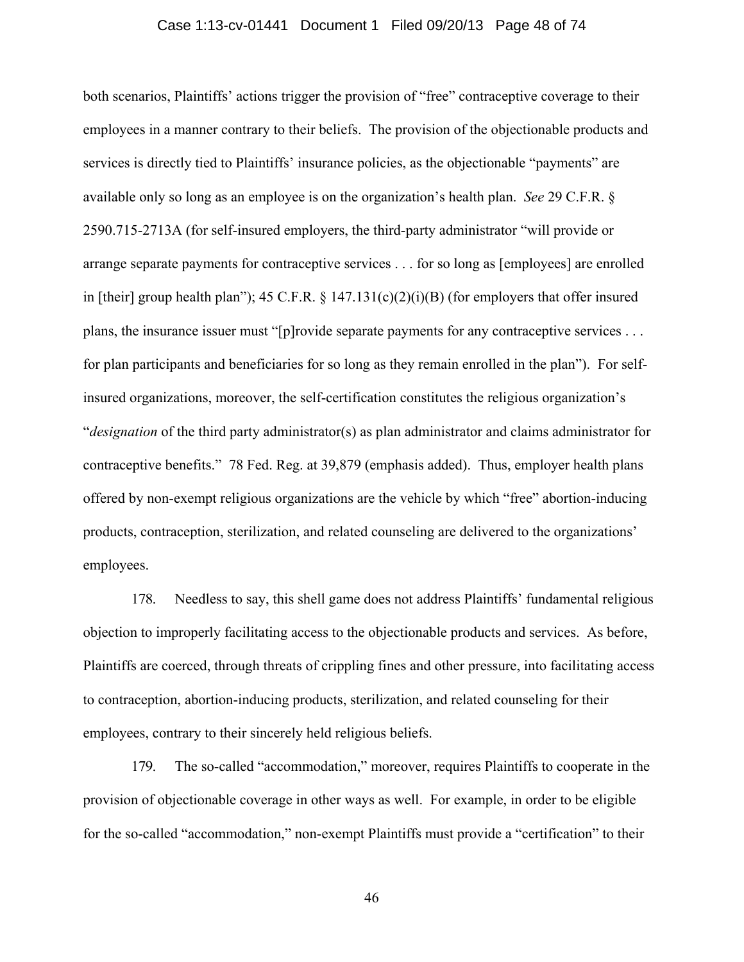#### Case 1:13-cv-01441 Document 1 Filed 09/20/13 Page 48 of 74

both scenarios, Plaintiffs' actions trigger the provision of "free" contraceptive coverage to their employees in a manner contrary to their beliefs. The provision of the objectionable products and services is directly tied to Plaintiffs' insurance policies, as the objectionable "payments" are available only so long as an employee is on the organization's health plan. *See* 29 C.F.R. § 2590.715-2713A (for self-insured employers, the third-party administrator "will provide or arrange separate payments for contraceptive services . . . for so long as [employees] are enrolled in [their] group health plan"); 45 C.F.R.  $\S$  147.131(c)(2)(i)(B) (for employers that offer insured plans, the insurance issuer must "[p]rovide separate payments for any contraceptive services . . . for plan participants and beneficiaries for so long as they remain enrolled in the plan"). For selfinsured organizations, moreover, the self-certification constitutes the religious organization's "*designation* of the third party administrator(s) as plan administrator and claims administrator for contraceptive benefits." 78 Fed. Reg. at 39,879 (emphasis added). Thus, employer health plans offered by non-exempt religious organizations are the vehicle by which "free" abortion-inducing products, contraception, sterilization, and related counseling are delivered to the organizations' employees.

178. Needless to say, this shell game does not address Plaintiffs' fundamental religious objection to improperly facilitating access to the objectionable products and services. As before, Plaintiffs are coerced, through threats of crippling fines and other pressure, into facilitating access to contraception, abortion-inducing products, sterilization, and related counseling for their employees, contrary to their sincerely held religious beliefs.

179. The so-called "accommodation," moreover, requires Plaintiffs to cooperate in the provision of objectionable coverage in other ways as well. For example, in order to be eligible for the so-called "accommodation," non-exempt Plaintiffs must provide a "certification" to their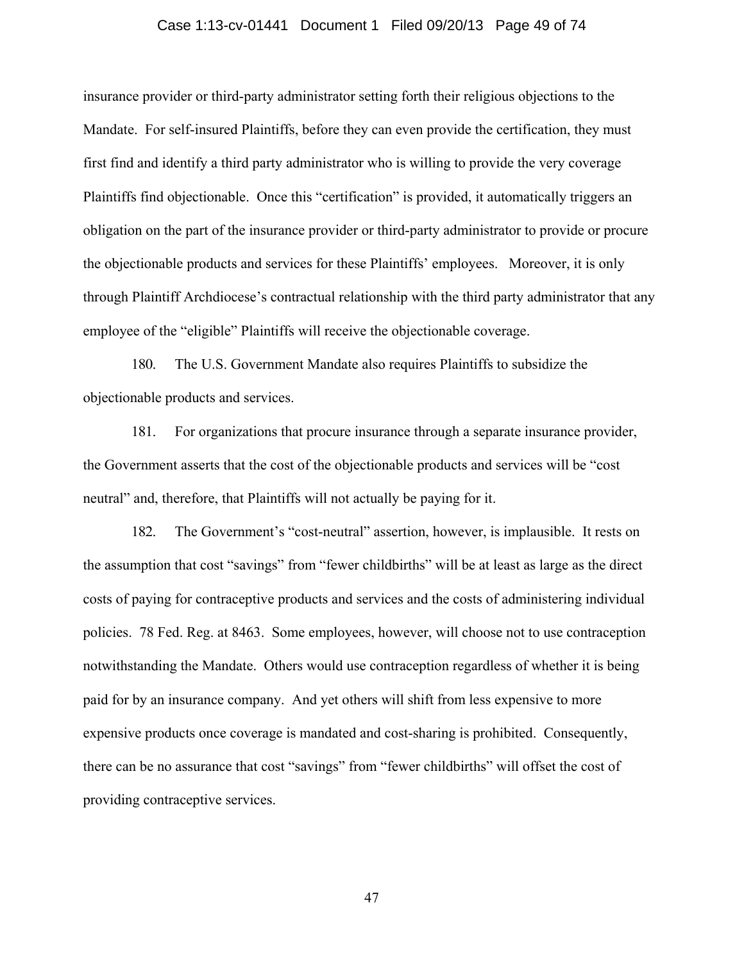#### Case 1:13-cv-01441 Document 1 Filed 09/20/13 Page 49 of 74

insurance provider or third-party administrator setting forth their religious objections to the Mandate. For self-insured Plaintiffs, before they can even provide the certification, they must first find and identify a third party administrator who is willing to provide the very coverage Plaintiffs find objectionable. Once this "certification" is provided, it automatically triggers an obligation on the part of the insurance provider or third-party administrator to provide or procure the objectionable products and services for these Plaintiffs' employees. Moreover, it is only through Plaintiff Archdiocese's contractual relationship with the third party administrator that any employee of the "eligible" Plaintiffs will receive the objectionable coverage.

180. The U.S. Government Mandate also requires Plaintiffs to subsidize the objectionable products and services.

181. For organizations that procure insurance through a separate insurance provider, the Government asserts that the cost of the objectionable products and services will be "cost neutral" and, therefore, that Plaintiffs will not actually be paying for it.

182. The Government's "cost-neutral" assertion, however, is implausible. It rests on the assumption that cost "savings" from "fewer childbirths" will be at least as large as the direct costs of paying for contraceptive products and services and the costs of administering individual policies. 78 Fed. Reg. at 8463. Some employees, however, will choose not to use contraception notwithstanding the Mandate. Others would use contraception regardless of whether it is being paid for by an insurance company. And yet others will shift from less expensive to more expensive products once coverage is mandated and cost-sharing is prohibited. Consequently, there can be no assurance that cost "savings" from "fewer childbirths" will offset the cost of providing contraceptive services.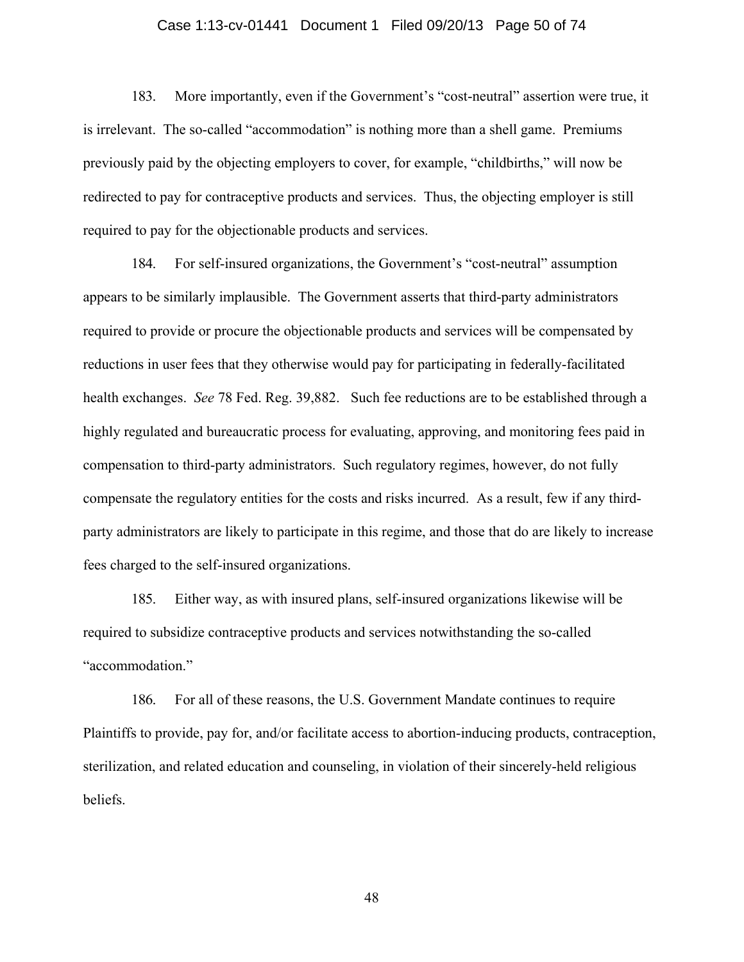#### Case 1:13-cv-01441 Document 1 Filed 09/20/13 Page 50 of 74

183. More importantly, even if the Government's "cost-neutral" assertion were true, it is irrelevant. The so-called "accommodation" is nothing more than a shell game. Premiums previously paid by the objecting employers to cover, for example, "childbirths," will now be redirected to pay for contraceptive products and services. Thus, the objecting employer is still required to pay for the objectionable products and services.

184. For self-insured organizations, the Government's "cost-neutral" assumption appears to be similarly implausible. The Government asserts that third-party administrators required to provide or procure the objectionable products and services will be compensated by reductions in user fees that they otherwise would pay for participating in federally-facilitated health exchanges. *See* 78 Fed. Reg. 39,882. Such fee reductions are to be established through a highly regulated and bureaucratic process for evaluating, approving, and monitoring fees paid in compensation to third-party administrators. Such regulatory regimes, however, do not fully compensate the regulatory entities for the costs and risks incurred. As a result, few if any thirdparty administrators are likely to participate in this regime, and those that do are likely to increase fees charged to the self-insured organizations.

185. Either way, as with insured plans, self-insured organizations likewise will be required to subsidize contraceptive products and services notwithstanding the so-called "accommodation."

186. For all of these reasons, the U.S. Government Mandate continues to require Plaintiffs to provide, pay for, and/or facilitate access to abortion-inducing products, contraception, sterilization, and related education and counseling, in violation of their sincerely-held religious beliefs.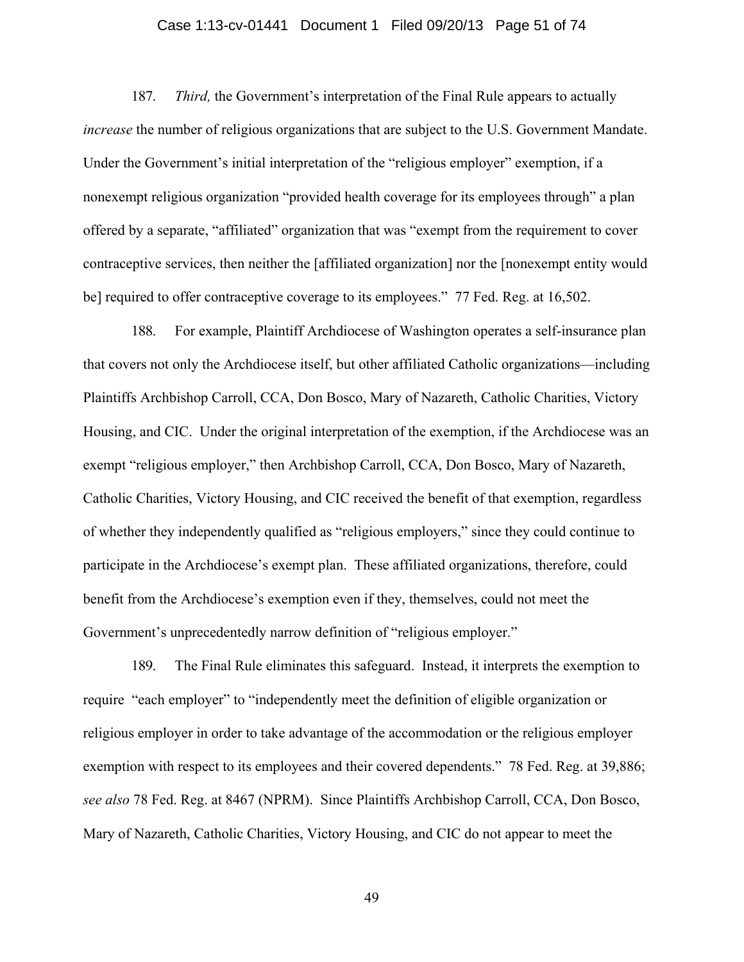### Case 1:13-cv-01441 Document 1 Filed 09/20/13 Page 51 of 74

187. *Third,* the Government's interpretation of the Final Rule appears to actually *increase* the number of religious organizations that are subject to the U.S. Government Mandate. Under the Government's initial interpretation of the "religious employer" exemption, if a nonexempt religious organization "provided health coverage for its employees through" a plan offered by a separate, "affiliated" organization that was "exempt from the requirement to cover contraceptive services, then neither the [affiliated organization] nor the [nonexempt entity would be] required to offer contraceptive coverage to its employees." 77 Fed. Reg. at 16,502.

188. For example, Plaintiff Archdiocese of Washington operates a self-insurance plan that covers not only the Archdiocese itself, but other affiliated Catholic organizations—including Plaintiffs Archbishop Carroll, CCA, Don Bosco, Mary of Nazareth, Catholic Charities, Victory Housing, and CIC. Under the original interpretation of the exemption, if the Archdiocese was an exempt "religious employer," then Archbishop Carroll, CCA, Don Bosco, Mary of Nazareth, Catholic Charities, Victory Housing, and CIC received the benefit of that exemption, regardless of whether they independently qualified as "religious employers," since they could continue to participate in the Archdiocese's exempt plan. These affiliated organizations, therefore, could benefit from the Archdiocese's exemption even if they, themselves, could not meet the Government's unprecedentedly narrow definition of "religious employer."

189. The Final Rule eliminates this safeguard. Instead, it interprets the exemption to require "each employer" to "independently meet the definition of eligible organization or religious employer in order to take advantage of the accommodation or the religious employer exemption with respect to its employees and their covered dependents." 78 Fed. Reg. at 39,886; *see also* 78 Fed. Reg. at 8467 (NPRM).Since Plaintiffs Archbishop Carroll, CCA, Don Bosco, Mary of Nazareth, Catholic Charities, Victory Housing, and CIC do not appear to meet the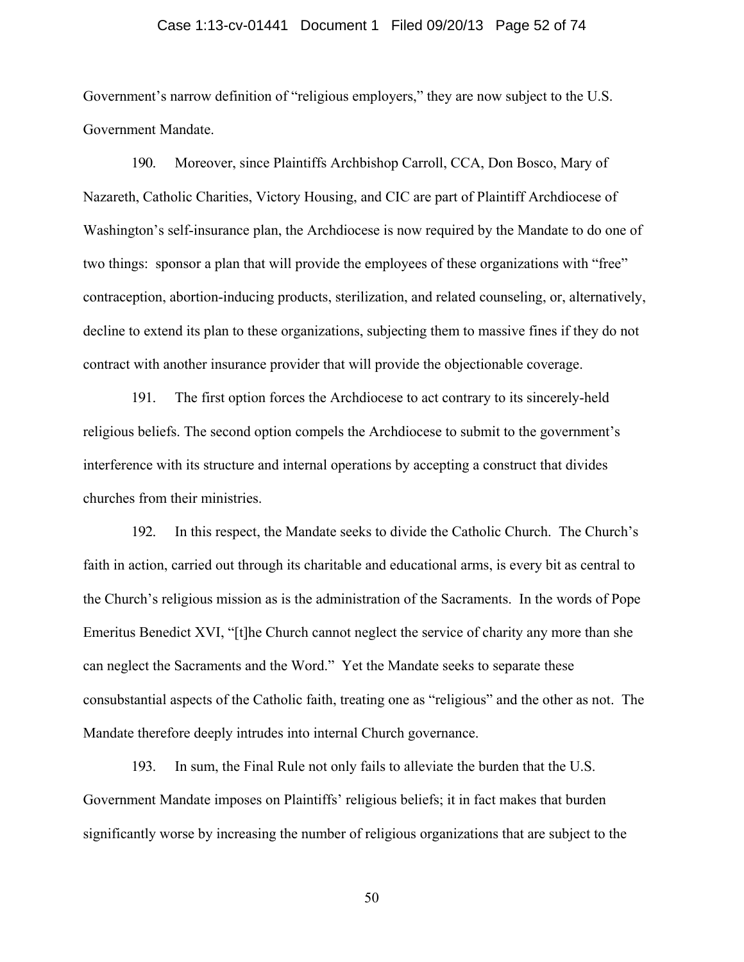#### Case 1:13-cv-01441 Document 1 Filed 09/20/13 Page 52 of 74

Government's narrow definition of "religious employers," they are now subject to the U.S. Government Mandate.

190. Moreover, since Plaintiffs Archbishop Carroll, CCA, Don Bosco, Mary of Nazareth, Catholic Charities, Victory Housing, and CIC are part of Plaintiff Archdiocese of Washington's self-insurance plan, the Archdiocese is now required by the Mandate to do one of two things: sponsor a plan that will provide the employees of these organizations with "free" contraception, abortion-inducing products, sterilization, and related counseling, or, alternatively, decline to extend its plan to these organizations, subjecting them to massive fines if they do not contract with another insurance provider that will provide the objectionable coverage.

191. The first option forces the Archdiocese to act contrary to its sincerely-held religious beliefs. The second option compels the Archdiocese to submit to the government's interference with its structure and internal operations by accepting a construct that divides churches from their ministries.

192. In this respect, the Mandate seeks to divide the Catholic Church. The Church's faith in action, carried out through its charitable and educational arms, is every bit as central to the Church's religious mission as is the administration of the Sacraments. In the words of Pope Emeritus Benedict XVI, "[t]he Church cannot neglect the service of charity any more than she can neglect the Sacraments and the Word." Yet the Mandate seeks to separate these consubstantial aspects of the Catholic faith, treating one as "religious" and the other as not. The Mandate therefore deeply intrudes into internal Church governance.

193. In sum, the Final Rule not only fails to alleviate the burden that the U.S. Government Mandate imposes on Plaintiffs' religious beliefs; it in fact makes that burden significantly worse by increasing the number of religious organizations that are subject to the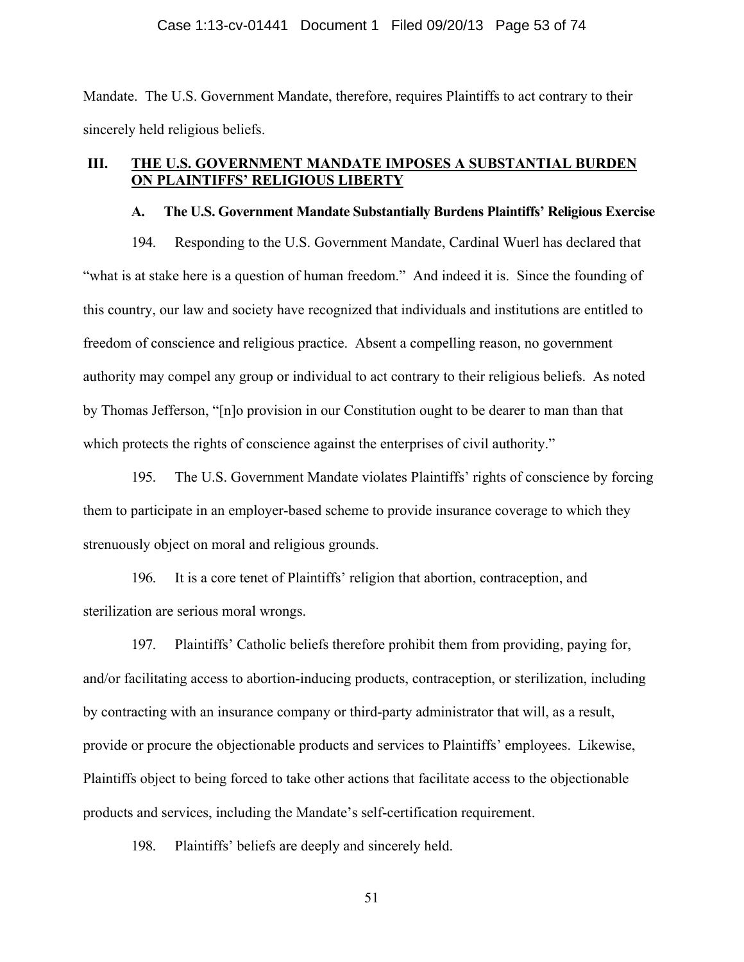#### Case 1:13-cv-01441 Document 1 Filed 09/20/13 Page 53 of 74

Mandate. The U.S. Government Mandate, therefore, requires Plaintiffs to act contrary to their sincerely held religious beliefs.

# **III. THE U.S. GOVERNMENT MANDATE IMPOSES A SUBSTANTIAL BURDEN ON PLAINTIFFS' RELIGIOUS LIBERTY**

### **A. The U.S. Government Mandate Substantially Burdens Plaintiffs' Religious Exercise**

194. Responding to the U.S. Government Mandate, Cardinal Wuerl has declared that "what is at stake here is a question of human freedom." And indeed it is. Since the founding of this country, our law and society have recognized that individuals and institutions are entitled to freedom of conscience and religious practice. Absent a compelling reason, no government authority may compel any group or individual to act contrary to their religious beliefs. As noted by Thomas Jefferson, "[n]o provision in our Constitution ought to be dearer to man than that which protects the rights of conscience against the enterprises of civil authority."

195. The U.S. Government Mandate violates Plaintiffs' rights of conscience by forcing them to participate in an employer-based scheme to provide insurance coverage to which they strenuously object on moral and religious grounds.

196. It is a core tenet of Plaintiffs' religion that abortion, contraception, and sterilization are serious moral wrongs.

197. Plaintiffs' Catholic beliefs therefore prohibit them from providing, paying for, and/or facilitating access to abortion-inducing products, contraception, or sterilization, including by contracting with an insurance company or third-party administrator that will, as a result, provide or procure the objectionable products and services to Plaintiffs' employees. Likewise, Plaintiffs object to being forced to take other actions that facilitate access to the objectionable products and services, including the Mandate's self-certification requirement.

198. Plaintiffs' beliefs are deeply and sincerely held.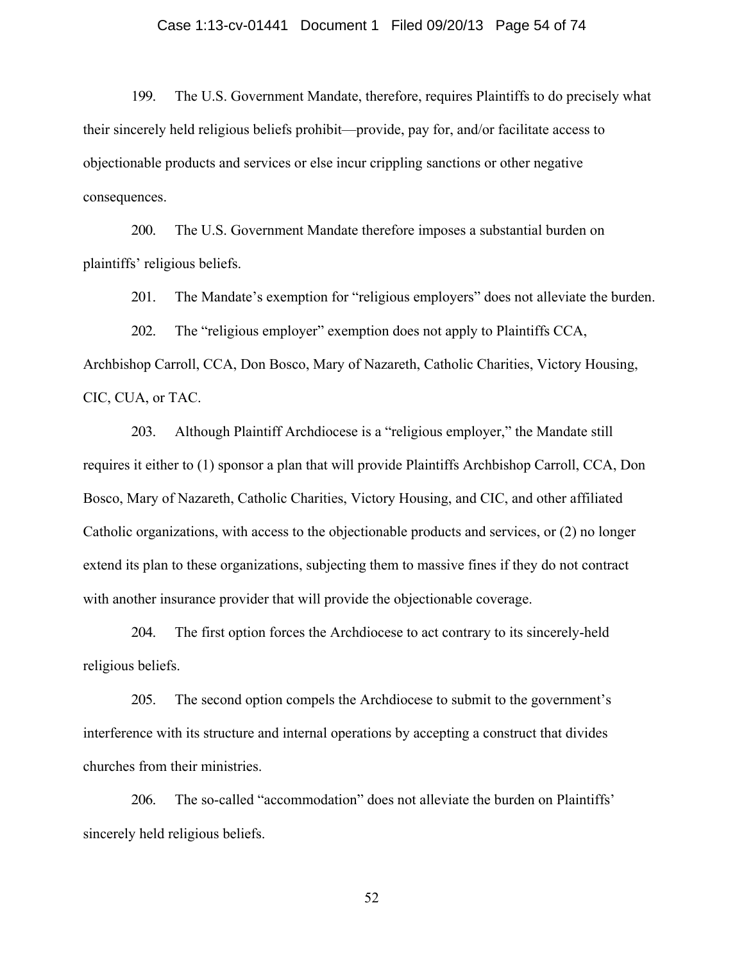### Case 1:13-cv-01441 Document 1 Filed 09/20/13 Page 54 of 74

199. The U.S. Government Mandate, therefore, requires Plaintiffs to do precisely what their sincerely held religious beliefs prohibit—provide, pay for, and/or facilitate access to objectionable products and services or else incur crippling sanctions or other negative consequences.

200. The U.S. Government Mandate therefore imposes a substantial burden on plaintiffs' religious beliefs.

201. The Mandate's exemption for "religious employers" does not alleviate the burden.

202. The "religious employer" exemption does not apply to Plaintiffs CCA, Archbishop Carroll, CCA, Don Bosco, Mary of Nazareth, Catholic Charities, Victory Housing, CIC, CUA, or TAC.

203. Although Plaintiff Archdiocese is a "religious employer," the Mandate still requires it either to (1) sponsor a plan that will provide Plaintiffs Archbishop Carroll, CCA, Don Bosco, Mary of Nazareth, Catholic Charities, Victory Housing, and CIC, and other affiliated Catholic organizations, with access to the objectionable products and services, or (2) no longer extend its plan to these organizations, subjecting them to massive fines if they do not contract with another insurance provider that will provide the objectionable coverage.

204. The first option forces the Archdiocese to act contrary to its sincerely-held religious beliefs.

205. The second option compels the Archdiocese to submit to the government's interference with its structure and internal operations by accepting a construct that divides churches from their ministries.

206. The so-called "accommodation" does not alleviate the burden on Plaintiffs' sincerely held religious beliefs.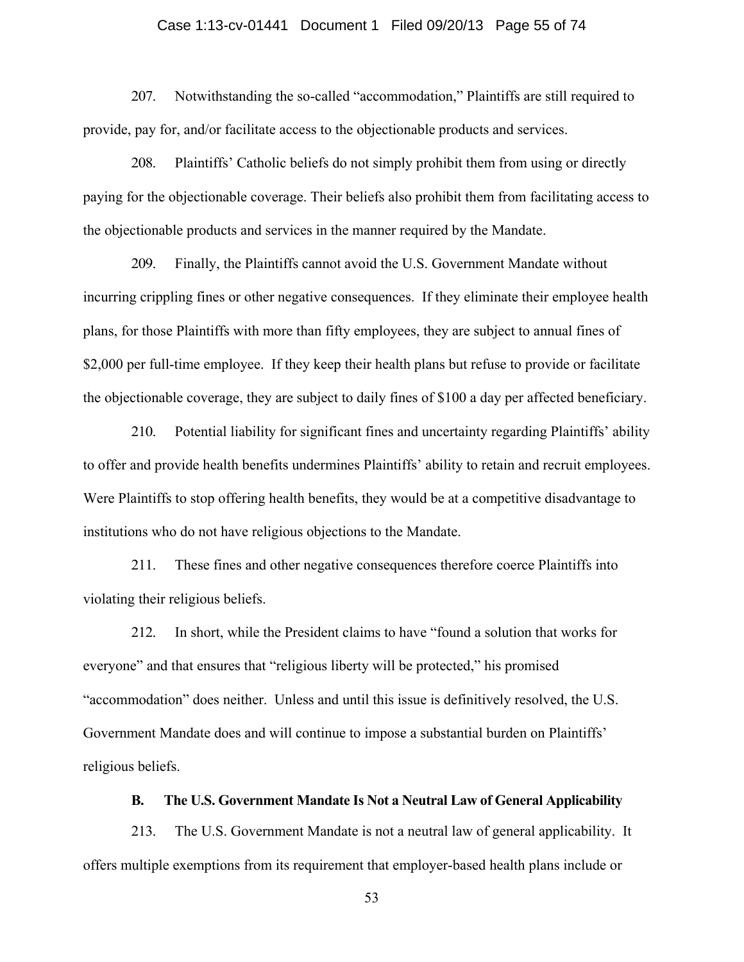#### Case 1:13-cv-01441 Document 1 Filed 09/20/13 Page 55 of 74

207. Notwithstanding the so-called "accommodation," Plaintiffs are still required to provide, pay for, and/or facilitate access to the objectionable products and services.

208. Plaintiffs' Catholic beliefs do not simply prohibit them from using or directly paying for the objectionable coverage. Their beliefs also prohibit them from facilitating access to the objectionable products and services in the manner required by the Mandate.

209. Finally, the Plaintiffs cannot avoid the U.S. Government Mandate without incurring crippling fines or other negative consequences. If they eliminate their employee health plans, for those Plaintiffs with more than fifty employees, they are subject to annual fines of \$2,000 per full-time employee. If they keep their health plans but refuse to provide or facilitate the objectionable coverage, they are subject to daily fines of \$100 a day per affected beneficiary.

210. Potential liability for significant fines and uncertainty regarding Plaintiffs' ability to offer and provide health benefits undermines Plaintiffs' ability to retain and recruit employees. Were Plaintiffs to stop offering health benefits, they would be at a competitive disadvantage to institutions who do not have religious objections to the Mandate.

211. These fines and other negative consequences therefore coerce Plaintiffs into violating their religious beliefs.

212. In short, while the President claims to have "found a solution that works for everyone" and that ensures that "religious liberty will be protected," his promised "accommodation" does neither. Unless and until this issue is definitively resolved, the U.S. Government Mandate does and will continue to impose a substantial burden on Plaintiffs' religious beliefs.

## **B. The U.S. Government Mandate Is Not a Neutral Law of General Applicability**

213. The U.S. Government Mandate is not a neutral law of general applicability. It offers multiple exemptions from its requirement that employer-based health plans include or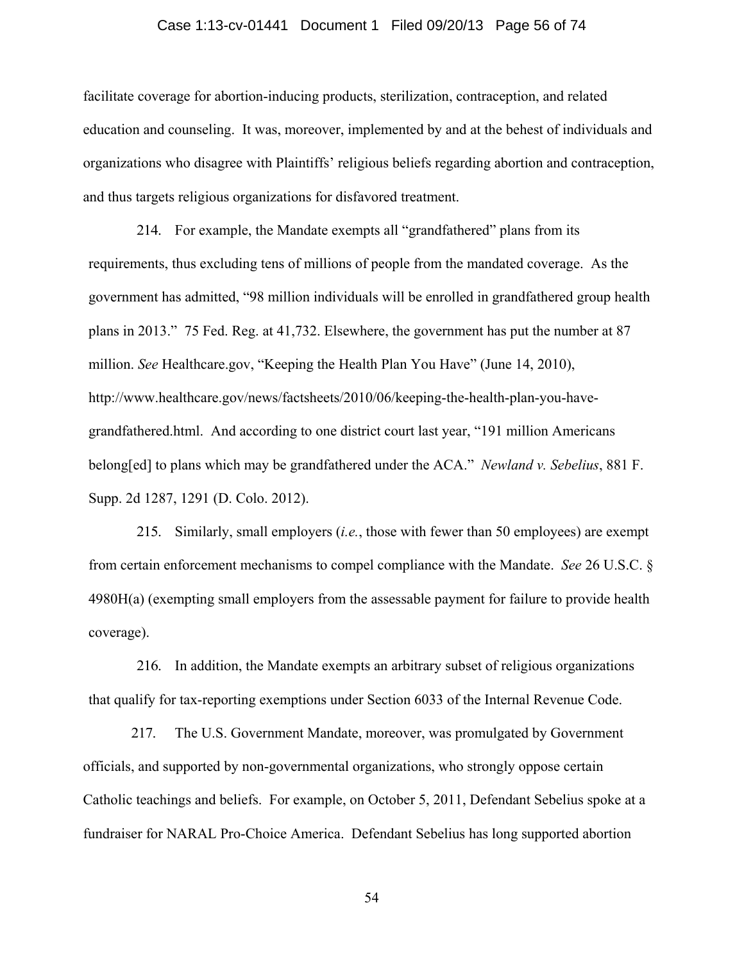#### Case 1:13-cv-01441 Document 1 Filed 09/20/13 Page 56 of 74

facilitate coverage for abortion-inducing products, sterilization, contraception, and related education and counseling. It was, moreover, implemented by and at the behest of individuals and organizations who disagree with Plaintiffs' religious beliefs regarding abortion and contraception, and thus targets religious organizations for disfavored treatment.

214. For example, the Mandate exempts all "grandfathered" plans from its requirements, thus excluding tens of millions of people from the mandated coverage. As the government has admitted, "98 million individuals will be enrolled in grandfathered group health plans in 2013." 75 Fed. Reg. at 41,732. Elsewhere, the government has put the number at 87 million. *See* Healthcare.gov, "Keeping the Health Plan You Have" (June 14, 2010), http://www.healthcare.gov/news/factsheets/2010/06/keeping-the-health-plan-you-havegrandfathered.html. And according to one district court last year, "191 million Americans belong[ed] to plans which may be grandfathered under the ACA." *Newland v. Sebelius*, 881 F. Supp. 2d 1287, 1291 (D. Colo. 2012).

215. Similarly, small employers (*i.e.*, those with fewer than 50 employees) are exempt from certain enforcement mechanisms to compel compliance with the Mandate. *See* 26 U.S.C. § 4980H(a) (exempting small employers from the assessable payment for failure to provide health coverage).

216. In addition, the Mandate exempts an arbitrary subset of religious organizations that qualify for tax-reporting exemptions under Section 6033 of the Internal Revenue Code.

217. The U.S. Government Mandate, moreover, was promulgated by Government officials, and supported by non-governmental organizations, who strongly oppose certain Catholic teachings and beliefs. For example, on October 5, 2011, Defendant Sebelius spoke at a fundraiser for NARAL Pro-Choice America. Defendant Sebelius has long supported abortion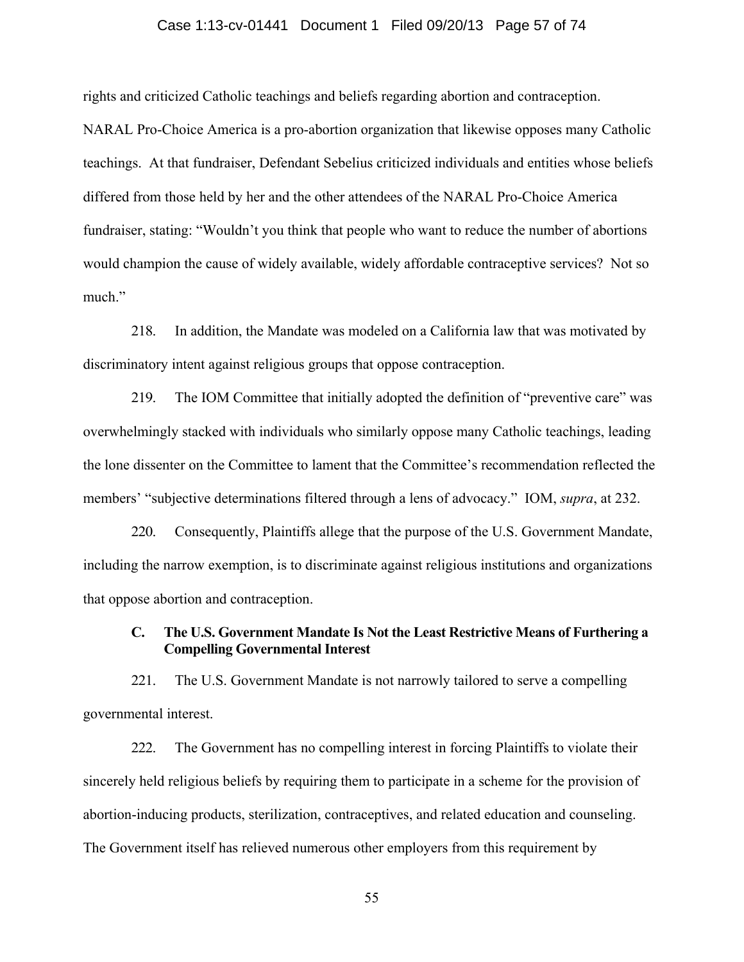#### Case 1:13-cv-01441 Document 1 Filed 09/20/13 Page 57 of 74

rights and criticized Catholic teachings and beliefs regarding abortion and contraception.

NARAL Pro-Choice America is a pro-abortion organization that likewise opposes many Catholic teachings. At that fundraiser, Defendant Sebelius criticized individuals and entities whose beliefs differed from those held by her and the other attendees of the NARAL Pro-Choice America fundraiser, stating: "Wouldn't you think that people who want to reduce the number of abortions would champion the cause of widely available, widely affordable contraceptive services? Not so much."

218. In addition, the Mandate was modeled on a California law that was motivated by discriminatory intent against religious groups that oppose contraception.

219. The IOM Committee that initially adopted the definition of "preventive care" was overwhelmingly stacked with individuals who similarly oppose many Catholic teachings, leading the lone dissenter on the Committee to lament that the Committee's recommendation reflected the members' "subjective determinations filtered through a lens of advocacy." IOM, *supra*, at 232.

220. Consequently, Plaintiffs allege that the purpose of the U.S. Government Mandate, including the narrow exemption, is to discriminate against religious institutions and organizations that oppose abortion and contraception.

## **C. The U.S. Government Mandate Is Not the Least Restrictive Means of Furthering a Compelling Governmental Interest**

221. The U.S. Government Mandate is not narrowly tailored to serve a compelling governmental interest.

222. The Government has no compelling interest in forcing Plaintiffs to violate their sincerely held religious beliefs by requiring them to participate in a scheme for the provision of abortion-inducing products, sterilization, contraceptives, and related education and counseling. The Government itself has relieved numerous other employers from this requirement by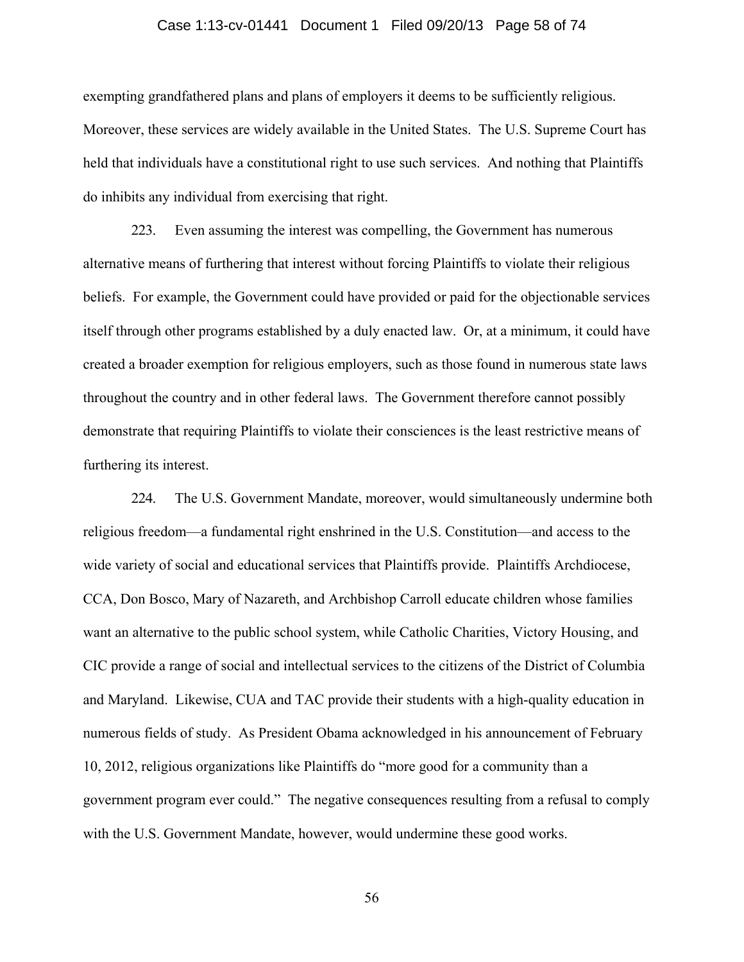#### Case 1:13-cv-01441 Document 1 Filed 09/20/13 Page 58 of 74

exempting grandfathered plans and plans of employers it deems to be sufficiently religious. Moreover, these services are widely available in the United States. The U.S. Supreme Court has held that individuals have a constitutional right to use such services. And nothing that Plaintiffs do inhibits any individual from exercising that right.

223. Even assuming the interest was compelling, the Government has numerous alternative means of furthering that interest without forcing Plaintiffs to violate their religious beliefs. For example, the Government could have provided or paid for the objectionable services itself through other programs established by a duly enacted law. Or, at a minimum, it could have created a broader exemption for religious employers, such as those found in numerous state laws throughout the country and in other federal laws. The Government therefore cannot possibly demonstrate that requiring Plaintiffs to violate their consciences is the least restrictive means of furthering its interest.

224. The U.S. Government Mandate, moreover, would simultaneously undermine both religious freedom—a fundamental right enshrined in the U.S. Constitution—and access to the wide variety of social and educational services that Plaintiffs provide. Plaintiffs Archdiocese, CCA, Don Bosco, Mary of Nazareth, and Archbishop Carroll educate children whose families want an alternative to the public school system, while Catholic Charities, Victory Housing, and CIC provide a range of social and intellectual services to the citizens of the District of Columbia and Maryland. Likewise, CUA and TAC provide their students with a high-quality education in numerous fields of study. As President Obama acknowledged in his announcement of February 10, 2012, religious organizations like Plaintiffs do "more good for a community than a government program ever could." The negative consequences resulting from a refusal to comply with the U.S. Government Mandate, however, would undermine these good works.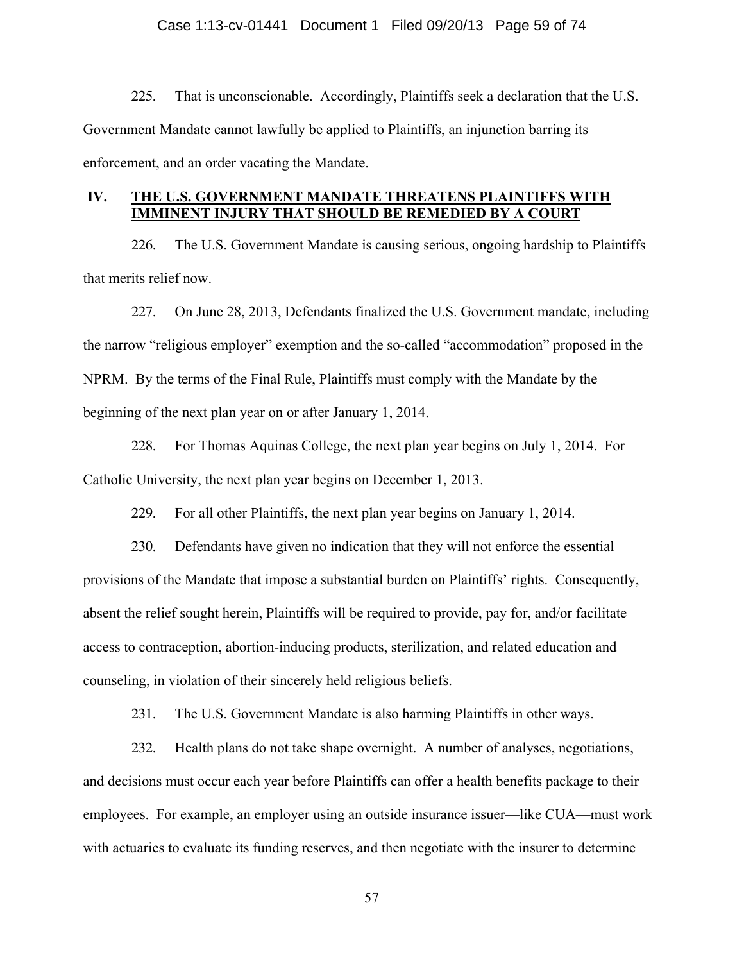#### Case 1:13-cv-01441 Document 1 Filed 09/20/13 Page 59 of 74

225. That is unconscionable. Accordingly, Plaintiffs seek a declaration that the U.S. Government Mandate cannot lawfully be applied to Plaintiffs, an injunction barring its enforcement, and an order vacating the Mandate.

# **IV. THE U.S. GOVERNMENT MANDATE THREATENS PLAINTIFFS WITH IMMINENT INJURY THAT SHOULD BE REMEDIED BY A COURT**

226. The U.S. Government Mandate is causing serious, ongoing hardship to Plaintiffs that merits relief now.

227. On June 28, 2013, Defendants finalized the U.S. Government mandate, including the narrow "religious employer" exemption and the so-called "accommodation" proposed in the NPRM. By the terms of the Final Rule, Plaintiffs must comply with the Mandate by the beginning of the next plan year on or after January 1, 2014.

228. For Thomas Aquinas College, the next plan year begins on July 1, 2014. For Catholic University, the next plan year begins on December 1, 2013.

229. For all other Plaintiffs, the next plan year begins on January 1, 2014.

230. Defendants have given no indication that they will not enforce the essential provisions of the Mandate that impose a substantial burden on Plaintiffs' rights. Consequently, absent the relief sought herein, Plaintiffs will be required to provide, pay for, and/or facilitate access to contraception, abortion-inducing products, sterilization, and related education and counseling, in violation of their sincerely held religious beliefs.

231. The U.S. Government Mandate is also harming Plaintiffs in other ways.

232. Health plans do not take shape overnight. A number of analyses, negotiations, and decisions must occur each year before Plaintiffs can offer a health benefits package to their employees. For example, an employer using an outside insurance issuer—like CUA—must work with actuaries to evaluate its funding reserves, and then negotiate with the insurer to determine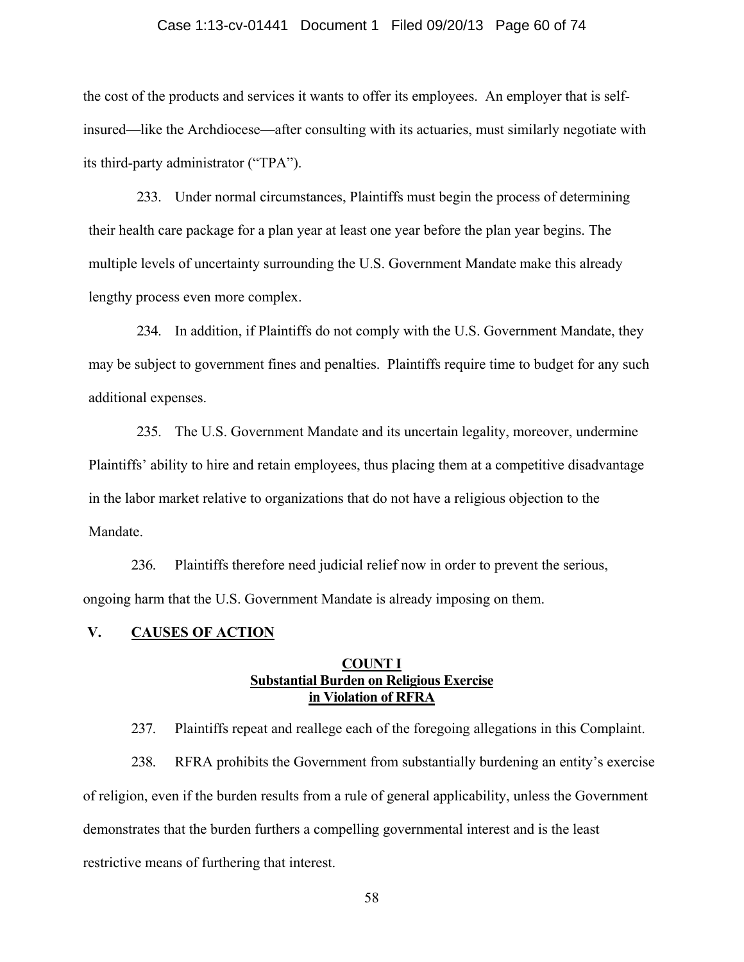### Case 1:13-cv-01441 Document 1 Filed 09/20/13 Page 60 of 74

the cost of the products and services it wants to offer its employees. An employer that is selfinsured—like the Archdiocese—after consulting with its actuaries, must similarly negotiate with its third-party administrator ("TPA").

233. Under normal circumstances, Plaintiffs must begin the process of determining their health care package for a plan year at least one year before the plan year begins. The multiple levels of uncertainty surrounding the U.S. Government Mandate make this already lengthy process even more complex.

234. In addition, if Plaintiffs do not comply with the U.S. Government Mandate, they may be subject to government fines and penalties. Plaintiffs require time to budget for any such additional expenses.

235. The U.S. Government Mandate and its uncertain legality, moreover, undermine Plaintiffs' ability to hire and retain employees, thus placing them at a competitive disadvantage in the labor market relative to organizations that do not have a religious objection to the Mandate.

236. Plaintiffs therefore need judicial relief now in order to prevent the serious, ongoing harm that the U.S. Government Mandate is already imposing on them.

### **V. CAUSES OF ACTION**

## **COUNT I Substantial Burden on Religious Exercise in Violation of RFRA**

237. Plaintiffs repeat and reallege each of the foregoing allegations in this Complaint.

238. RFRA prohibits the Government from substantially burdening an entity's exercise of religion, even if the burden results from a rule of general applicability, unless the Government demonstrates that the burden furthers a compelling governmental interest and is the least restrictive means of furthering that interest.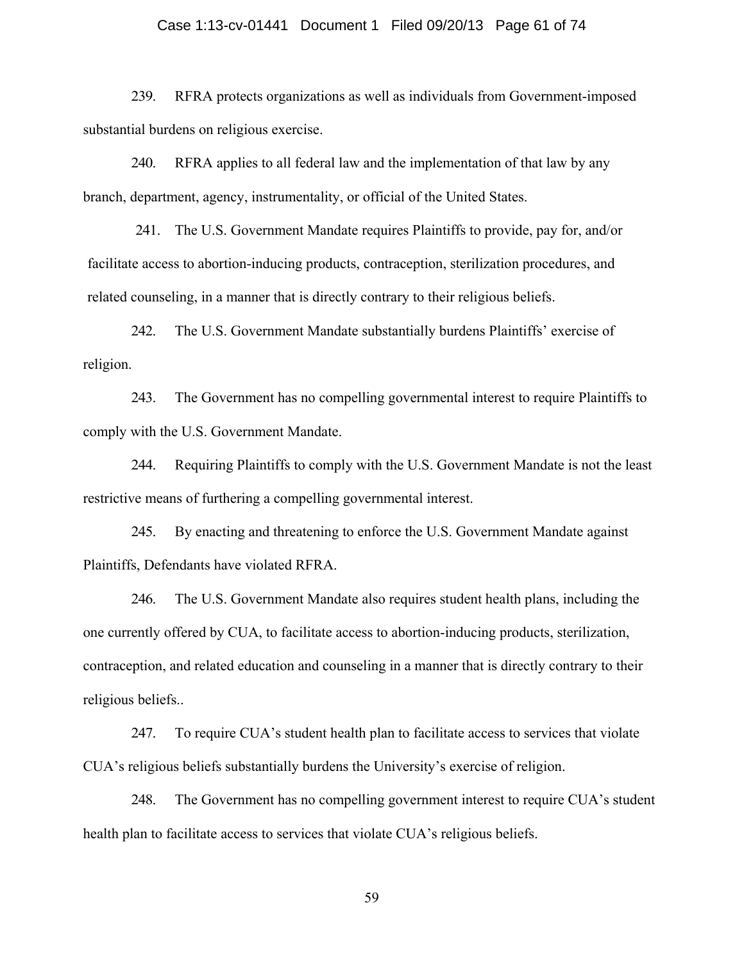### Case 1:13-cv-01441 Document 1 Filed 09/20/13 Page 61 of 74

239. RFRA protects organizations as well as individuals from Government-imposed substantial burdens on religious exercise.

240. RFRA applies to all federal law and the implementation of that law by any branch, department, agency, instrumentality, or official of the United States.

241. The U.S. Government Mandate requires Plaintiffs to provide, pay for, and/or facilitate access to abortion-inducing products, contraception, sterilization procedures, and related counseling, in a manner that is directly contrary to their religious beliefs.

242. The U.S. Government Mandate substantially burdens Plaintiffs' exercise of religion.

243. The Government has no compelling governmental interest to require Plaintiffs to comply with the U.S. Government Mandate.

244. Requiring Plaintiffs to comply with the U.S. Government Mandate is not the least restrictive means of furthering a compelling governmental interest.

245. By enacting and threatening to enforce the U.S. Government Mandate against Plaintiffs, Defendants have violated RFRA.

246. The U.S. Government Mandate also requires student health plans, including the one currently offered by CUA, to facilitate access to abortion-inducing products, sterilization, contraception, and related education and counseling in a manner that is directly contrary to their religious beliefs..

247. To require CUA's student health plan to facilitate access to services that violate CUA's religious beliefs substantially burdens the University's exercise of religion.

248. The Government has no compelling government interest to require CUA's student health plan to facilitate access to services that violate CUA's religious beliefs.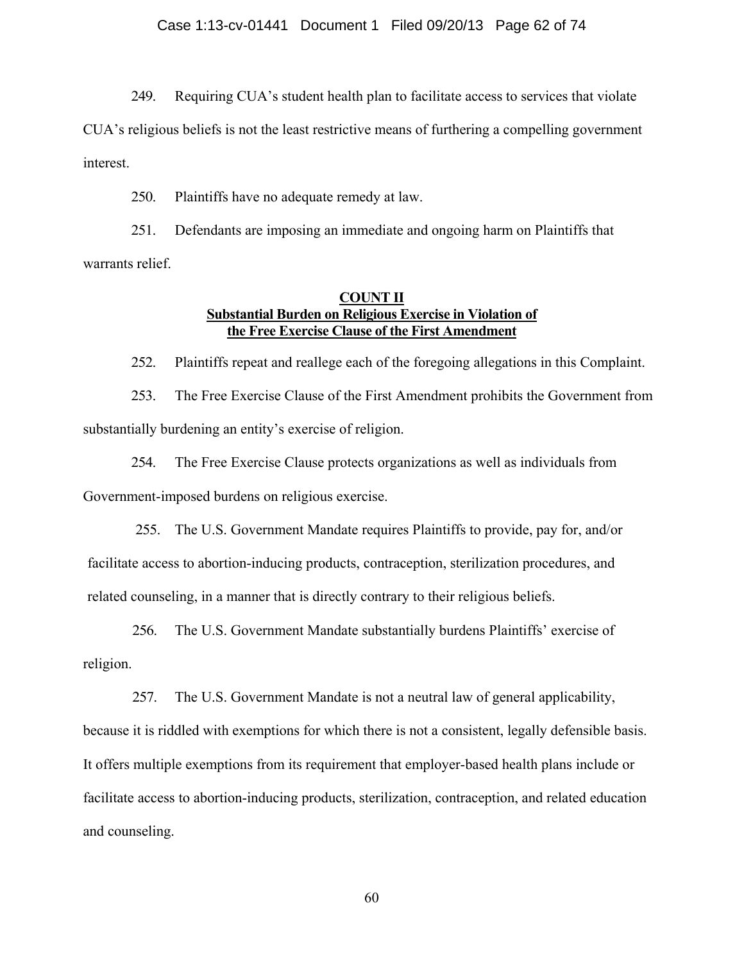249. Requiring CUA's student health plan to facilitate access to services that violate

CUA's religious beliefs is not the least restrictive means of furthering a compelling government interest.

250. Plaintiffs have no adequate remedy at law.

251. Defendants are imposing an immediate and ongoing harm on Plaintiffs that warrants relief.

## **COUNT II Substantial Burden on Religious Exercise in Violation of the Free Exercise Clause of the First Amendment**

252. Plaintiffs repeat and reallege each of the foregoing allegations in this Complaint.

253. The Free Exercise Clause of the First Amendment prohibits the Government from substantially burdening an entity's exercise of religion.

254. The Free Exercise Clause protects organizations as well as individuals from Government-imposed burdens on religious exercise.

255. The U.S. Government Mandate requires Plaintiffs to provide, pay for, and/or facilitate access to abortion-inducing products, contraception, sterilization procedures, and related counseling, in a manner that is directly contrary to their religious beliefs.

256. The U.S. Government Mandate substantially burdens Plaintiffs' exercise of religion.

257. The U.S. Government Mandate is not a neutral law of general applicability, because it is riddled with exemptions for which there is not a consistent, legally defensible basis. It offers multiple exemptions from its requirement that employer-based health plans include or facilitate access to abortion-inducing products, sterilization, contraception, and related education and counseling.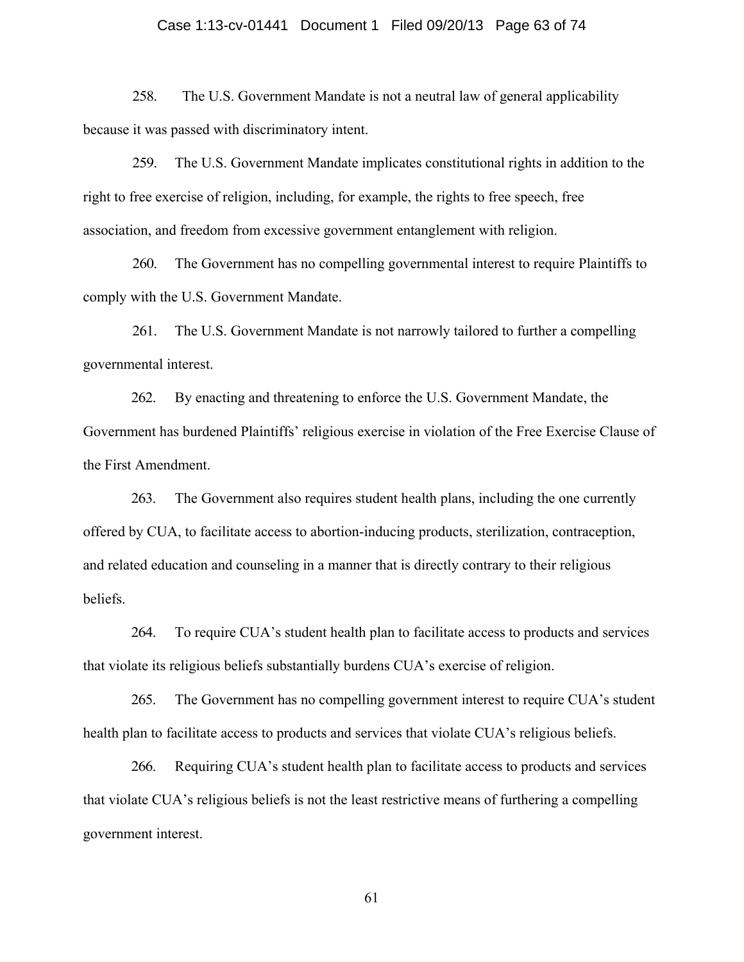### Case 1:13-cv-01441 Document 1 Filed 09/20/13 Page 63 of 74

258. The U.S. Government Mandate is not a neutral law of general applicability because it was passed with discriminatory intent.

259. The U.S. Government Mandate implicates constitutional rights in addition to the right to free exercise of religion, including, for example, the rights to free speech, free association, and freedom from excessive government entanglement with religion.

260. The Government has no compelling governmental interest to require Plaintiffs to comply with the U.S. Government Mandate.

261. The U.S. Government Mandate is not narrowly tailored to further a compelling governmental interest.

262. By enacting and threatening to enforce the U.S. Government Mandate, the Government has burdened Plaintiffs' religious exercise in violation of the Free Exercise Clause of the First Amendment.

263. The Government also requires student health plans, including the one currently offered by CUA, to facilitate access to abortion-inducing products, sterilization, contraception, and related education and counseling in a manner that is directly contrary to their religious beliefs.

264. To require CUA's student health plan to facilitate access to products and services that violate its religious beliefs substantially burdens CUA's exercise of religion.

265. The Government has no compelling government interest to require CUA's student health plan to facilitate access to products and services that violate CUA's religious beliefs.

266. Requiring CUA's student health plan to facilitate access to products and services that violate CUA's religious beliefs is not the least restrictive means of furthering a compelling government interest.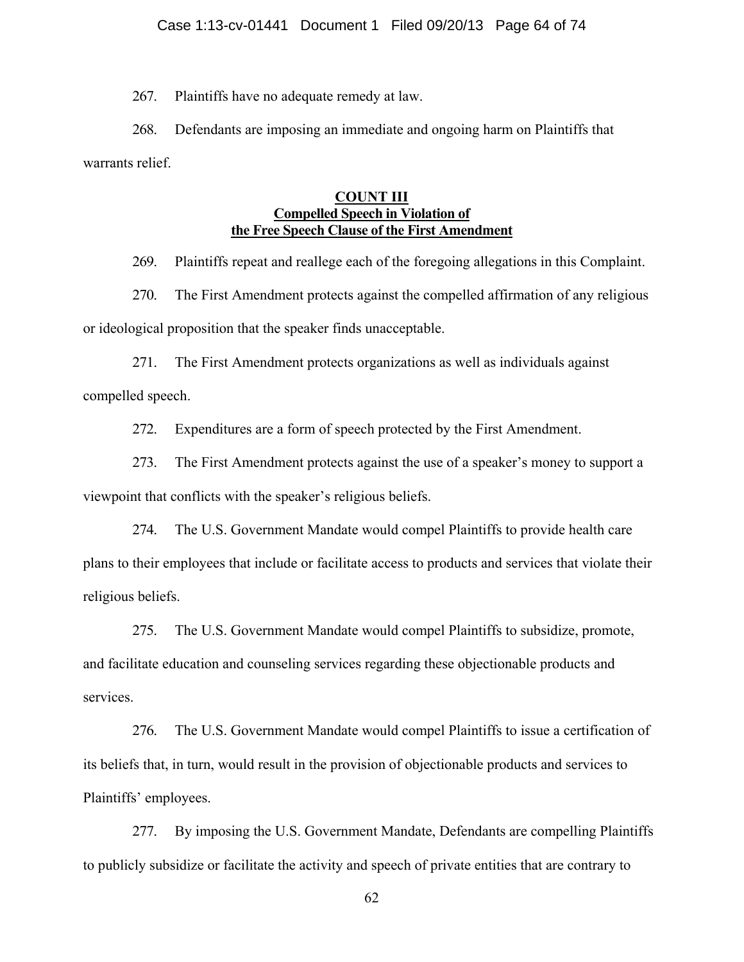267. Plaintiffs have no adequate remedy at law.

268. Defendants are imposing an immediate and ongoing harm on Plaintiffs that warrants relief.

## **COUNT III Compelled Speech in Violation of the Free Speech Clause of the First Amendment**

269. Plaintiffs repeat and reallege each of the foregoing allegations in this Complaint.

270. The First Amendment protects against the compelled affirmation of any religious or ideological proposition that the speaker finds unacceptable.

271. The First Amendment protects organizations as well as individuals against compelled speech.

272. Expenditures are a form of speech protected by the First Amendment.

273. The First Amendment protects against the use of a speaker's money to support a viewpoint that conflicts with the speaker's religious beliefs.

274. The U.S. Government Mandate would compel Plaintiffs to provide health care plans to their employees that include or facilitate access to products and services that violate their religious beliefs.

275. The U.S. Government Mandate would compel Plaintiffs to subsidize, promote, and facilitate education and counseling services regarding these objectionable products and services.

276. The U.S. Government Mandate would compel Plaintiffs to issue a certification of its beliefs that, in turn, would result in the provision of objectionable products and services to Plaintiffs' employees.

277. By imposing the U.S. Government Mandate, Defendants are compelling Plaintiffs to publicly subsidize or facilitate the activity and speech of private entities that are contrary to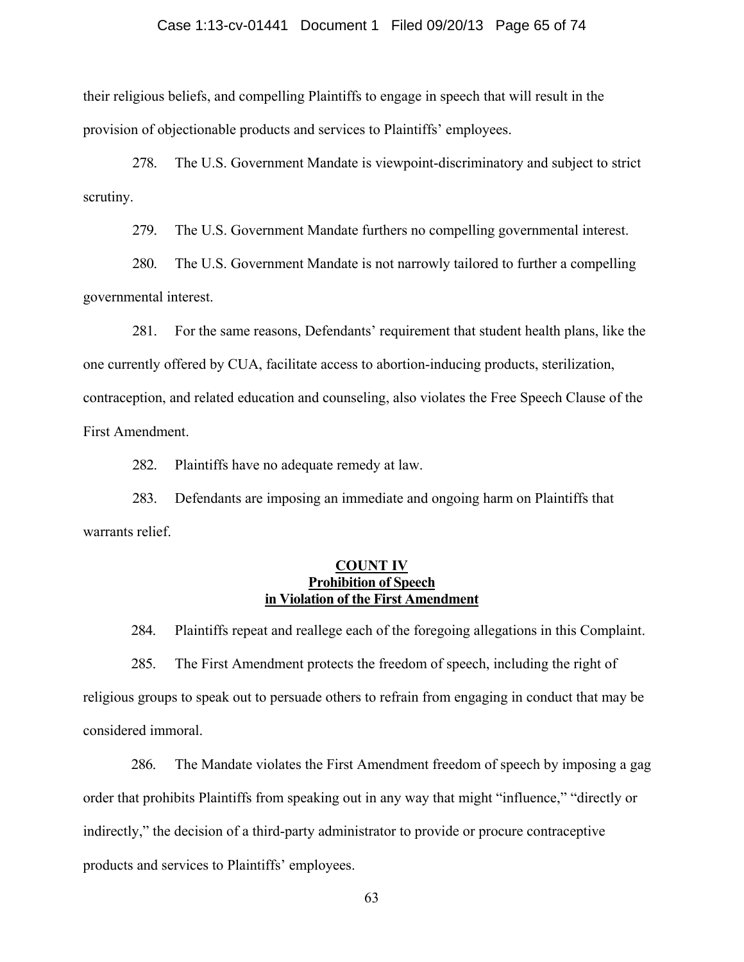### Case 1:13-cv-01441 Document 1 Filed 09/20/13 Page 65 of 74

their religious beliefs, and compelling Plaintiffs to engage in speech that will result in the provision of objectionable products and services to Plaintiffs' employees.

278. The U.S. Government Mandate is viewpoint-discriminatory and subject to strict scrutiny.

279. The U.S. Government Mandate furthers no compelling governmental interest.

280. The U.S. Government Mandate is not narrowly tailored to further a compelling governmental interest.

281. For the same reasons, Defendants' requirement that student health plans, like the one currently offered by CUA, facilitate access to abortion-inducing products, sterilization, contraception, and related education and counseling, also violates the Free Speech Clause of the First Amendment.

282. Plaintiffs have no adequate remedy at law.

283. Defendants are imposing an immediate and ongoing harm on Plaintiffs that warrants relief.

### **COUNT IV Prohibition of Speech in Violation of the First Amendment**

284. Plaintiffs repeat and reallege each of the foregoing allegations in this Complaint.

285. The First Amendment protects the freedom of speech, including the right of religious groups to speak out to persuade others to refrain from engaging in conduct that may be considered immoral.

286. The Mandate violates the First Amendment freedom of speech by imposing a gag order that prohibits Plaintiffs from speaking out in any way that might "influence," "directly or indirectly," the decision of a third-party administrator to provide or procure contraceptive products and services to Plaintiffs' employees.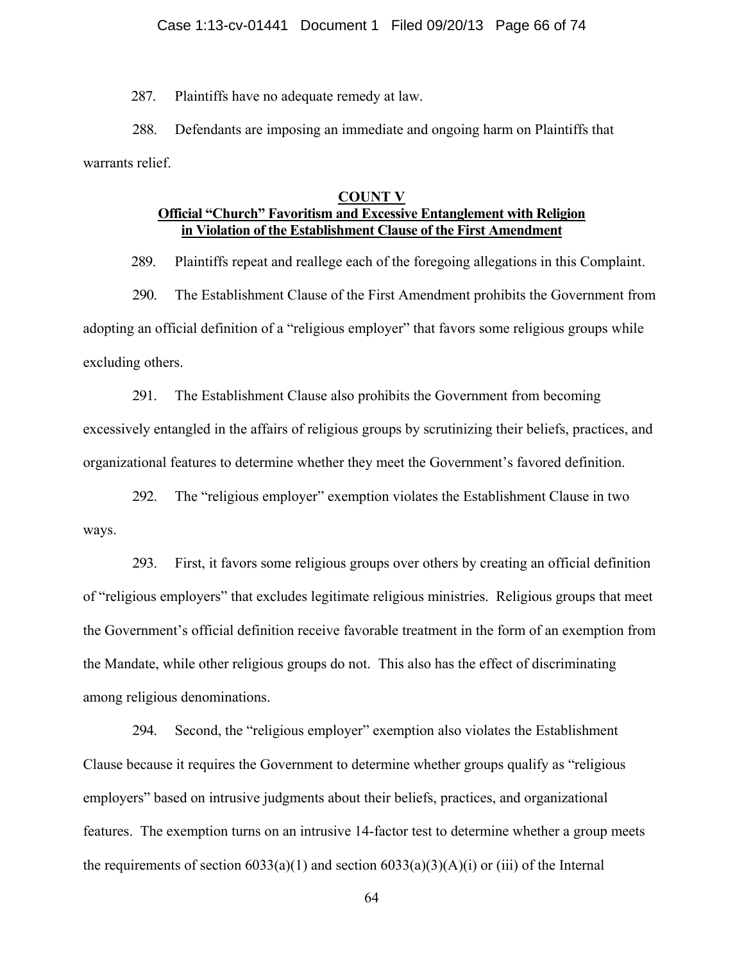#### Case 1:13-cv-01441 Document 1 Filed 09/20/13 Page 66 of 74

287. Plaintiffs have no adequate remedy at law.

288. Defendants are imposing an immediate and ongoing harm on Plaintiffs that warrants relief.

### **COUNT V**

# **Official "Church" Favoritism and Excessive Entanglement with Religion in Violation of the Establishment Clause of the First Amendment**

289. Plaintiffs repeat and reallege each of the foregoing allegations in this Complaint.

290. The Establishment Clause of the First Amendment prohibits the Government from adopting an official definition of a "religious employer" that favors some religious groups while excluding others.

291. The Establishment Clause also prohibits the Government from becoming excessively entangled in the affairs of religious groups by scrutinizing their beliefs, practices, and organizational features to determine whether they meet the Government's favored definition.

292. The "religious employer" exemption violates the Establishment Clause in two ways.

293. First, it favors some religious groups over others by creating an official definition of "religious employers" that excludes legitimate religious ministries. Religious groups that meet the Government's official definition receive favorable treatment in the form of an exemption from the Mandate, while other religious groups do not. This also has the effect of discriminating among religious denominations.

294. Second, the "religious employer" exemption also violates the Establishment Clause because it requires the Government to determine whether groups qualify as "religious employers" based on intrusive judgments about their beliefs, practices, and organizational features. The exemption turns on an intrusive 14-factor test to determine whether a group meets the requirements of section  $6033(a)(1)$  and section  $6033(a)(3)(A)(i)$  or (iii) of the Internal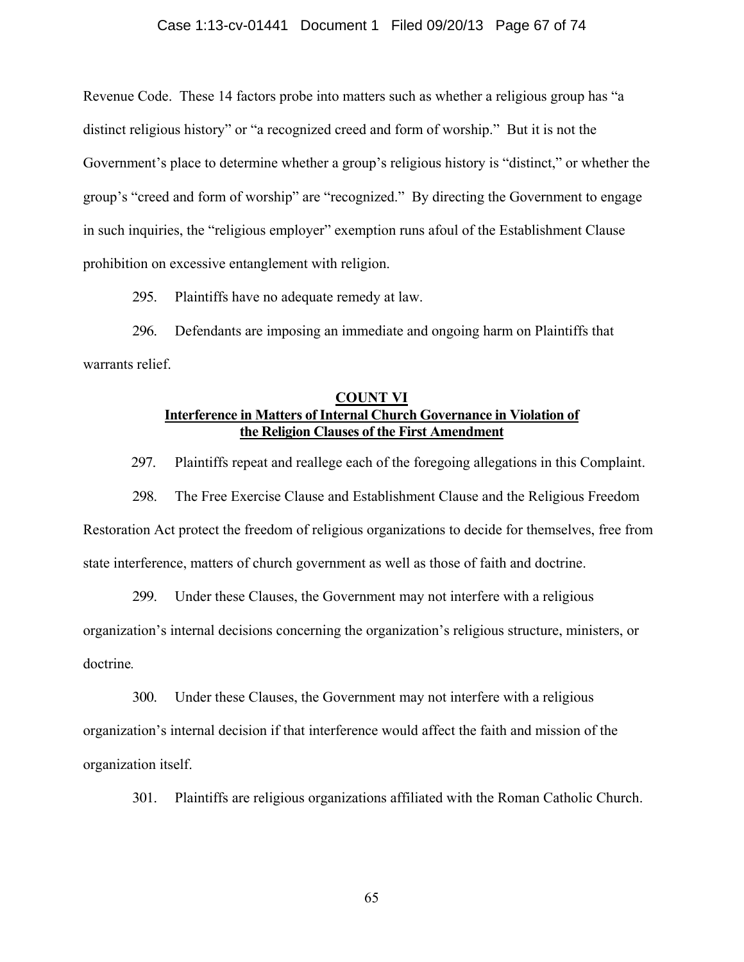#### Case 1:13-cv-01441 Document 1 Filed 09/20/13 Page 67 of 74

Revenue Code. These 14 factors probe into matters such as whether a religious group has "a distinct religious history" or "a recognized creed and form of worship." But it is not the Government's place to determine whether a group's religious history is "distinct," or whether the group's "creed and form of worship" are "recognized." By directing the Government to engage in such inquiries, the "religious employer" exemption runs afoul of the Establishment Clause prohibition on excessive entanglement with religion.

295. Plaintiffs have no adequate remedy at law.

296. Defendants are imposing an immediate and ongoing harm on Plaintiffs that warrants relief.

## **COUNT VI Interference in Matters of Internal Church Governance in Violation of the Religion Clauses of the First Amendment**

297. Plaintiffs repeat and reallege each of the foregoing allegations in this Complaint.

298. The Free Exercise Clause and Establishment Clause and the Religious Freedom Restoration Act protect the freedom of religious organizations to decide for themselves, free from state interference, matters of church government as well as those of faith and doctrine.

299. Under these Clauses, the Government may not interfere with a religious organization's internal decisions concerning the organization's religious structure, ministers, or doctrine*.* 

300. Under these Clauses, the Government may not interfere with a religious organization's internal decision if that interference would affect the faith and mission of the organization itself.

301. Plaintiffs are religious organizations affiliated with the Roman Catholic Church.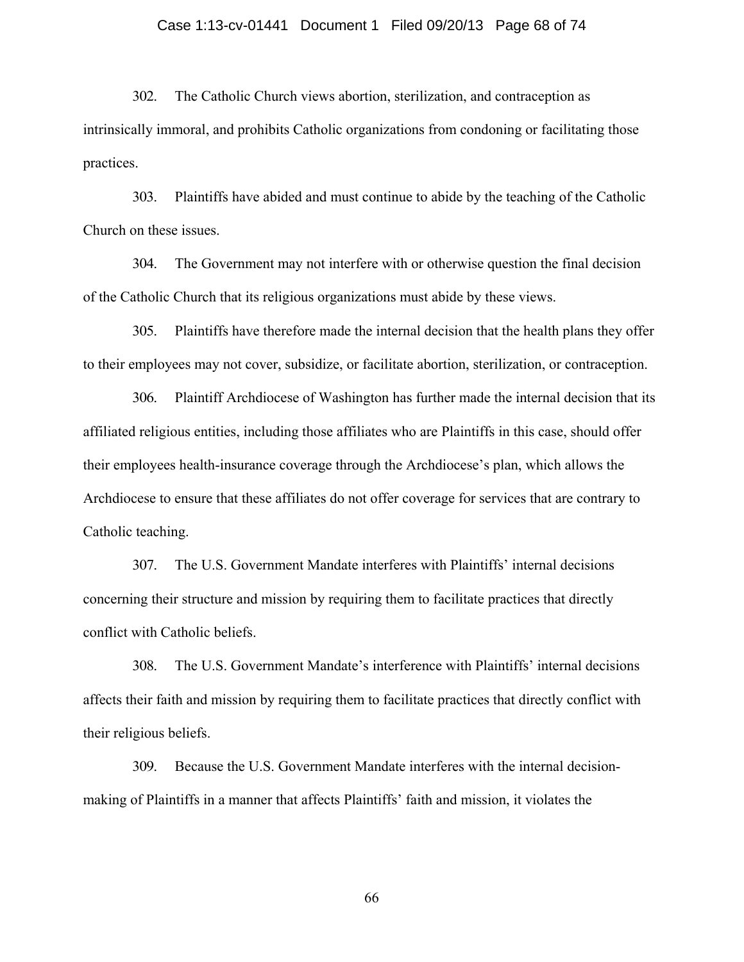#### Case 1:13-cv-01441 Document 1 Filed 09/20/13 Page 68 of 74

302. The Catholic Church views abortion, sterilization, and contraception as intrinsically immoral, and prohibits Catholic organizations from condoning or facilitating those practices.

303. Plaintiffs have abided and must continue to abide by the teaching of the Catholic Church on these issues.

304. The Government may not interfere with or otherwise question the final decision of the Catholic Church that its religious organizations must abide by these views.

305. Plaintiffs have therefore made the internal decision that the health plans they offer to their employees may not cover, subsidize, or facilitate abortion, sterilization, or contraception.

306. Plaintiff Archdiocese of Washington has further made the internal decision that its affiliated religious entities, including those affiliates who are Plaintiffs in this case, should offer their employees health-insurance coverage through the Archdiocese's plan, which allows the Archdiocese to ensure that these affiliates do not offer coverage for services that are contrary to Catholic teaching.

307. The U.S. Government Mandate interferes with Plaintiffs' internal decisions concerning their structure and mission by requiring them to facilitate practices that directly conflict with Catholic beliefs.

308. The U.S. Government Mandate's interference with Plaintiffs' internal decisions affects their faith and mission by requiring them to facilitate practices that directly conflict with their religious beliefs.

309. Because the U.S. Government Mandate interferes with the internal decisionmaking of Plaintiffs in a manner that affects Plaintiffs' faith and mission, it violates the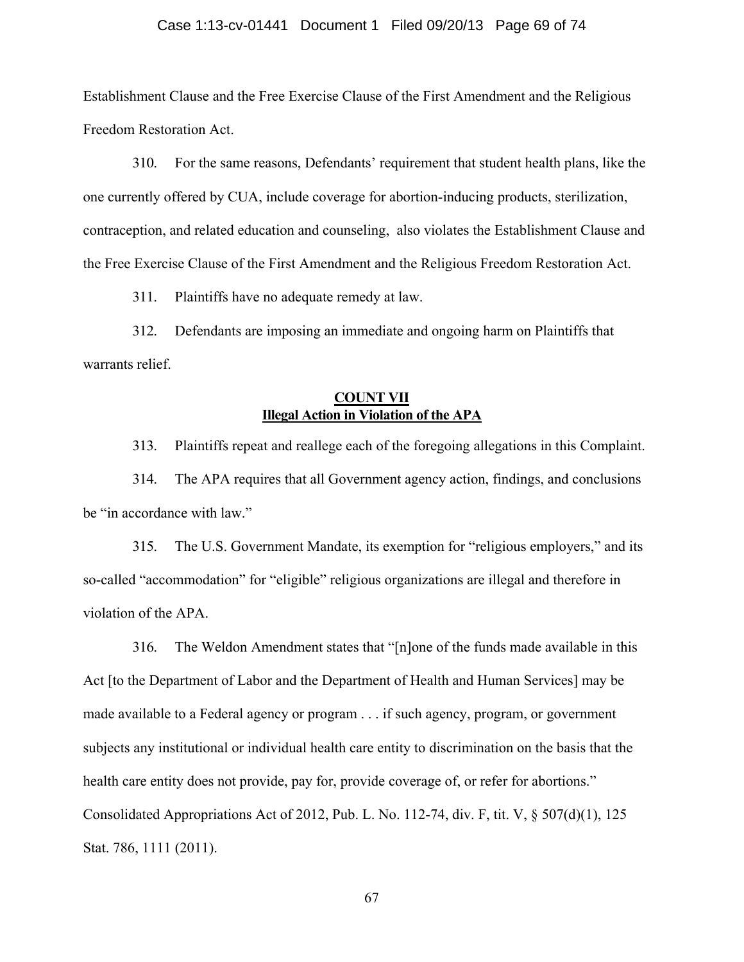#### Case 1:13-cv-01441 Document 1 Filed 09/20/13 Page 69 of 74

Establishment Clause and the Free Exercise Clause of the First Amendment and the Religious Freedom Restoration Act.

310. For the same reasons, Defendants' requirement that student health plans, like the one currently offered by CUA, include coverage for abortion-inducing products, sterilization, contraception, and related education and counseling, also violates the Establishment Clause and the Free Exercise Clause of the First Amendment and the Religious Freedom Restoration Act.

311. Plaintiffs have no adequate remedy at law.

312. Defendants are imposing an immediate and ongoing harm on Plaintiffs that warrants relief.

## **COUNT VII Illegal Action in Violation of the APA**

313. Plaintiffs repeat and reallege each of the foregoing allegations in this Complaint.

314. The APA requires that all Government agency action, findings, and conclusions be "in accordance with law."

315. The U.S. Government Mandate, its exemption for "religious employers," and its so-called "accommodation" for "eligible" religious organizations are illegal and therefore in violation of the APA.

316. The Weldon Amendment states that "[n]one of the funds made available in this Act [to the Department of Labor and the Department of Health and Human Services] may be made available to a Federal agency or program . . . if such agency, program, or government subjects any institutional or individual health care entity to discrimination on the basis that the health care entity does not provide, pay for, provide coverage of, or refer for abortions." Consolidated Appropriations Act of 2012, Pub. L. No. 112-74, div. F, tit. V, § 507(d)(1), 125 Stat. 786, 1111 (2011).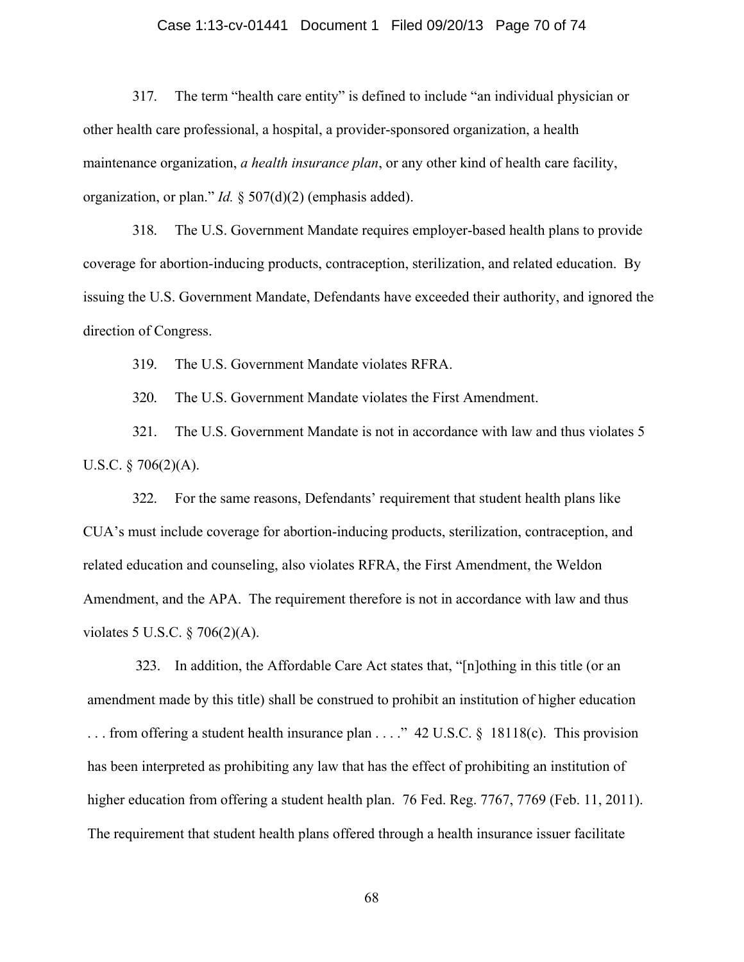#### Case 1:13-cv-01441 Document 1 Filed 09/20/13 Page 70 of 74

317. The term "health care entity" is defined to include "an individual physician or other health care professional, a hospital, a provider-sponsored organization, a health maintenance organization, *a health insurance plan*, or any other kind of health care facility, organization, or plan." *Id.* § 507(d)(2) (emphasis added).

318. The U.S. Government Mandate requires employer-based health plans to provide coverage for abortion-inducing products, contraception, sterilization, and related education. By issuing the U.S. Government Mandate, Defendants have exceeded their authority, and ignored the direction of Congress.

319. The U.S. Government Mandate violates RFRA.

320. The U.S. Government Mandate violates the First Amendment.

321. The U.S. Government Mandate is not in accordance with law and thus violates 5 U.S.C.  $\S 706(2)(A)$ .

322. For the same reasons, Defendants' requirement that student health plans like CUA's must include coverage for abortion-inducing products, sterilization, contraception, and related education and counseling, also violates RFRA, the First Amendment, the Weldon Amendment, and the APA. The requirement therefore is not in accordance with law and thus violates 5 U.S.C. § 706(2)(A).

323. In addition, the Affordable Care Act states that, "[n]othing in this title (or an amendment made by this title) shall be construed to prohibit an institution of higher education . . . from offering a student health insurance plan . . . ." 42 U.S.C. § 18118(c). This provision has been interpreted as prohibiting any law that has the effect of prohibiting an institution of higher education from offering a student health plan. 76 Fed. Reg. 7767, 7769 (Feb. 11, 2011). The requirement that student health plans offered through a health insurance issuer facilitate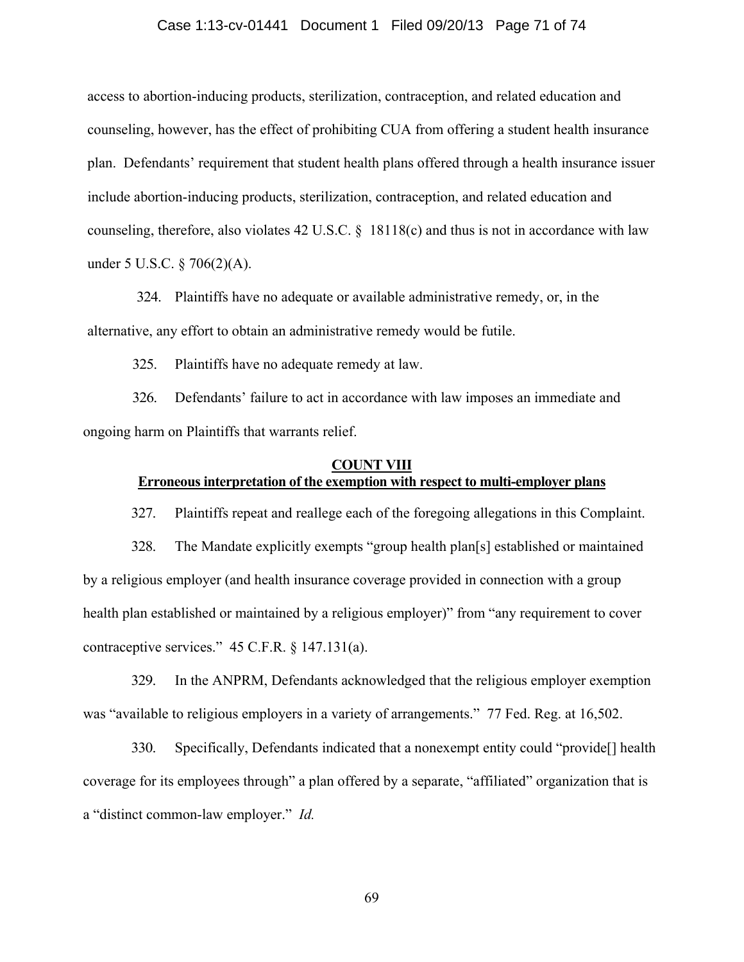#### Case 1:13-cv-01441 Document 1 Filed 09/20/13 Page 71 of 74

access to abortion-inducing products, sterilization, contraception, and related education and counseling, however, has the effect of prohibiting CUA from offering a student health insurance plan. Defendants' requirement that student health plans offered through a health insurance issuer include abortion-inducing products, sterilization, contraception, and related education and counseling, therefore, also violates 42 U.S.C. § 18118(c) and thus is not in accordance with law under 5 U.S.C. § 706(2)(A).

324. Plaintiffs have no adequate or available administrative remedy, or, in the alternative, any effort to obtain an administrative remedy would be futile.

325. Plaintiffs have no adequate remedy at law.

326. Defendants' failure to act in accordance with law imposes an immediate and ongoing harm on Plaintiffs that warrants relief.

### **COUNT VIII Erroneous interpretation of the exemption with respect to multi-employer plans**

327. Plaintiffs repeat and reallege each of the foregoing allegations in this Complaint.

328. The Mandate explicitly exempts "group health plan[s] established or maintained by a religious employer (and health insurance coverage provided in connection with a group health plan established or maintained by a religious employer)" from "any requirement to cover contraceptive services." 45 C.F.R. § 147.131(a).

329. In the ANPRM, Defendants acknowledged that the religious employer exemption was "available to religious employers in a variety of arrangements." 77 Fed. Reg. at 16,502.

330. Specifically, Defendants indicated that a nonexempt entity could "provide[] health coverage for its employees through" a plan offered by a separate, "affiliated" organization that is a "distinct common-law employer." *Id.*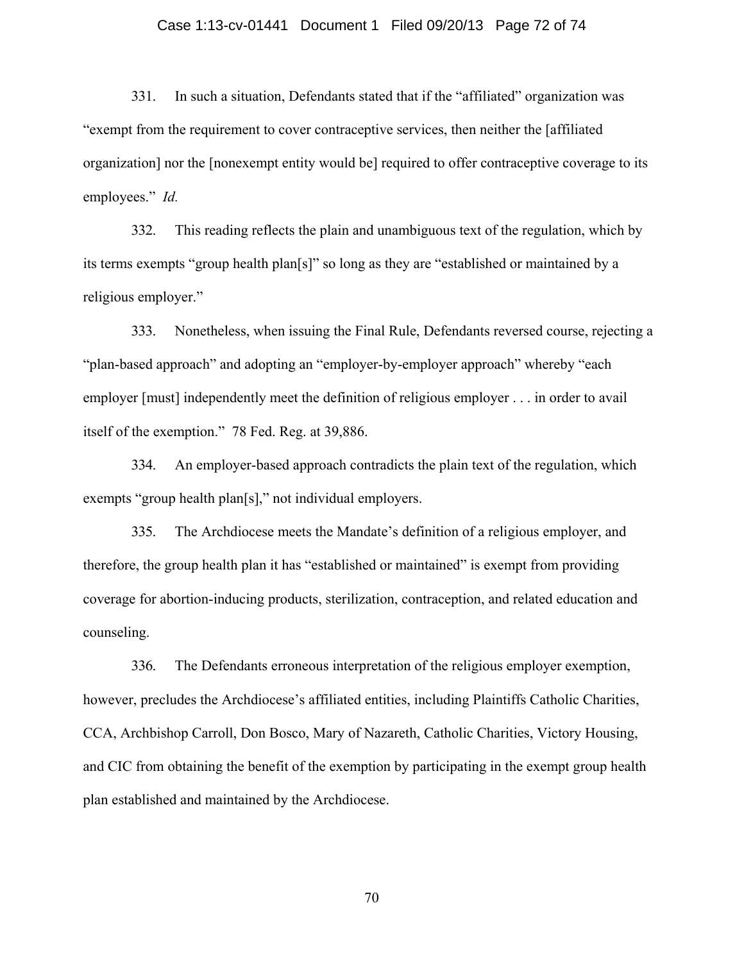#### Case 1:13-cv-01441 Document 1 Filed 09/20/13 Page 72 of 74

331. In such a situation, Defendants stated that if the "affiliated" organization was "exempt from the requirement to cover contraceptive services, then neither the [affiliated organization] nor the [nonexempt entity would be] required to offer contraceptive coverage to its employees." *Id.* 

332. This reading reflects the plain and unambiguous text of the regulation, which by its terms exempts "group health plan[s]" so long as they are "established or maintained by a religious employer."

333. Nonetheless, when issuing the Final Rule, Defendants reversed course, rejecting a "plan-based approach" and adopting an "employer-by-employer approach" whereby "each employer [must] independently meet the definition of religious employer . . . in order to avail itself of the exemption." 78 Fed. Reg. at 39,886.

334. An employer-based approach contradicts the plain text of the regulation, which exempts "group health plan[s]," not individual employers.

335. The Archdiocese meets the Mandate's definition of a religious employer, and therefore, the group health plan it has "established or maintained" is exempt from providing coverage for abortion-inducing products, sterilization, contraception, and related education and counseling.

336. The Defendants erroneous interpretation of the religious employer exemption, however, precludes the Archdiocese's affiliated entities, including Plaintiffs Catholic Charities, CCA, Archbishop Carroll, Don Bosco, Mary of Nazareth, Catholic Charities, Victory Housing, and CIC from obtaining the benefit of the exemption by participating in the exempt group health plan established and maintained by the Archdiocese.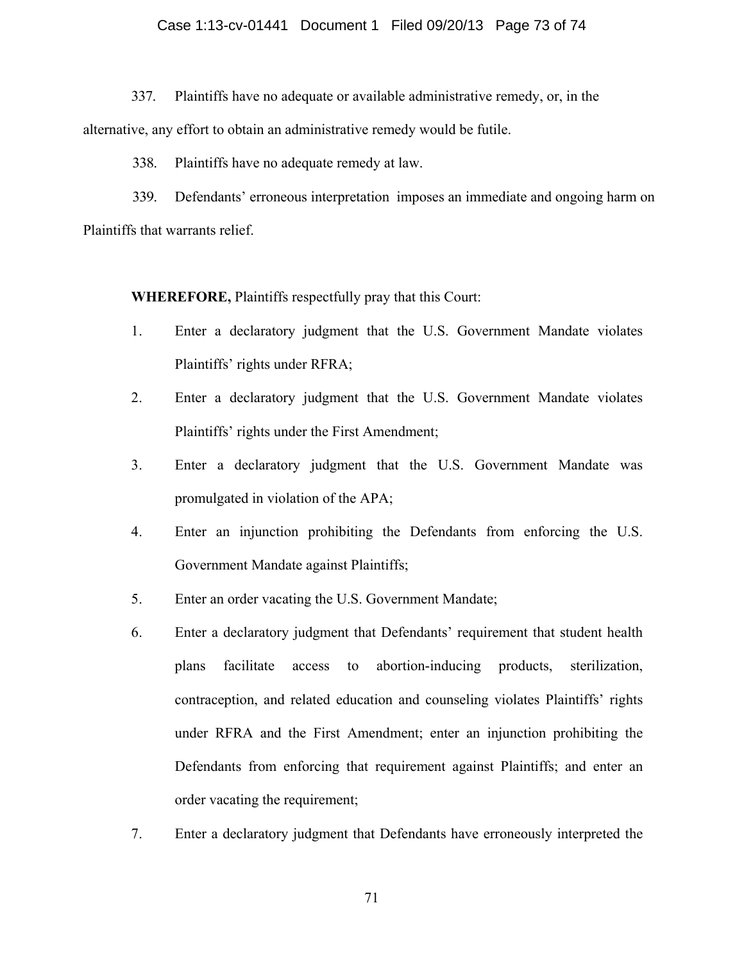## Case 1:13-cv-01441 Document 1 Filed 09/20/13 Page 73 of 74

337. Plaintiffs have no adequate or available administrative remedy, or, in the alternative, any effort to obtain an administrative remedy would be futile.

338. Plaintiffs have no adequate remedy at law.

339. Defendants' erroneous interpretation imposes an immediate and ongoing harm on Plaintiffs that warrants relief.

**WHEREFORE,** Plaintiffs respectfully pray that this Court:

- 1. Enter a declaratory judgment that the U.S. Government Mandate violates Plaintiffs' rights under RFRA;
- 2. Enter a declaratory judgment that the U.S. Government Mandate violates Plaintiffs' rights under the First Amendment;
- 3. Enter a declaratory judgment that the U.S. Government Mandate was promulgated in violation of the APA;
- 4. Enter an injunction prohibiting the Defendants from enforcing the U.S. Government Mandate against Plaintiffs;
- 5. Enter an order vacating the U.S. Government Mandate;
- 6. Enter a declaratory judgment that Defendants' requirement that student health plans facilitate access to abortion-inducing products, sterilization, contraception, and related education and counseling violates Plaintiffs' rights under RFRA and the First Amendment; enter an injunction prohibiting the Defendants from enforcing that requirement against Plaintiffs; and enter an order vacating the requirement;
- 7. Enter a declaratory judgment that Defendants have erroneously interpreted the